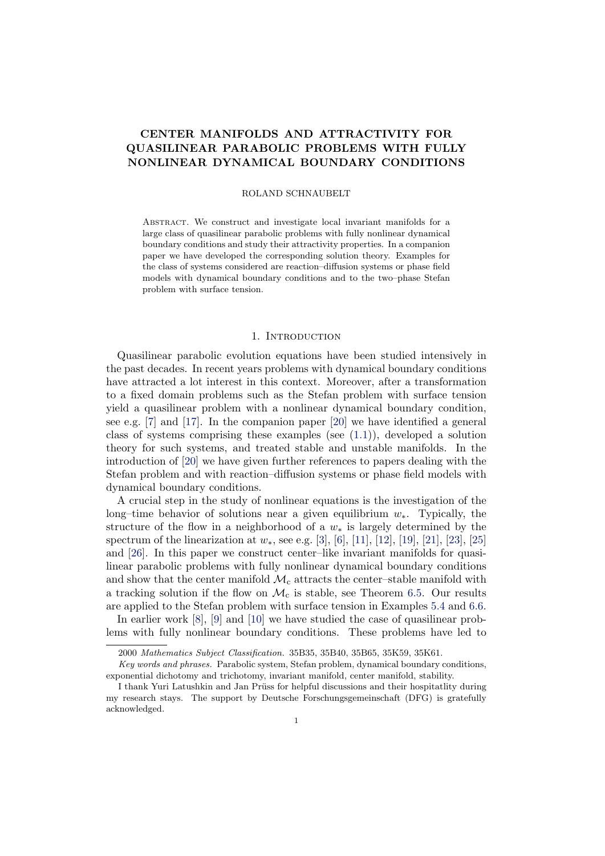# CENTER MANIFOLDS AND ATTRACTIVITY FOR QUASILINEAR PARABOLIC PROBLEMS WITH FULLY NONLINEAR DYNAMICAL BOUNDARY CONDITIONS

#### ROLAND SCHNAUBELT

Abstract. We construct and investigate local invariant manifolds for a large class of quasilinear parabolic problems with fully nonlinear dynamical boundary conditions and study their attractivity properties. In a companion paper we have developed the corresponding solution theory. Examples for the class of systems considered are reaction–diffusion systems or phase field models with dynamical boundary conditions and to the two–phase Stefan problem with surface tension.

#### 1. INTRODUCTION

Quasilinear parabolic evolution equations have been studied intensively in the past decades. In recent years problems with dynamical boundary conditions have attracted a lot interest in this context. Moreover, after a transformation to a fixed domain problems such as the Stefan problem with surface tension yield a quasilinear problem with a nonlinear dynamical boundary condition, see e.g. [\[7\]](#page-39-0) and [\[17\]](#page-40-0). In the companion paper [\[20\]](#page-40-1) we have identified a general class of systems comprising these examples (see  $(1.1)$ ), developed a solution theory for such systems, and treated stable and unstable manifolds. In the introduction of [\[20\]](#page-40-1) we have given further references to papers dealing with the Stefan problem and with reaction–diffusion systems or phase field models with dynamical boundary conditions.

A crucial step in the study of nonlinear equations is the investigation of the long–time behavior of solutions near a given equilibrium  $w_*$ . Typically, the structure of the flow in a neighborhood of a  $w_*$  is largely determined by the spectrum of the linearization at  $w_*$ , see e.g. [\[3\]](#page-39-1), [\[6\]](#page-39-2), [\[11\]](#page-40-2), [\[12\]](#page-40-3), [\[19\]](#page-40-4), [\[21\]](#page-40-5), [\[23\]](#page-40-6), [\[25\]](#page-40-7) and [\[26\]](#page-40-8). In this paper we construct center–like invariant manifolds for quasilinear parabolic problems with fully nonlinear dynamical boundary conditions and show that the center manifold  $\mathcal{M}_c$  attracts the center–stable manifold with a tracking solution if the flow on  $\mathcal{M}_c$  is stable, see Theorem [6.5.](#page-38-0) Our results are applied to the Stefan problem with surface tension in Examples [5.4](#page-28-0) and [6.6.](#page-39-3)

In earlier work [\[8\]](#page-39-4), [\[9\]](#page-40-9) and [\[10\]](#page-40-10) we have studied the case of quasilinear problems with fully nonlinear boundary conditions. These problems have led to

<sup>2000</sup> Mathematics Subject Classification. 35B35, 35B40, 35B65, 35K59, 35K61.

Key words and phrases. Parabolic system, Stefan problem, dynamical boundary conditions, exponential dichotomy and trichotomy, invariant manifold, center manifold, stability.

I thank Yuri Latushkin and Jan Prüss for helpful discussions and their hospitatlity during my research stays. The support by Deutsche Forschungsgemeinschaft (DFG) is gratefully acknowledged.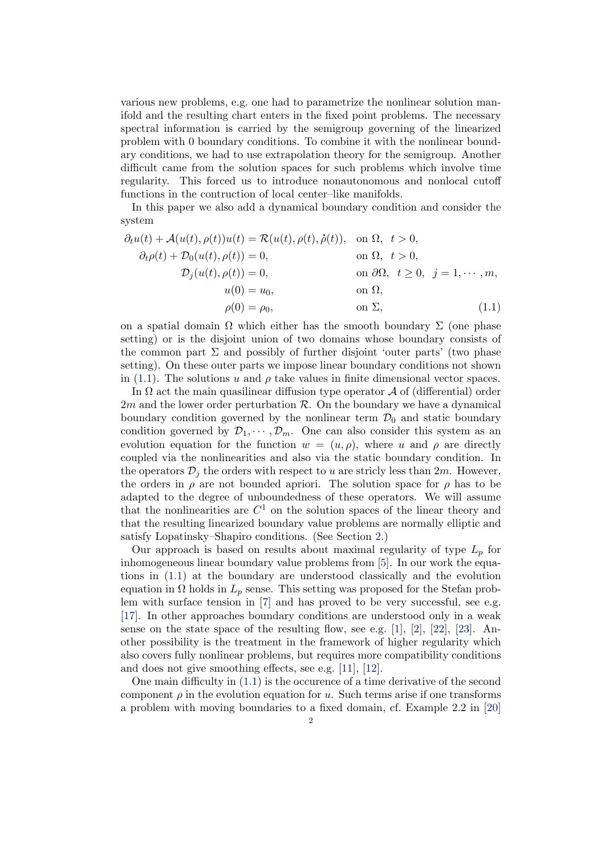various new problems, e.g. one had to parametrize the nonlinear solution manifold and the resulting chart enters in the fixed point problems. The necessary spectral information is carried by the semigroup governing of the linearized problem with 0 boundary conditions. To combine it with the nonlinear boundary conditions, we had to use extrapolation theory for the semigroup. Another difficult came from the solution spaces for such problems which involve time regularity. This forced us to introduce nonautonomous and nonlocal cutoff functions in the contruction of local center–like manifolds.

In this paper we also add a dynamical boundary condition and consider the system

<span id="page-1-0"></span>
$$
\partial_t u(t) + \mathcal{A}(u(t), \rho(t))u(t) = \mathcal{R}(u(t), \rho(t), \dot{\rho}(t)), \text{ on } \Omega, t > 0,
$$
  
\n
$$
\partial_t \rho(t) + \mathcal{D}_0(u(t), \rho(t)) = 0, \text{ on } \Omega, t > 0,
$$
  
\n
$$
\mathcal{D}_j(u(t), \rho(t)) = 0, \text{ on } \partial\Omega, t \ge 0, j = 1, \dots, m,
$$
  
\n
$$
u(0) = u_0, \text{ on } \Omega,
$$
  
\n
$$
\rho(0) = \rho_0, \text{ on } \Sigma,
$$
  
\n(1.1)

on a spatial domain  $\Omega$  which either has the smooth boundary  $\Sigma$  (one phase setting) or is the disjoint union of two domains whose boundary consists of the common part  $\Sigma$  and possibly of further disjoint 'outer parts' (two phase setting). On these outer parts we impose linear boundary conditions not shown in [\(1.1\)](#page-1-0). The solutions u and  $\rho$  take values in finite dimensional vector spaces.

In  $\Omega$  act the main quasilinear diffusion type operator  $\mathcal A$  of (differential) order  $2m$  and the lower order perturbation  $R$ . On the boundary we have a dynamical boundary condition governed by the nonlinear term  $\mathcal{D}_0$  and static boundary condition governed by  $\mathcal{D}_1, \cdots, \mathcal{D}_m$ . One can also consider this system as an evolution equation for the function  $w = (u, \rho)$ , where u and  $\rho$  are directly coupled via the nonlinearities and also via the static boundary condition. In the operators  $\mathcal{D}_i$  the orders with respect to u are stricly less than  $2m$ . However, the orders in  $\rho$  are not bounded apriori. The solution space for  $\rho$  has to be adapted to the degree of unboundedness of these operators. We will assume that the nonlinearities are  $C<sup>1</sup>$  on the solution spaces of the linear theory and that the resulting linearized boundary value problems are normally elliptic and satisfy Lopatinsky–Shapiro conditions. (See Section [2.](#page-3-0))

Our approach is based on results about maximal regularity of type  $L_p$  for inhomogeneous linear boundary value problems from [\[5\]](#page-39-5). In our work the equations in [\(1.1\)](#page-1-0) at the boundary are understood classically and the evolution equation in  $\Omega$  holds in  $L_p$  sense. This setting was proposed for the Stefan problem with surface tension in [\[7\]](#page-39-0) and has proved to be very successful, see e.g. [\[17\]](#page-40-0). In other approaches boundary conditions are understood only in a weak sense on the state space of the resulting flow, see e.g.  $[1]$ ,  $[2]$ ,  $[22]$ ,  $[23]$ . Another possibility is the treatment in the framework of higher regularity which also covers fully nonlinear problems, but requires more compatibility conditions and does not give smoothing effects, see e.g. [\[11\]](#page-40-2), [\[12\]](#page-40-3).

One main difficulty in [\(1.1\)](#page-1-0) is the occurence of a time derivative of the second component  $\rho$  in the evolution equation for u. Such terms arise if one transforms a problem with moving boundaries to a fixed domain, cf. Example 2.2 in [\[20\]](#page-40-1)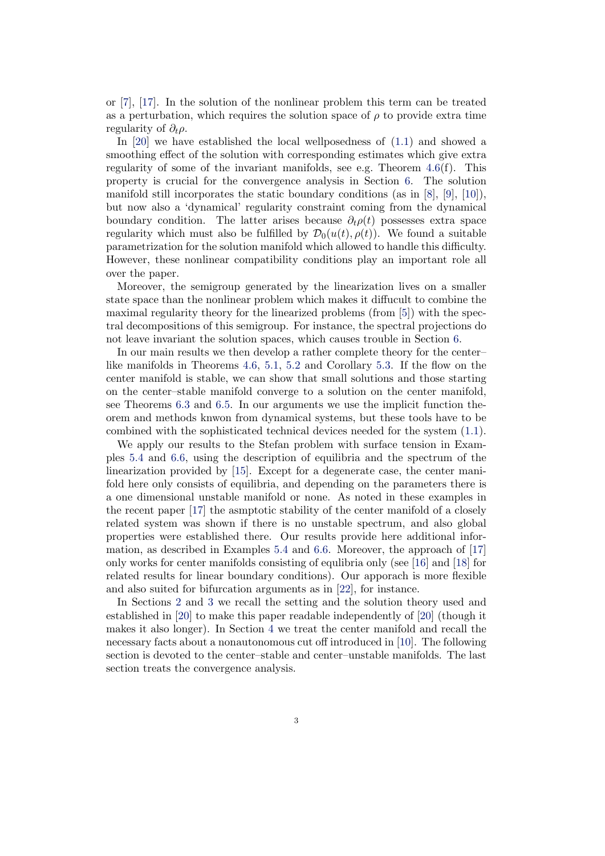or [\[7\]](#page-39-0), [\[17\]](#page-40-0). In the solution of the nonlinear problem this term can be treated as a perturbation, which requires the solution space of  $\rho$  to provide extra time regularity of  $\partial_t \rho$ .

In [\[20\]](#page-40-1) we have established the local wellposedness of [\(1.1\)](#page-1-0) and showed a smoothing effect of the solution with corresponding estimates which give extra regularity of some of the invariant manifolds, see e.g. Theorem  $4.6(f)$  $4.6(f)$ . This property is crucial for the convergence analysis in Section [6.](#page-29-0) The solution manifold still incorporates the static boundary conditions (as in [\[8\]](#page-39-4), [\[9\]](#page-40-9), [\[10\]](#page-40-10)), but now also a 'dynamical' regularity constraint coming from the dynamical boundary condition. The latter arises because  $\partial_t \rho(t)$  possesses extra space regularity which must also be fulfilled by  $\mathcal{D}_0(u(t), \rho(t))$ . We found a suitable parametrization for the solution manifold which allowed to handle this difficulty. However, these nonlinear compatibility conditions play an important role all over the paper.

Moreover, the semigroup generated by the linearization lives on a smaller state space than the nonlinear problem which makes it diffucult to combine the maximal regularity theory for the linearized problems (from [\[5\]](#page-39-5)) with the spectral decompositions of this semigroup. For instance, the spectral projections do not leave invariant the solution spaces, which causes trouble in Section [6.](#page-29-0)

In our main results we then develop a rather complete theory for the center– like manifolds in Theorems [4.6,](#page-17-0) [5.1,](#page-20-0) [5.2](#page-25-0) and Corollary [5.3.](#page-28-1) If the flow on the center manifold is stable, we can show that small solutions and those starting on the center–stable manifold converge to a solution on the center manifold, see Theorems [6.3](#page-36-0) and [6.5.](#page-38-0) In our arguments we use the implicit function theorem and methods knwon from dynamical systems, but these tools have to be combined with the sophisticated technical devices needed for the system [\(1.1\)](#page-1-0).

We apply our results to the Stefan problem with surface tension in Examples [5.4](#page-28-0) and [6.6,](#page-39-3) using the description of equilibria and the spectrum of the linearization provided by [\[15\]](#page-40-12). Except for a degenerate case, the center manifold here only consists of equilibria, and depending on the parameters there is a one dimensional unstable manifold or none. As noted in these examples in the recent paper [\[17\]](#page-40-0) the asmptotic stability of the center manifold of a closely related system was shown if there is no unstable spectrum, and also global properties were established there. Our results provide here additional information, as described in Examples [5.4](#page-28-0) and [6.6.](#page-39-3) Moreover, the approach of [\[17\]](#page-40-0) only works for center manifolds consisting of equlibria only (see [\[16\]](#page-40-13) and [\[18\]](#page-40-14) for related results for linear boundary conditions). Our apporach is more flexible and also suited for bifurcation arguments as in [\[22\]](#page-40-11), for instance.

In Sections [2](#page-3-0) and [3](#page-7-0) we recall the setting and the solution theory used and established in [\[20\]](#page-40-1) to make this paper readable independently of [\[20\]](#page-40-1) (though it makes it also longer). In Section [4](#page-14-0) we treat the center manifold and recall the necessary facts about a nonautonomous cut off introduced in [\[10\]](#page-40-10). The following section is devoted to the center–stable and center–unstable manifolds. The last section treats the convergence analysis.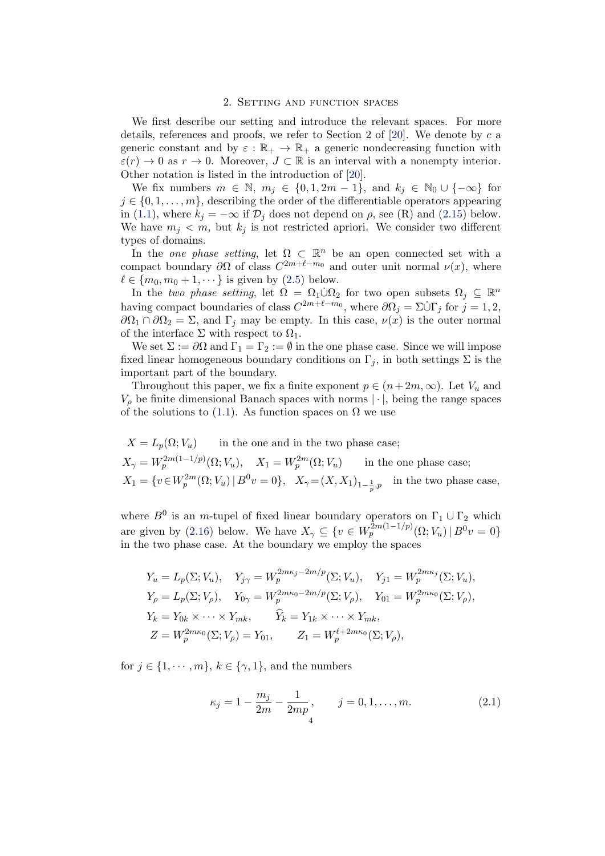### 2. Setting and function spaces

<span id="page-3-0"></span>We first describe our setting and introduce the relevant spaces. For more details, references and proofs, we refer to Section 2 of  $[20]$ . We denote by c a generic constant and by  $\varepsilon : \mathbb{R}_+ \to \mathbb{R}_+$  a generic nondecreasing function with  $\varepsilon(r) \to 0$  as  $r \to 0$ . Moreover,  $J \subset \mathbb{R}$  is an interval with a nonempty interior. Other notation is listed in the introduction of [\[20\]](#page-40-1).

We fix numbers  $m \in \mathbb{N}$ ,  $m_j \in \{0, 1, 2m - 1\}$ , and  $k_j \in \mathbb{N}_0 \cup \{-\infty\}$  for  $j \in \{0, 1, \ldots, m\}$ , describing the order of the differentiable operators appearing in [\(1.1\)](#page-1-0), where  $k_j = -\infty$  if  $\mathcal{D}_j$  does not depend on  $\rho$ , see (R) and [\(2.15\)](#page-6-0) below. We have  $m_i < m$ , but  $k_i$  is not restricted apriori. We consider two different types of domains.

In the *one phase setting*, let  $\Omega \subset \mathbb{R}^n$  be an open connected set with a compact boundary  $\partial\Omega$  of class  $C^{2m+\ell-m_0}$  and outer unit normal  $\nu(x)$ , where  $\ell \in \{m_0, m_0 + 1, \dots\}$  is given by  $(2.5)$  below.

In the two phase setting, let  $\Omega = \Omega_1 \dot{\cup} \Omega_2$  for two open subsets  $\Omega_j \subseteq \mathbb{R}^n$ having compact boundaries of class  $C^{2m+\ell-m_0}$ , where  $\partial \Omega_j = \Sigma \dot{\cup} \Gamma_j$  for  $j = 1, 2,$  $\partial\Omega_1 \cap \partial\Omega_2 = \Sigma$ , and  $\Gamma_i$  may be empty. In this case,  $\nu(x)$  is the outer normal of the interface  $\Sigma$  with respect to  $\Omega_1$ .

We set  $\Sigma := \partial\Omega$  and  $\Gamma_1 = \Gamma_2 := \emptyset$  in the one phase case. Since we will impose fixed linear homogeneous boundary conditions on  $\Gamma_i$ , in both settings  $\Sigma$  is the important part of the boundary.

Throughout this paper, we fix a finite exponent  $p \in (n+2m, \infty)$ . Let  $V_u$  and  $V_{\rho}$  be finite dimensional Banach spaces with norms  $|\cdot|$ , being the range spaces of the solutions to [\(1.1\)](#page-1-0). As function spaces on  $\Omega$  we use

$$
X = L_p(\Omega; V_u)
$$
 in the one and in the two phase case;  
\n
$$
X_{\gamma} = W_p^{2m(1-1/p)}(\Omega; V_u), \quad X_1 = W_p^{2m}(\Omega; V_u)
$$
 in the one phase case;  
\n
$$
X_1 = \{v \in W_p^{2m}(\Omega; V_u) \mid B^0 v = 0\}, \quad X_{\gamma} = (X, X_1)_{1-\frac{1}{p}, p}
$$
 in the two phase case,

where  $B^0$  is an m-tupel of fixed linear boundary operators on  $\Gamma_1 \cup \Gamma_2$  which are given by [\(2.16\)](#page-7-1) below. We have  $X_{\gamma} \subseteq \{v \in W_p^{2m(1-1/p)}(\Omega; V_u) \mid B^0 v = 0\}$ in the two phase case. At the boundary we employ the spaces

$$
Y_u = L_p(\Sigma; V_u), \quad Y_{j\gamma} = W_p^{2m\kappa_j - 2m/p}(\Sigma; V_u), \quad Y_{j1} = W_p^{2m\kappa_j}(\Sigma; V_u),
$$
  
\n
$$
Y_\rho = L_p(\Sigma; V_\rho), \quad Y_{0\gamma} = W_p^{2m\kappa_0 - 2m/p}(\Sigma; V_\rho), \quad Y_{01} = W_p^{2m\kappa_0}(\Sigma; V_\rho),
$$
  
\n
$$
Y_k = Y_{0k} \times \cdots \times Y_{mk}, \quad \widehat{Y}_k = Y_{1k} \times \cdots \times Y_{mk},
$$
  
\n
$$
Z = W_p^{2m\kappa_0}(\Sigma; V_\rho) = Y_{01}, \quad Z_1 = W_p^{\ell+2m\kappa_0}(\Sigma; V_\rho),
$$

for  $j \in \{1, \dots, m\}$ ,  $k \in \{\gamma, 1\}$ , and the numbers

$$
\kappa_j = 1 - \frac{m_j}{2m} - \frac{1}{2mp}, \qquad j = 0, 1, \dots, m.
$$
 (2.1)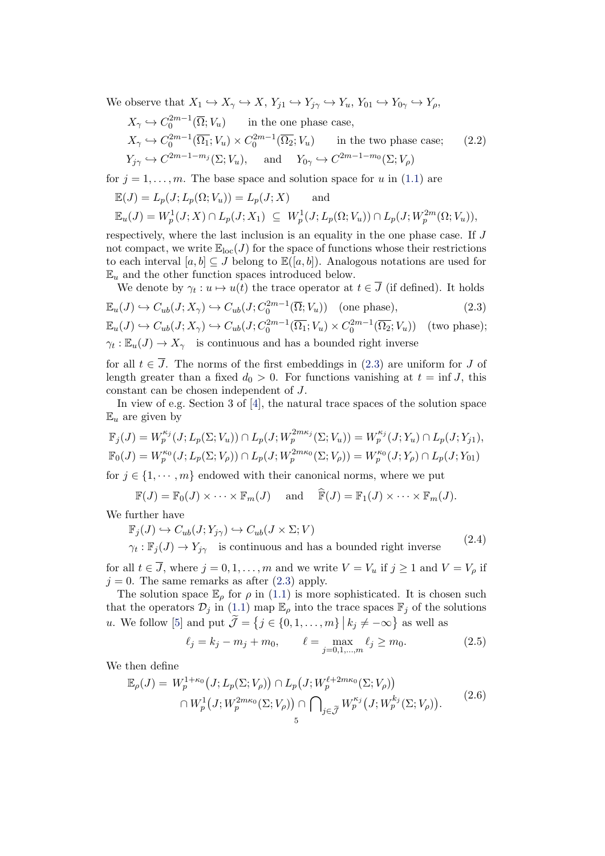We observe that  $X_1 \hookrightarrow X_\gamma \hookrightarrow X$ ,  $Y_{j1} \hookrightarrow Y_{j\gamma} \hookrightarrow Y_u$ ,  $Y_{01} \hookrightarrow Y_{0\gamma} \hookrightarrow Y_\rho$ ,

<span id="page-4-3"></span>
$$
X_{\gamma} \hookrightarrow C_0^{2m-1}(\overline{\Omega}; V_u) \quad \text{in the one phase case,}
$$
  
\n
$$
X_{\gamma} \hookrightarrow C_0^{2m-1}(\overline{\Omega}_1; V_u) \times C_0^{2m-1}(\overline{\Omega}_2; V_u) \quad \text{in the two phase case;}
$$
  
\n
$$
Y_{j\gamma} \hookrightarrow C^{2m-1-m_j}(\Sigma; V_u), \quad \text{and} \quad Y_{0\gamma} \hookrightarrow C^{2m-1-m_0}(\Sigma; V_{\rho})
$$

for  $j = 1, \ldots, m$ . The base space and solution space for u in [\(1.1\)](#page-1-0) are

$$
\mathbb{E}(J) = L_p(J; L_p(\Omega; V_u)) = L_p(J; X) \quad \text{and}
$$
  

$$
\mathbb{E}_u(J) = W_p^1(J; X) \cap L_p(J; X_1) \subseteq W_p^1(J; L_p(\Omega; V_u)) \cap L_p(J; W_p^{2m}(\Omega; V_u)),
$$

respectively, where the last inclusion is an equality in the one phase case. If J not compact, we write  $\mathbb{E}_{loc}(J)$  for the space of functions whose their restrictions to each interval  $[a, b] \subseteq J$  belong to  $\mathbb{E}([a, b])$ . Analogous notations are used for  $\mathbb{E}_u$  and the other function spaces introduced below.

<span id="page-4-1"></span>We denote by  $\gamma_t : u \mapsto u(t)$  the trace operator at  $t \in \overline{J}$  (if defined). It holds

$$
\mathbb{E}_u(J) \hookrightarrow C_{ub}(J; X_\gamma) \hookrightarrow C_{ub}(J; C_0^{2m-1}(\overline{\Omega}; V_u)) \quad \text{(one phase)},\tag{2.3}
$$

$$
\mathbb{E}_u(J) \hookrightarrow C_{ub}(J; X_{\gamma}) \hookrightarrow C_{ub}(J; C_0^{2m-1}(\overline{\Omega_1}; V_u) \times C_0^{2m-1}(\overline{\Omega_2}; V_u)) \text{ (two phase)};
$$
  

$$
\gamma_t : \mathbb{E}_u(J) \to X_{\gamma} \text{ is continuous and has a bounded right inverse}
$$

for all  $t \in \overline{J}$ . The norms of the first embeddings in [\(2.3\)](#page-4-1) are uniform for  $J$  of length greater than a fixed  $d_0 > 0$ . For functions vanishing at  $t = \inf J$ , this constant can be chosen independent of J.

In view of e.g. Section 3 of [\[4\]](#page-39-8), the natural trace spaces of the solution space  $\mathbb{E}_u$  are given by

$$
\mathbb{F}_j(J) = W_p^{\kappa_j}(J; L_p(\Sigma; V_u)) \cap L_p(J; W_p^{2m\kappa_j}(\Sigma; V_u)) = W_p^{\kappa_j}(J; Y_u) \cap L_p(J; Y_{j1}),
$$
  

$$
\mathbb{F}_0(J) = W_p^{\kappa_0}(J; L_p(\Sigma; V_\rho)) \cap L_p(J; W_p^{2m\kappa_0}(\Sigma; V_\rho)) = W_p^{\kappa_0}(J; Y_\rho) \cap L_p(J; Y_{01})
$$

for  $j \in \{1, \dots, m\}$  endowed with their canonical norms, where we put

$$
\mathbb{F}(J) = \mathbb{F}_0(J) \times \cdots \times \mathbb{F}_m(J) \quad \text{and} \quad \widehat{\mathbb{F}}(J) = \mathbb{F}_1(J) \times \cdots \times \mathbb{F}_m(J).
$$

<span id="page-4-2"></span>We further have

$$
\mathbb{F}_j(J) \hookrightarrow C_{ub}(J; Y_{j\gamma}) \hookrightarrow C_{ub}(J \times \Sigma; V)
$$
  

$$
\gamma_t : \mathbb{F}_j(J) \to Y_{j\gamma} \text{ is continuous and has a bounded right inverse} \tag{2.4}
$$

for all  $t \in \overline{J}$ , where  $j = 0, 1, \ldots, m$  and we write  $V = V_u$  if  $j \ge 1$  and  $V = V_\rho$  if  $j = 0$ . The same remarks as after  $(2.3)$  apply.

The solution space  $\mathbb{E}_{\rho}$  for  $\rho$  in [\(1.1\)](#page-1-0) is more sophisticated. It is chosen such that the operators  $\mathcal{D}_j$  in [\(1.1\)](#page-1-0) map  $\mathbb{E}_{\rho}$  into the trace spaces  $\mathbb{F}_j$  of the solutions u. We follow [\[5\]](#page-39-5) and put  $\tilde{\mathcal{J}} = \{j \in \{0, 1, ..., m\} \mid k_j \neq -\infty\}$  as well as

<span id="page-4-0"></span>
$$
\ell_j = k_j - m_j + m_0, \qquad \ell = \max_{j=0,1,\dots,m} \ell_j \ge m_0.
$$
 (2.5)

We then define

<span id="page-4-4"></span>
$$
\mathbb{E}_{\rho}(J) = W_p^{1+\kappa_0}(J; L_p(\Sigma; V_\rho)) \cap L_p(J; W_p^{\ell+2m\kappa_0}(\Sigma; V_\rho))
$$
  

$$
\cap W_p^1(J; W_p^{2m\kappa_0}(\Sigma; V_\rho)) \cap \bigcap_{j \in \tilde{\mathcal{J}}} W_p^{\kappa_j}(J; W_p^{k_j}(\Sigma; V_\rho)).
$$
 (2.6)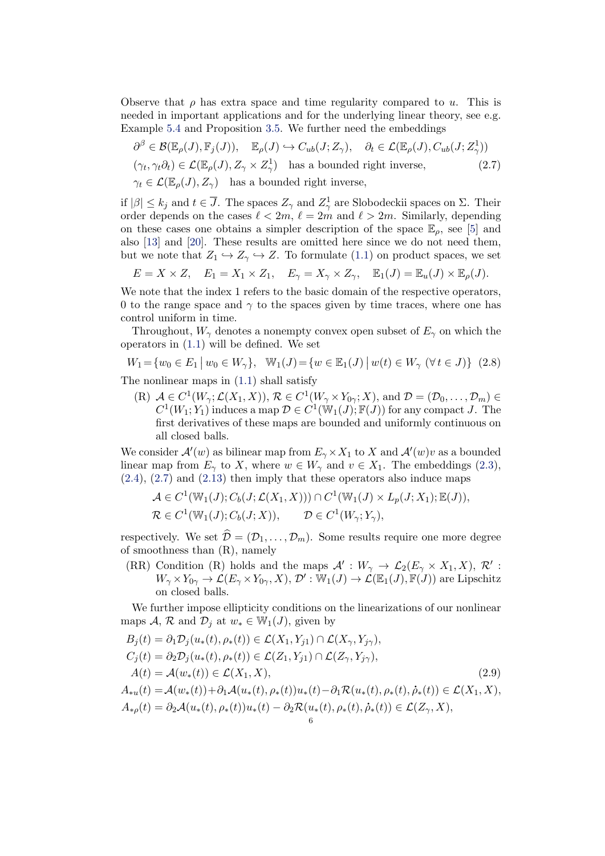Observe that  $\rho$  has extra space and time regularity compared to u. This is needed in important applications and for the underlying linear theory, see e.g. Example [5.4](#page-28-0) and Proposition [3.5.](#page-10-0) We further need the embeddings

<span id="page-5-0"></span>
$$
\partial^{\beta} \in \mathcal{B}(\mathbb{E}_{\rho}(J), \mathbb{F}_{j}(J)), \quad \mathbb{E}_{\rho}(J) \hookrightarrow C_{ub}(J; Z_{\gamma}), \quad \partial_{t} \in \mathcal{L}(\mathbb{E}_{\rho}(J), C_{ub}(J; Z_{\gamma}^{1}))
$$
  

$$
(\gamma_{t}, \gamma_{t}\partial_{t}) \in \mathcal{L}(\mathbb{E}_{\rho}(J), Z_{\gamma} \times Z_{\gamma}^{1}) \quad \text{has a bounded right inverse,}
$$
  

$$
\gamma_{t} \in \mathcal{L}(\mathbb{E}_{\rho}(J), Z_{\gamma}) \quad \text{has a bounded right inverse,}
$$
  
(2.7)

if  $|\beta| \leq k_j$  and  $t \in \overline{J}$ . The spaces  $Z_{\gamma}$  and  $Z_{\gamma}^1$  are Slobodeckii spaces on  $\Sigma$ . Their order depends on the cases  $\ell < 2m, \ell = 2m$  and  $\ell > 2m$ . Similarly, depending on these cases one obtains a simpler description of the space  $\mathbb{E}_{q}$ , see [\[5\]](#page-39-5) and also [\[13\]](#page-40-15) and [\[20\]](#page-40-1). These results are omitted here since we do not need them, but we note that  $Z_1 \hookrightarrow Z_\gamma \hookrightarrow Z$ . To formulate [\(1.1\)](#page-1-0) on product spaces, we set

$$
E = X \times Z, \quad E_1 = X_1 \times Z_1, \quad E_{\gamma} = X_{\gamma} \times Z_{\gamma}, \quad \mathbb{E}_1(J) = \mathbb{E}_u(J) \times \mathbb{E}_{\rho}(J).
$$

We note that the index 1 refers to the basic domain of the respective operators, 0 to the range space and  $\gamma$  to the spaces given by time traces, where one has control uniform in time.

Throughout,  $W_{\gamma}$  denotes a nonempty convex open subset of  $E_{\gamma}$  on which the operators in [\(1.1\)](#page-1-0) will be defined. We set

<span id="page-5-2"></span>
$$
W_1 = \{ w_0 \in E_1 \mid w_0 \in W_\gamma \}, \quad W_1(J) = \{ w \in \mathbb{E}_1(J) \mid w(t) \in W_\gamma \ (\forall t \in J) \} \tag{2.8}
$$

The nonlinear maps in  $(1.1)$  shall satisfy

(R)  $A \in C^1(W_\gamma; \mathcal{L}(X_1, X)), \mathcal{R} \in C^1(W_\gamma \times Y_{0\gamma}; X)$ , and  $\mathcal{D} = (\mathcal{D}_0, \dots, \mathcal{D}_m) \in$  $C^1(W_1; Y_1)$  induces a map  $\mathcal{D} \in C^1(\mathbb{W}_1(J); \mathbb{F}(J))$  for any compact J. The first derivatives of these maps are bounded and uniformly continuous on all closed balls.

We consider  $\mathcal{A}'(w)$  as bilinear map from  $E_\gamma \times X_1$  to X and  $\mathcal{A}'(w)v$  as a bounded linear map from  $E_{\gamma}$  to X, where  $w \in W_{\gamma}$  and  $v \in X_1$ . The embeddings [\(2.3\)](#page-4-1),  $(2.4)$ ,  $(2.7)$  and  $(2.13)$  then imply that these operators also induce maps

$$
\mathcal{A} \in C^1(\mathbb{W}_1(J); C_b(J; \mathcal{L}(X_1, X))) \cap C^1(\mathbb{W}_1(J) \times L_p(J; X_1); \mathbb{E}(J)),
$$
  

$$
\mathcal{R} \in C^1(\mathbb{W}_1(J); C_b(J; X)), \qquad \mathcal{D} \in C^1(W_\gamma; Y_\gamma),
$$

respectively. We set  $\widehat{\mathcal{D}} = (\mathcal{D}_1, \ldots, \mathcal{D}_m)$ . Some results require one more degree of smoothness than (R), namely

(RR) Condition (R) holds and the maps  $\mathcal{A}' : W_\gamma \to \mathcal{L}_2(E_\gamma \times X_1, X), \mathcal{R}'$ :  $W_\gamma \times Y_{0\gamma} \to \mathcal{L}(E_\gamma \times Y_{0\gamma}, X),$   $\mathcal{D}': \overline{\mathbb{W}}_1(J) \to \mathcal{L}(\mathbb{E}_1(J), \overline{\mathbb{F}}(J))$  are Lipschitz on closed balls.

We further impose ellipticity conditions on the linearizations of our nonlinear maps A, R and  $\mathcal{D}_i$  at  $w_* \in \mathbb{W}_1(J)$ , given by

<span id="page-5-1"></span>
$$
B_j(t) = \partial_1 D_j(u_*(t), \rho_*(t)) \in \mathcal{L}(X_1, Y_{j1}) \cap \mathcal{L}(X_\gamma, Y_{j\gamma}),
$$
  
\n
$$
C_j(t) = \partial_2 D_j(u_*(t), \rho_*(t)) \in \mathcal{L}(Z_1, Y_{j1}) \cap \mathcal{L}(Z_\gamma, Y_{j\gamma}),
$$
  
\n
$$
A(t) = \mathcal{A}(w_*(t)) \in \mathcal{L}(X_1, X),
$$
  
\n
$$
A_{*u}(t) = \mathcal{A}(w_*(t)) + \partial_1 \mathcal{A}(u_*(t), \rho_*(t))u_*(t) - \partial_1 \mathcal{R}(u_*(t), \rho_*(t), \dot{\rho}_*(t)) \in \mathcal{L}(X_1, X),
$$
  
\n
$$
A_{*\rho}(t) = \partial_2 \mathcal{A}(u_*(t), \rho_*(t))u_*(t) - \partial_2 \mathcal{R}(u_*(t), \rho_*(t), \dot{\rho}_*(t)) \in \mathcal{L}(Z_\gamma, X),
$$
  
\n(2.9)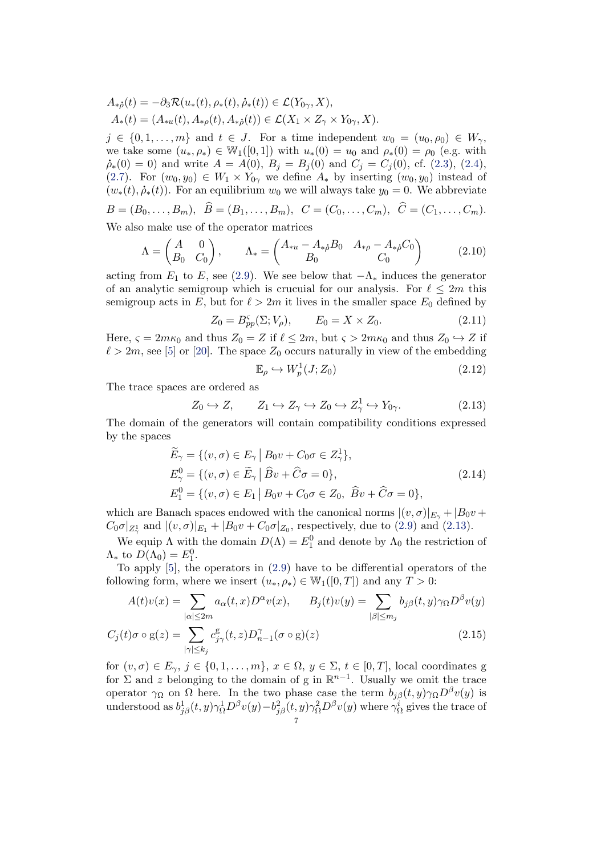$$
A_{*\hat{\rho}}(t) = -\partial_3 \mathcal{R}(u_*(t), \rho_*(t), \dot{\rho}_*(t)) \in \mathcal{L}(Y_{0\gamma}, X),
$$
  
\n
$$
A_*(t) = (A_{*u}(t), A_{*\rho}(t), A_{*\hat{\rho}}(t)) \in \mathcal{L}(X_1 \times Z_{\gamma} \times Y_{0\gamma}, X).
$$

 $j \in \{0, 1, \ldots, m\}$  and  $t \in J$ . For a time independent  $w_0 = (u_0, \rho_0) \in W_{\gamma}$ , we take some  $(u_*, \rho_*) \in \mathbb{W}_1([0,1])$  with  $u_*(0) = u_0$  and  $\rho_*(0) = \rho_0$  (e.g. with  $\dot{\rho}_*(0) = 0$  and write  $A = A(0), B_j = B_j(0)$  and  $C_j = C_j(0),$  cf. [\(2.3\)](#page-4-1), [\(2.4\)](#page-4-2), [\(2.7\)](#page-5-0). For  $(w_0, y_0) \in W_1 \times Y_{0\gamma}$  we define  $A_*$  by inserting  $(w_0, y_0)$  instead of  $(w_*(t), \dot{\rho}_*(t))$ . For an equilibrium  $w_0$  we will always take  $y_0 = 0$ . We abbreviate

$$
B = (B_0, \dots, B_m), \quad \overline{B} = (B_1, \dots, B_m), \quad C = (C_0, \dots, C_m), \quad \overline{C} = (C_1, \dots, C_m).
$$
  
We also make use of the operator matrices.

We also make use of the operator matrices

<span id="page-6-3"></span>
$$
\Lambda = \begin{pmatrix} A & 0 \\ B_0 & C_0 \end{pmatrix}, \qquad \Lambda_* = \begin{pmatrix} A_{*u} - A_{*\rho}B_0 & A_{*\rho} - A_{*\rho}C_0 \\ B_0 & C_0 \end{pmatrix}
$$
(2.10)

acting from  $E_1$  to  $E$ , see [\(2.9\)](#page-5-1). We see below that  $-\Lambda_*$  induces the generator of an analytic semigroup which is crucuial for our analysis. For  $\ell \leq 2m$  this semigroup acts in E, but for  $\ell > 2m$  it lives in the smaller space  $E_0$  defined by

$$
Z_0 = B_{pp}^{\varsigma}(\Sigma; V_{\rho}), \qquad E_0 = X \times Z_0.
$$
 (2.11)

Here,  $\varsigma = 2m\kappa_0$  and thus  $Z_0 = Z$  if  $\ell \leq 2m$ , but  $\varsigma > 2m\kappa_0$  and thus  $Z_0 \hookrightarrow Z$  if  $\ell > 2m$ , see [\[5\]](#page-39-5) or [\[20\]](#page-40-1). The space  $Z_0$  occurs naturally in view of the embedding

<span id="page-6-2"></span><span id="page-6-0"></span>
$$
\mathbb{E}_{\rho} \hookrightarrow W_p^1(J; Z_0) \tag{2.12}
$$

The trace spaces are ordered as

<span id="page-6-1"></span>
$$
Z_0 \hookrightarrow Z, \qquad Z_1 \hookrightarrow Z_\gamma \hookrightarrow Z_0 \hookrightarrow Z_\gamma^1 \hookrightarrow Y_{0\gamma}.
$$
 (2.13)

The domain of the generators will contain compatibility conditions expressed by the spaces

$$
\widetilde{E}_{\gamma} = \{ (v, \sigma) \in E_{\gamma} \mid B_0 v + C_0 \sigma \in Z_{\gamma}^1 \}, \nE_{\gamma}^0 = \{ (v, \sigma) \in \widetilde{E}_{\gamma} \mid \widehat{B}v + \widehat{C}\sigma = 0 \}, \nE_1^0 = \{ (v, \sigma) \in E_1 \mid B_0 v + C_0 \sigma \in Z_0, \ \widehat{B}v + \widehat{C}\sigma = 0 \},
$$
\n(2.14)

which are Banach spaces endowed with the canonical norms  $|(v, \sigma)|_{E_{\gamma}} + |B_0v + \sigma|^2$  $C_0 \sigma|_{Z^1_\gamma}$  and  $|(v,\sigma)|_{E_1} + |B_0 v + C_0 \sigma|_{Z_0}$ , respectively, due to [\(2.9\)](#page-5-1) and [\(2.13\)](#page-6-1).

We equip  $\Lambda$  with the domain  $D(\Lambda) = E_1^0$  and denote by  $\Lambda_0$  the restriction of  $\Lambda_*$  to  $D(\Lambda_0)=E_1^0$ .

To apply [\[5\]](#page-39-5), the operators in [\(2.9\)](#page-5-1) have to be differential operators of the following form, where we insert  $(u_*, \rho_*) \in W_1([0,T])$  and any  $T > 0$ :

$$
A(t)v(x) = \sum_{|\alpha| \le 2m} a_{\alpha}(t, x) D^{\alpha} v(x), \qquad B_j(t)v(y) = \sum_{|\beta| \le m_j} b_{j\beta}(t, y) \gamma_{\Omega} D^{\beta} v(y)
$$

$$
C_j(t)\sigma \circ \mathbf{g}(z) = \sum_{|\gamma| \le k_j} c_{j\gamma}^{\mathbf{g}}(t, z) D_{n-1}^{\gamma}(\sigma \circ \mathbf{g})(z)
$$
\n(2.15)

for  $(v, \sigma) \in E_{\gamma}, j \in \{0, 1, \ldots, m\}, x \in \Omega, y \in \Sigma, t \in [0, T],$  local coordinates g for  $\Sigma$  and z belonging to the domain of g in  $\mathbb{R}^{n-1}$ . Usually we omit the trace operator  $\gamma_{\Omega}$  on  $\Omega$  here. In the two phase case the term  $b_{j\beta}(t, y)\gamma_{\Omega}D^{\beta}v(y)$  is understood as  $b_{j\beta}^1(t, y)\gamma_{\Omega}^1 D^{\beta}v(y) - b_{j\beta}^2(t, y)\gamma_{\Omega}^2 D^{\beta}v(y)$  where  $\gamma_{\Omega}^i$  gives the trace of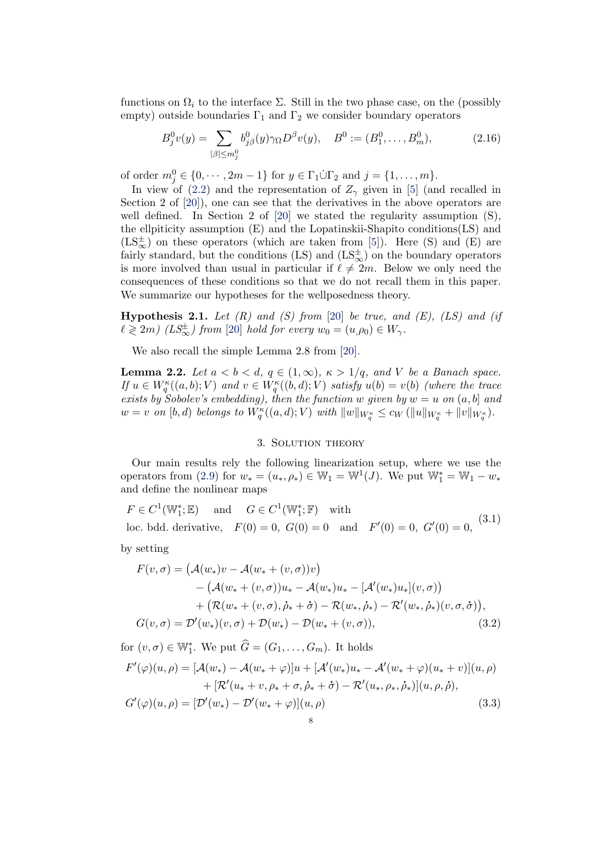functions on  $\Omega_i$  to the interface  $\Sigma$ . Still in the two phase case, on the (possibly empty) outside boundaries  $\Gamma_1$  and  $\Gamma_2$  we consider boundary operators

<span id="page-7-1"></span>
$$
B_j^0 v(y) = \sum_{|\beta| \le m_j^0} b_{j\beta}^0(y) \gamma_\Omega D^\beta v(y), \quad B^0 := (B_1^0, \dots, B_m^0), \tag{2.16}
$$

of order  $m_j^0 \in \{0, \dots, 2m-1\}$  for  $y \in \Gamma_1 \dot{\cup} \Gamma_2$  and  $j = \{1, \dots, m\}$ .

In view of [\(2.2\)](#page-4-3) and the representation of  $Z_{\gamma}$  given in [\[5\]](#page-39-5) (and recalled in Section 2 of [\[20\]](#page-40-1)), one can see that the derivatives in the above operators are well defined. In Section 2 of [\[20\]](#page-40-1) we stated the regularity assumption  $(S)$ , the ellpiticity assumption (E) and the Lopatinskii-Shapito conditions(LS) and  $(LS_{\infty}^{\pm})$  on these operators (which are taken from [\[5\]](#page-39-5)). Here (S) and (E) are fairly standard, but the conditions (LS) and  $(LS_{\infty}^{\pm})$  on the boundary operators is more involved than usual in particular if  $\ell \neq 2m$ . Below we only need the consequences of these conditions so that we do not recall them in this paper. We summarize our hypotheses for the wellposedness theory.

<span id="page-7-2"></span>**Hypothesis 2.1.** Let  $(R)$  and  $(S)$  from [\[20\]](#page-40-1) be true, and  $(E)$ ,  $(LS)$  and  $(if)$  $\ell \geqslant 2m)$  (LS $_{\infty}^{\pm}$ ) from [\[20\]](#page-40-1) hold for every  $w_0 = (u, \rho_0) \in W_{\gamma}$ .

We also recall the simple Lemma 2.8 from [\[20\]](#page-40-1).

<span id="page-7-4"></span>**Lemma 2.2.** Let  $a < b < d$ ,  $q \in (1, \infty)$ ,  $\kappa > 1/q$ , and V be a Banach space. If  $u \in W^{\kappa}_q((a, b); V)$  and  $v \in W^{\kappa}_q((b, d); V)$  satisfy  $u(b) = v(b)$  (where the trace exists by Sobolev's embedding), then the function w given by  $w = u$  on  $(a, b]$  and  $w = v$  on  $[b, d)$  belongs to  $W_q^{\kappa}((a, d); V)$  with  $||w||_{W_q^{\kappa}} \leq c_W (||u||_{W_q^{\kappa}} + ||v||_{W_q^{\kappa}})$ .

# <span id="page-7-5"></span><span id="page-7-3"></span>3. Solution theory

<span id="page-7-0"></span>Our main results rely the following linearization setup, where we use the operators from [\(2.9\)](#page-5-1) for  $w_* = (u_*, \rho_*) \in \mathbb{W}_1 = \mathbb{W}^1(J)$ . We put  $\mathbb{W}_1^* = \mathbb{W}_1 - w_*$ and define the nonlinear maps

<span id="page-7-6"></span> $F \in C^1(\mathbb{W}_1^*;\mathbb{E})$  and  $G \in C^1(\mathbb{W}_1^*;\mathbb{F})$  with 1,  $\mathbb{E}$ ) and  $\mathbf{G} \in \mathbb{C}$  (vv<sub>1</sub>) loc. bdd. derivative,  $F(0) = 0$ ,  $G(0) = 0$  and  $F'(0) = 0$ ,  $G'(0) = 0$ , (3.1) by setting

$$
F(v, \sigma) = (A(w_*)v - A(w_* + (v, \sigma))v)
$$
  
–  $(A(w_* + (v, \sigma))u_* - A(w_*)u_* - [A'(w_*)u_*](v, \sigma))$   
+  $(\mathcal{R}(w_* + (v, \sigma), \dot{\rho}_* + \dot{\sigma}) - \mathcal{R}(w_*, \dot{\rho}_*) - \mathcal{R}'(w_*, \dot{\rho}_*)(v, \sigma, \dot{\sigma})),$   
 $G(v, \sigma) = \mathcal{D}'(w_*)(v, \sigma) + \mathcal{D}(w_*) - \mathcal{D}(w_* + (v, \sigma)),$  (3.2)

for  $(v, \sigma) \in \mathbb{W}_1^*$ . We put  $\widehat{G} = (G_1, \ldots, G_m)$ . It holds

$$
F'(\varphi)(u,\rho) = [\mathcal{A}(w_*) - \mathcal{A}(w_* + \varphi)]u + [\mathcal{A}'(w_*)u_* - \mathcal{A}'(w_* + \varphi)(u_* + v)](u,\rho) + [\mathcal{R}'(u_* + v, \rho_* + \sigma, \dot{\rho}_* + \dot{\sigma}) - \mathcal{R}'(u_*, \rho_*, \dot{\rho}_*)](u,\rho,\dot{\rho}), G'(\varphi)(u,\rho) = [\mathcal{D}'(w_*) - \mathcal{D}'(w_* + \varphi)](u,\rho)
$$
(3.3)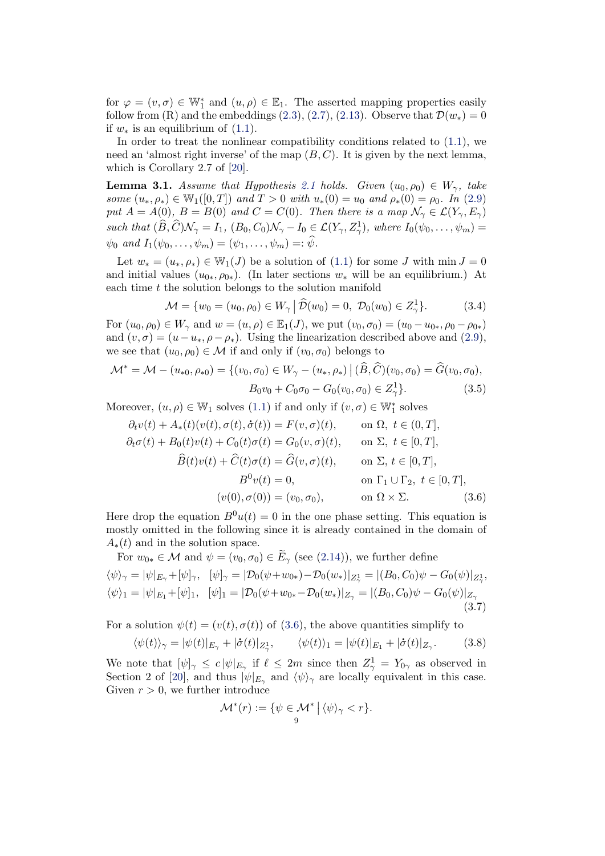for  $\varphi = (v, \sigma) \in \mathbb{W}_1^*$  and  $(u, \rho) \in \mathbb{E}_1$ . The asserted mapping properties easily follow from (R) and the embeddings [\(2.3\)](#page-4-1), [\(2.7\)](#page-5-0), [\(2.13\)](#page-6-1). Observe that  $\mathcal{D}(w_*)=0$ if  $w_*$  is an equilibrium of [\(1.1\)](#page-1-0).

In order to treat the nonlinear compatibility conditions related to [\(1.1\)](#page-1-0), we need an 'almost right inverse' of the map  $(B, C)$ . It is given by the next lemma, which is Corollary 2.7 of [\[20\]](#page-40-1).

<span id="page-8-1"></span>**Lemma 3.1.** Assume that Hypothesis [2.1](#page-7-2) holds. Given  $(u_0, \rho_0) \in W_\gamma$ , take some  $(u_*, \rho_*) \in \mathbb{W}_1([0,T])$  and  $T > 0$  with  $u_*(0) = u_0$  and  $\rho_*(0) = \rho_0$ . In [\(2.9\)](#page-5-1) put  $A = A(0), B = B(0)$  and  $C = C(0)$ . Then there is a map  $\mathcal{N}_{\gamma} \in \mathcal{L}(Y_{\gamma}, E_{\gamma})$ such that  $(\widehat{B}, \widehat{C})\mathcal{N}_{\gamma} = I_1$ ,  $(B_0, C_0)\mathcal{N}_{\gamma} - I_0 \in \mathcal{L}(Y_{\gamma}, Z_{\gamma}^1)$ , where  $I_0(\psi_0, \ldots, \psi_m) =$  $\psi_0$  and  $I_1(\psi_0,\ldots,\psi_m)=(\psi_1,\ldots,\psi_m)=:\widehat{\psi}.$ 

Let  $w_* = (u_*, \rho_*) \in \mathbb{W}_1(J)$  be a solution of  $(1.1)$  for some J with  $\min J = 0$ and initial values  $(u_{0*}, \rho_{0*})$ . (In later sections  $w_*$  will be an equilibrium.) At each time t the solution belongs to the solution manifold

$$
\mathcal{M} = \{ w_0 = (u_0, \rho_0) \in W_\gamma \, \big| \, \widehat{\mathcal{D}}(w_0) = 0, \, \mathcal{D}_0(w_0) \in Z_\gamma^1 \}. \tag{3.4}
$$

For  $(u_0, \rho_0) \in W_\gamma$  and  $w = (u, \rho) \in \mathbb{E}_1(J)$ , we put  $(v_0, \sigma_0) = (u_0 - u_{0*}, \rho_0 - \rho_{0*})$ and  $(v, \sigma) = (u - u_*, \rho - \rho_*)$ . Using the linearization described above and [\(2.9\)](#page-5-1), we see that  $(u_0, \rho_0) \in \mathcal{M}$  if and only if  $(v_0, \sigma_0)$  belongs to

$$
\mathcal{M}^* = \mathcal{M} - (u_{*0}, \rho_{*0}) = \{ (v_0, \sigma_0) \in W_\gamma - (u_*, \rho_*) \mid (\widehat{B}, \widehat{C})(v_0, \sigma_0) = \widehat{G}(v_0, \sigma_0),
$$
  

$$
B_0 v_0 + C_0 \sigma_0 - G_0(v_0, \sigma_0) \in Z_\gamma^1 \}. \tag{3.5}
$$

Moreover,  $(u, \rho) \in \mathbb{W}_1$  solves  $(1.1)$  if and only if  $(v, \sigma) \in \mathbb{W}_1^*$  solves

$$
\partial_t v(t) + A_*(t)(v(t), \sigma(t), \dot{\sigma}(t)) = F(v, \sigma)(t), \quad \text{on } \Omega, \ t \in (0, T],
$$
  
\n
$$
\partial_t \sigma(t) + B_0(t)v(t) + C_0(t)\sigma(t) = G_0(v, \sigma)(t), \quad \text{on } \Sigma, \ t \in [0, T],
$$
  
\n
$$
\widehat{B}(t)v(t) + \widehat{C}(t)\sigma(t) = \widehat{G}(v, \sigma)(t), \quad \text{on } \Sigma, \ t \in [0, T],
$$
  
\n
$$
B^0 v(t) = 0, \quad \text{on } \Gamma_1 \cup \Gamma_2, \ t \in [0, T],
$$
  
\n
$$
(v(0), \sigma(0)) = (v_0, \sigma_0), \quad \text{on } \Omega \times \Sigma.
$$
\n(3.6)

Here drop the equation  $B^0u(t) = 0$  in the one phase setting. This equation is mostly omitted in the following since it is already contained in the domain of  $A_*(t)$  and in the solution space.

<span id="page-8-2"></span>For 
$$
w_{0*} \in \mathcal{M}
$$
 and  $\psi = (v_0, \sigma_0) \in E_\gamma$  (see (2.14)), we further define  
\n $\langle \psi \rangle_{\gamma} = |\psi|_{E_{\gamma}} + [\psi]_{\gamma}, \quad [\psi]_{\gamma} = |\mathcal{D}_0(\psi + w_{0*}) - \mathcal{D}_0(w_*)|_{Z_{\gamma}^1} = |(B_0, C_0)\psi - G_0(\psi)|_{Z_{\gamma}^1},$   
\n $\langle \psi \rangle_1 = |\psi|_{E_1} + [\psi]_1, \quad [\psi]_1 = |\mathcal{D}_0(\psi + w_{0*} - \mathcal{D}_0(w_*)|_{Z_{\gamma}} = |(B_0, C_0)\psi - G_0(\psi)|_{Z_{\gamma}}$   
\n(3.7)

For a solution  $\psi(t) = (v(t), \sigma(t))$  of [\(3.6\)](#page-8-0), the above quantities simplify to

<span id="page-8-3"></span>
$$
\langle \psi(t) \rangle_{\gamma} = |\psi(t)|_{E_{\gamma}} + |\dot{\sigma}(t)|_{Z_{\gamma}^1}, \qquad \langle \psi(t) \rangle_1 = |\psi(t)|_{E_1} + |\dot{\sigma}(t)|_{Z_{\gamma}}. \tag{3.8}
$$

We note that  $[\psi]_{\gamma} \leq c |\psi|_{E_{\gamma}}$  if  $\ell \leq 2m$  since then  $Z_{\gamma}^1 = Y_{0\gamma}$  as observed in Section 2 of [\[20\]](#page-40-1), and thus  $|\psi|_{E_{\gamma}}$  and  $\langle \psi \rangle_{\gamma}$  are locally equivalent in this case. Given  $r > 0$ , we further introduce

<span id="page-8-0"></span>
$$
\mathcal{M}^*(r) := \{ \psi \in \mathcal{M}^* \mid \langle \psi \rangle_{\gamma} < r \}.
$$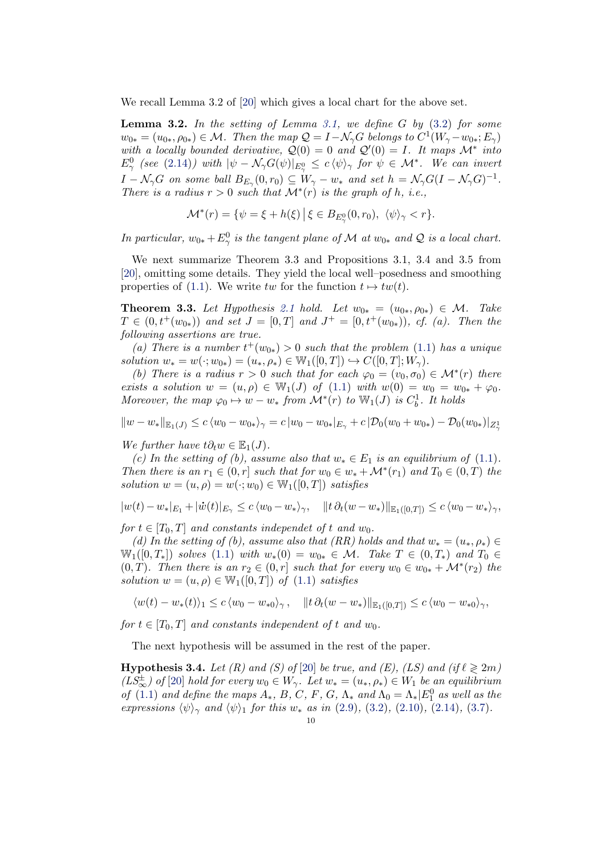We recall Lemma 3.2 of [\[20\]](#page-40-1) which gives a local chart for the above set.

<span id="page-9-2"></span>**Lemma 3.2.** In the setting of Lemma [3.1,](#page-8-1) we define G by  $(3.2)$  for some  $w_{0*} = (u_{0*}, \rho_{0*}) \in \mathcal{M}$ . Then the map  $\mathcal{Q} = I - \mathcal{N}_{\gamma}G$  belongs to  $C^1(W_{\gamma} - w_{0*}; E_{\gamma})$ with a locally bounded derivative,  $Q(0) = 0$  and  $Q'(0) = I$ . It maps  $\mathcal{M}^*$  into  $E^0_\gamma$  (see [\(2.14\)](#page-6-2)) with  $|\psi - \mathcal{N}_\gamma G(\psi)|_{E^0_\gamma} \leq c \langle \psi \rangle_\gamma$  for  $\psi \in \mathcal{M}^*$ . We can invert  $I - \mathcal{N}_{\gamma}G$  on some ball  $B_{E_{\gamma}}(0,r_0) \subseteq W_{\gamma} - w_*$  and set  $h = \mathcal{N}_{\gamma}G(I - \mathcal{N}_{\gamma}G)^{-1}$ . There is a radius  $r > 0$  such that  $\mathcal{M}^*(r)$  is the graph of h, i.e.,

$$
\mathcal{M}^*(r) = \{ \psi = \xi + h(\xi) \, \big| \, \xi \in B_{E^0_\gamma}(0, r_0), \ \langle \psi \rangle_\gamma < r \}.
$$

In particular,  $w_{0*} + E^0_\gamma$  is the tangent plane of M at  $w_{0*}$  and Q is a local chart.

We next summarize Theorem 3.3 and Propositions 3.1, 3.4 and 3.5 from [\[20\]](#page-40-1), omitting some details. They yield the local well–posedness and smoothing properties of [\(1.1\)](#page-1-0). We write tw for the function  $t \mapsto tw(t)$ .

<span id="page-9-1"></span>**Theorem 3.3.** Let Hypothesis [2.1](#page-7-2) hold. Let  $w_{0*} = (u_{0*}, \rho_{0*}) \in \mathcal{M}$ . Take  $T \in (0, t^+(w_{0*}))$  and set  $J = [0, T]$  and  $J^+ = [0, t^+(w_{0*}))$ , cf. (a). Then the following assertions are true.

(a) There is a number  $t^+(w_{0*}) > 0$  such that the problem [\(1.1\)](#page-1-0) has a unique solution  $w_* = w(\cdot; w_{0*}) = (u_*, \rho_*) \in W_1([0, T]) \hookrightarrow C([0, T]; W_\gamma).$ 

(b) There is a radius  $r > 0$  such that for each  $\varphi_0 = (v_0, \sigma_0) \in \mathcal{M}^*(r)$  there exists a solution  $w = (u, \rho) \in \mathbb{W}_1(J)$  of  $(1.1)$  with  $w(0) = w_0 = w_{0*} + \varphi_0$ . Moreover, the map  $\varphi_0 \mapsto w - w_*$  from  $\mathcal{M}^*(r)$  to  $\mathbb{W}_1(J)$  is  $C_b^1$ . It holds

$$
||w - w_*||_{\mathbb{E}_1(J)} \le c \langle w_0 - w_{0*} \rangle_{\gamma} = c |w_0 - w_{0*}|_{E_{\gamma}} + c |\mathcal{D}_0(w_0 + w_{0*}) - \mathcal{D}_0(w_{0*})|_{Z_{\gamma}^1}
$$

We further have  $t\partial_t w \in \mathbb{E}_1(J)$ .

(c) In the setting of (b), assume also that  $w_* \in E_1$  is an equilibrium of [\(1.1\)](#page-1-0). Then there is an  $r_1 \in (0,r]$  such that for  $w_0 \in w_* + \mathcal{M}^*(r_1)$  and  $T_0 \in (0,T)$  the solution  $w = (u, \rho) = w(\cdot; w_0) \in W_1([0, T])$  satisfies

$$
|w(t) - w_*|_{E_1} + |\dot{w}(t)|_{E_\gamma} \le c \langle w_0 - w_* \rangle_\gamma, \quad ||t \, \partial_t (w - w_*)||_{\mathbb{E}_1([0,T])} \le c \langle w_0 - w_* \rangle_\gamma,
$$

for  $t \in [T_0, T]$  and constants independet of t and w<sub>0</sub>.

(d) In the setting of (b), assume also that (RR) holds and that  $w_* = (u_*, \rho_*) \in$  $\mathbb{W}_1([0,T_*])$  solves [\(1.1\)](#page-1-0) with  $w_*(0) = w_{0*} \in \mathcal{M}$ . Take  $T \in (0,T_*)$  and  $T_0 \in$  $(0, T)$ . Then there is an  $r_2 \in (0, r]$  such that for every  $w_0 \in w_{0*} + \mathcal{M}^*(r_2)$  the solution  $w = (u, \rho) \in W_1([0, T])$  of  $(1.1)$  satisfies

$$
\langle w(t) - w_*(t) \rangle_1 \le c \langle w_0 - w_{*0} \rangle_{\gamma}, \quad \|t \partial_t (w - w_*)\|_{\mathbb{E}_1([0,T])} \le c \langle w_0 - w_{*0} \rangle_{\gamma},
$$

for  $t \in [T_0, T]$  and constants independent of t and  $w_0$ .

The next hypothesis will be assumed in the rest of the paper.

<span id="page-9-0"></span>**Hypothesis 3.4.** Let (R) and (S) of [\[20\]](#page-40-1) be true, and (E), (LS) and (if  $\ell \geq 2m$ )  $(LS_{\infty}^{\pm})$  of [\[20\]](#page-40-1) hold for every  $w_0 \in W_{\gamma}$ . Let  $w_* = (u_*, \rho_*) \in W_1$  be an equilibrium of [\(1.1\)](#page-1-0) and define the maps  $A_*, B, C, F, G, \Lambda_*$  and  $\Lambda_0 = \Lambda_* |E_1^0$  as well as the expressions  $\langle \psi \rangle_{\gamma}$  and  $\langle \psi \rangle_{1}$  for this w<sub>\*</sub> as in [\(2.9\)](#page-5-1), [\(3.2\)](#page-7-3), [\(2.10\)](#page-6-3), [\(2.14\)](#page-6-2), [\(3.7\)](#page-8-2).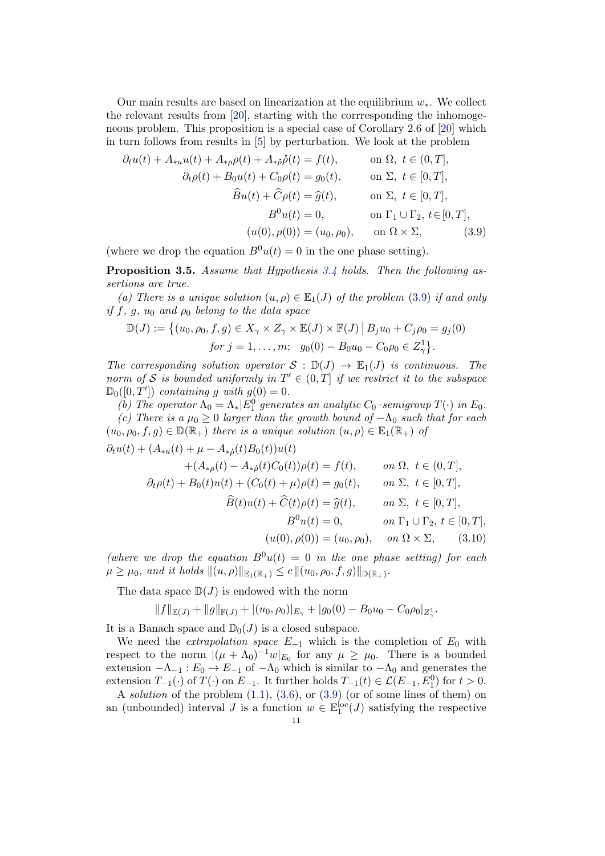Our main results are based on linearization at the equilibrium  $w_*$ . We collect the relevant results from [\[20\]](#page-40-1), starting with the corrresponding the inhomogeneous problem. This proposition is a special case of Corollary 2.6 of [\[20\]](#page-40-1) which in turn follows from results in [\[5\]](#page-39-5) by perturbation. We look at the problem

<span id="page-10-1"></span>
$$
\partial_t u(t) + A_{*u} u(t) + A_{*\rho}\rho(t) + A_{*\rho}\dot{\rho}(t) = f(t), \qquad \text{on } \Omega, \ t \in (0, T],
$$

$$
\partial_t \rho(t) + B_0 u(t) + C_0 \rho(t) = g_0(t), \qquad \text{on } \Sigma, \ t \in [0, T],
$$

$$
\widehat{B}u(t) + \widehat{C}\rho(t) = \widehat{g}(t), \qquad \text{on } \Sigma, \ t \in [0, T],
$$

$$
B^0 u(t) = 0, \qquad \text{on } \Gamma_1 \cup \Gamma_2, \ t \in [0, T],
$$

$$
(u(0), \rho(0)) = (u_0, \rho_0), \qquad \text{on } \Omega \times \Sigma, \qquad (3.9)
$$

(where we drop the equation  $B^0u(t) = 0$  in the one phase setting).

<span id="page-10-0"></span>**Proposition 3.5.** Assume that Hypothesis  $3.4$  holds. Then the following assertions are true.

(a) There is a unique solution  $(u, \rho) \in \mathbb{E}_1(J)$  of the problem [\(3.9\)](#page-10-1) if and only if f, g,  $u_0$  and  $\rho_0$  belong to the data space

$$
\mathbb{D}(J) := \{ (u_0, \rho_0, f, g) \in X_{\gamma} \times Z_{\gamma} \times \mathbb{E}(J) \times \mathbb{F}(J) \, | \, B_j u_0 + C_j \rho_0 = g_j(0) for j = 1, ..., m; \quad g_0(0) - B_0 u_0 - C_0 \rho_0 \in Z_{\gamma}^1 \}.
$$

The corresponding solution operator  $S : \mathbb{D}(J) \to \mathbb{E}_1(J)$  is continuous. The norm of S is bounded uniformly in  $T' \in (0,T]$  if we restrict it to the subspace  $\mathbb{D}_0([0,T'])$  containing g with  $g(0) = 0$ .

(b) The operator  $\Lambda_0 = \Lambda_* |E_1^0$  generates an analytic  $C_0$ -semigroup  $T(\cdot)$  in  $E_0$ . (c) There is a  $\mu_0 \geq 0$  larger than the growth bound of  $-\Lambda_0$  such that for each  $(u_0, \rho_0, f, g) \in \mathbb{D}(\mathbb{R}_+)$  there is a unique solution  $(u, \rho) \in \mathbb{E}_1(\mathbb{R}_+)$  of

$$
\partial_t u(t) + (A_{*u}(t) + \mu - A_{*\rho}(t)B_0(t))u(t) \n+ (A_{*\rho}(t) - A_{*\rho}(t)C_0(t))\rho(t) = f(t), \qquad on \ \Omega, \ t \in (0, T], \n\partial_t \rho(t) + B_0(t)u(t) + (C_0(t) + \mu)\rho(t) = g_0(t), \qquad on \ \Sigma, \ t \in [0, T], \n\widehat{B}(t)u(t) + \widehat{C}(t)\rho(t) = \widehat{g}(t), \qquad on \ \Sigma, \ t \in [0, T], \nB^0 u(t) = 0, \qquad on \ \Gamma_1 \cup \Gamma_2, \ t \in [0, T], \n(u(0), \rho(0)) = (u_0, \rho_0), \qquad on \ \Omega \times \Sigma, \tag{3.10}
$$

(where we drop the equation  $B^0u(t) = 0$  in the one phase setting) for each  $\mu \ge \mu_0$ , and it holds  $\|(u, \rho)\|_{\mathbb{E}_1(\mathbb{R}_+)} \le c \|(u_0, \rho_0, f, g)\|_{\mathbb{D}(\mathbb{R}_+)}.$ 

The data space  $\mathbb{D}(J)$  is endowed with the norm

<span id="page-10-2"></span>
$$
||f||_{\mathbb{E}(J)} + ||g||_{\mathbb{F}(J)} + |(u_0, \rho_0)|_{E_{\gamma}} + |g_0(0) - B_0 u_0 - C_0 \rho_0|_{Z_{\gamma}^1}.
$$

It is a Banach space and  $\mathbb{D}_0(J)$  is a closed subspace.

We need the *extrapolation space*  $E_{-1}$  which is the completion of  $E_0$  with respect to the norm  $|(\mu + \Lambda_0)^{-1}w|_{E_0}$  for any  $\mu \ge \mu_0$ . There is a bounded extension  $-\Lambda_{-1}$ :  $E_0 \to E_{-1}$  of  $-\Lambda_0$  which is similar to  $-\Lambda_0$  and generates the extension  $T_{-1}(\cdot)$  of  $T(\cdot)$  on  $E_{-1}$ . It further holds  $T_{-1}(t) \in \mathcal{L}(E_{-1}, E_1^0)$  for  $t > 0$ .

A solution of the problem  $(1.1)$ ,  $(3.6)$ , or  $(3.9)$  (or of some lines of them) on an (unbounded) interval J is a function  $w \in \mathbb{E}^{\text{loc}}_1(J)$  satisfying the respective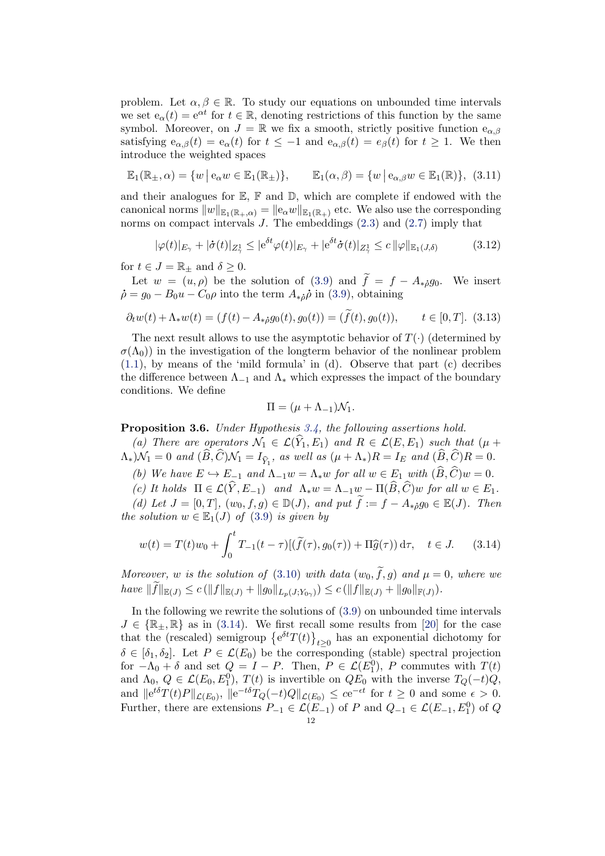problem. Let  $\alpha, \beta \in \mathbb{R}$ . To study our equations on unbounded time intervals we set  $e_{\alpha}(t) = e^{\alpha t}$  for  $t \in \mathbb{R}$ , denoting restrictions of this function by the same symbol. Moreover, on  $J = \mathbb{R}$  we fix a smooth, strictly positive function  $e_{\alpha,\beta}$ satisfying  $e_{\alpha,\beta}(t) = e_{\alpha}(t)$  for  $t \le -1$  and  $e_{\alpha,\beta}(t) = e_{\beta}(t)$  for  $t \ge 1$ . We then introduce the weighted spaces

$$
\mathbb{E}_1(\mathbb{R}_\pm, \alpha) = \{ w \mid e_\alpha w \in \mathbb{E}_1(\mathbb{R}_\pm) \}, \qquad \mathbb{E}_1(\alpha, \beta) = \{ w \mid e_{\alpha, \beta} w \in \mathbb{E}_1(\mathbb{R}) \}, \tag{3.11}
$$

and their analogues for  $\mathbb{E}, \mathbb{F}$  and  $\mathbb{D},$  which are complete if endowed with the canonical norms  $||w||_{\mathbb{E}_1(\mathbb{R}_+,\alpha)} = ||e_\alpha w||_{\mathbb{E}_1(\mathbb{R}_+)}$  etc. We also use the corresponding norms on compact intervals  $J$ . The embeddings  $(2.3)$  and  $(2.7)$  imply that

<span id="page-11-1"></span>
$$
|\varphi(t)|_{E_{\gamma}} + |\dot{\sigma}(t)|_{Z_{\gamma}^1} \le |e^{\delta t} \varphi(t)|_{E_{\gamma}} + |e^{\delta t} \dot{\sigma}(t)|_{Z_{\gamma}^1} \le c \|\varphi\|_{\mathbb{E}_1(J,\delta)} \tag{3.12}
$$

for  $t \in J = \mathbb{R}_{\pm}$  and  $\delta \geq 0$ .

Let  $w = (u, \rho)$  be the solution of [\(3.9\)](#page-10-1) and  $\tilde{f} = f - A_{*i}g_0$ . We insert  $\dot{\rho} = g_0 - B_0 u - C_0 \rho$  into the term  $A_{\dot{\phi}} \dot{\rho}$  in [\(3.9\)](#page-10-1), obtaining

<span id="page-11-4"></span>
$$
\partial_t w(t) + \Lambda_* w(t) = (f(t) - A_{*\dot{\rho}} g_0(t), g_0(t)) = (\tilde{f}(t), g_0(t)), \qquad t \in [0, T]. \tag{3.13}
$$

The next result allows to use the asymptotic behavior of  $T(\cdot)$  (determined by  $\sigma(\Lambda_0)$  in the investigation of the longterm behavior of the nonlinear problem  $(1.1)$ , by means of the 'mild formula' in  $(d)$ . Observe that part  $(c)$  decribes the difference between  $\Lambda_{-1}$  and  $\Lambda_*$  which expresses the impact of the boundary conditions. We define

<span id="page-11-2"></span>
$$
\Pi = (\mu + \Lambda_{-1})\mathcal{N}_1.
$$

<span id="page-11-3"></span>Proposition 3.6. Under Hypothesis [3.4,](#page-9-0) the following assertions hold.

(a) There are operators  $\mathcal{N}_1 \in \mathcal{L}(Y_1, E_1)$  and  $R \in \mathcal{L}(E, E_1)$  such that  $(\mu +$  $\Lambda_*$ ) $\mathcal{N}_1 = 0$  and  $(B, C)\mathcal{N}_1 = I_{\hat{Y}_1}$ , as well as  $(\mu + \Lambda_*)R = I_E$  and  $(B, C)R = 0$ .

(b) We have  $E \hookrightarrow E_{-1}$  and  $\Lambda_{-1}w = \Lambda_* w$  for all  $w \in E_1$  with  $(\widehat{B}, \widehat{C})w = 0$ .

(c) It holds  $\Pi \in \mathcal{L}(\widehat{Y}, E_{-1})$  and  $\Lambda_* w = \Lambda_{-1}w - \Pi(\widehat{B}, \widehat{C})w$  for all  $w \in E_1$ .

(d) Let  $J = [0, T]$ ,  $(w_0, f, g) \in \mathbb{D}(J)$ , and put  $\widetilde{f} := f - A_{*i}g_0 \in \mathbb{E}(J)$ . Then the solution  $w \in \mathbb{E}_1(J)$  of [\(3.9\)](#page-10-1) is given by

<span id="page-11-0"></span>
$$
w(t) = T(t)w_0 + \int_0^t T_{-1}(t - \tau)[(\tilde{f}(\tau), g_0(\tau)) + \Pi \hat{g}(\tau)) d\tau, \quad t \in J. \tag{3.14}
$$

Moreover, w is the solution of [\(3.10\)](#page-10-2) with data  $(w_0, \tilde{f}, g)$  and  $\mu = 0$ , where we have  $||f||_{\mathbb{E}(J)} \le c (||f||_{\mathbb{E}(J)} + ||g_0||_{L_p(J;Y_{0\gamma})}) \le c (||f||_{\mathbb{E}(J)} + ||g_0||_{\mathbb{F}(J)}).$ 

In the following we rewrite the solutions of [\(3.9\)](#page-10-1) on unbounded time intervals  $J \in \{ \mathbb{R}_+ , \mathbb{R} \}$  as in [\(3.14\)](#page-11-0). We first recall some results from [\[20\]](#page-40-1) for the case that the (rescaled) semigroup  $\{e^{\delta t}T(t)\}_{t\geq 0}$  has an exponential dichotomy for  $\delta \in [\delta_1, \delta_2]$ . Let  $P \in \mathcal{L}(E_0)$  be the corresponding (stable) spectral projection for  $-\Lambda_0 + \delta$  and set  $Q = I - P$ . Then,  $P \in \mathcal{L}(E_1^0)$ , P commutes with  $T(t)$ and  $\Lambda_0, Q \in \mathcal{L}(E_0, E_1^0), T(t)$  is invertible on  $QE_0$  with the inverse  $T_Q(-t)Q$ , and  $||e^{t\delta}T(t)P||_{\mathcal{L}(E_0)}, ||e^{-t\delta}T_Q(-t)Q||_{\mathcal{L}(E_0)} \leq c e^{-\epsilon t}$  for  $t \geq 0$  and some  $\epsilon > 0$ . Further, there are extensions  $P_{-1} \in \mathcal{L}(E_{-1})$  of P and  $Q_{-1} \in \mathcal{L}(E_{-1}, E_1^0)$  of Q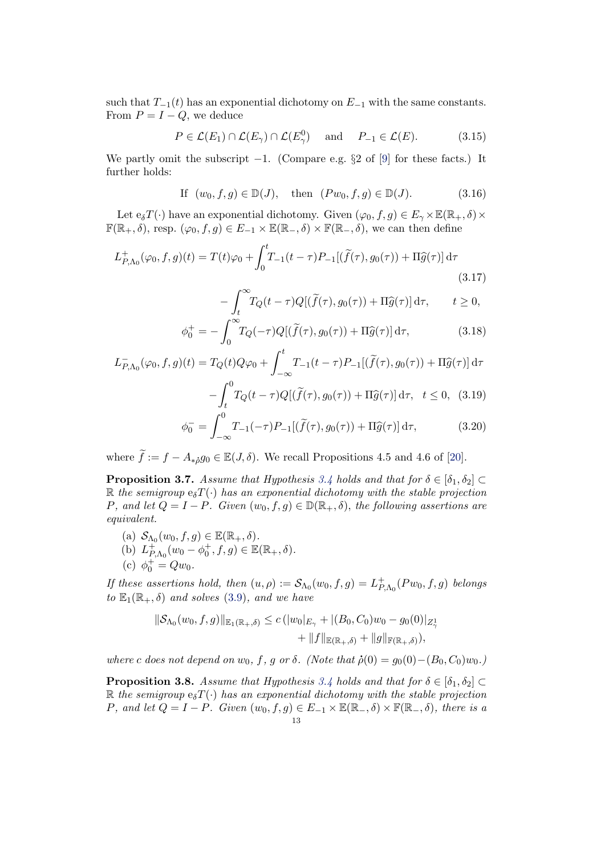such that  $T_{-1}(t)$  has an exponential dichotomy on  $E_{-1}$  with the same constants. From  $P = I - Q$ , we deduce

<span id="page-12-4"></span>
$$
P \in \mathcal{L}(E_1) \cap \mathcal{L}(E_\gamma) \cap \mathcal{L}(E_\gamma^0) \quad \text{and} \quad P_{-1} \in \mathcal{L}(E). \tag{3.15}
$$

We partly omit the subscript  $-1$ . (Compare e.g. §2 of [\[9\]](#page-40-9) for these facts.) It further holds:

<span id="page-12-3"></span>If 
$$
(w_0, f, g) \in \mathbb{D}(J)
$$
, then  $(Pw_0, f, g) \in \mathbb{D}(J)$ . (3.16)

Let  $e_{\delta}T(\cdot)$  have an exponential dichotomy. Given  $(\varphi_0, f, g) \in E_{\gamma} \times \mathbb{E}(\mathbb{R}_+, \delta) \times$  $\mathbb{F}(\mathbb{R}_+,\delta)$ , resp.  $(\varphi_0, f, g) \in E_{-1} \times \mathbb{E}(\mathbb{R}_-,\delta) \times \mathbb{F}(\mathbb{R}_-,\delta)$ , we can then define

$$
L_{P,\Lambda_0}^+(\varphi_0, f, g)(t) = T(t)\varphi_0 + \int_0^t T_{-1}(t-\tau)P_{-1}[(\tilde{f}(\tau), g_0(\tau)) + \Pi \hat{g}(\tau)] d\tau
$$
\n(3.17)

<span id="page-12-2"></span>
$$
-\int_{t}^{\infty} T_Q(t-\tau)Q[(\tilde{f}(\tau), g_0(\tau)) + \Pi \hat{g}(\tau)] d\tau, \qquad t \ge 0,
$$

$$
\phi_0^+ = -\int_0^\infty T_Q(-\tau)Q[(\widetilde{f}(\tau), g_0(\tau)) + \Pi \widehat{g}(\tau)] d\tau, \tag{3.18}
$$

$$
L_{P,\Lambda_0}^-(\varphi_0, f, g)(t) = T_Q(t)Q\varphi_0 + \int_{-\infty}^t T_{-1}(t-\tau)P_{-1}[(\widetilde{f}(\tau), g_0(\tau)) + \Pi \widehat{g}(\tau)] d\tau
$$

<span id="page-12-5"></span>
$$
-\int_{t}^{0} T_{Q}(t-\tau)Q[(\tilde{f}(\tau), g_{0}(\tau)) + \Pi \hat{g}(\tau)] d\tau, \quad t \le 0, \quad (3.19)
$$

$$
\phi_0^- = \int_{-\infty}^0 T_{-1}(-\tau) P_{-1}[(\tilde{f}(\tau), g_0(\tau)) + \Pi \hat{g}(\tau)] d\tau, \tag{3.20}
$$

where  $\tilde{f} := f - A_{\ast \delta} g_0 \in \mathbb{E}(J, \delta)$ . We recall Propositions 4.5 and 4.6 of [\[20\]](#page-40-1).

<span id="page-12-0"></span>**Proposition 3.7.** Assume that Hypothesis [3.4](#page-9-0) holds and that for  $\delta \in [\delta_1, \delta_2]$ R the semigroup  $e_{\delta}T(\cdot)$  has an exponential dichotomy with the stable projection P, and let  $Q = I - P$ . Given  $(w_0, f, g) \in \mathbb{D}(\mathbb{R}_+, \delta)$ , the following assertions are equivalent.

- (a)  $S_{\Lambda_0}(w_0, f, g) \in \mathbb{E}(\mathbb{R}_+, \delta)$ .
- (b)  $L_P^+$  $P_{, \Lambda_0}^+(w_0 - \phi_0^+, f, g) \in \mathbb{E}(\mathbb{R}_+, \delta).$
- (c)  $\phi_0^+ = Qw_0$ .

If these assertions hold, then  $(u, \rho) := \mathcal{S}_{\Lambda_0}(w_0, f, g) = L_P^+$  $^+_{P,\Lambda_0}(Pw_0,f,g)$  belongs to  $\mathbb{E}_1(\mathbb{R}_+, \delta)$  and solves [\(3.9\)](#page-10-1), and we have

$$
\|\mathcal{S}_{\Lambda_0}(w_0, f, g)\|_{\mathbb{E}_1(\mathbb{R}_+, \delta)} \le c \left( |w_0|_{E_\gamma} + |(B_0, C_0)w_0 - g_0(0)|_{Z_\gamma^1} + \|f\|_{\mathbb{E}(\mathbb{R}_+, \delta)} + \|g\|_{\mathbb{F}(\mathbb{R}_+, \delta)} \right),
$$

where c does not depend on  $w_0$ , f, g or  $\delta$ . (Note that  $\dot{\rho}(0) = g_0(0) - (B_0, C_0)w_0$ .)

<span id="page-12-1"></span>**Proposition 3.8.** Assume that Hypothesis [3.4](#page-9-0) holds and that for  $\delta \in [\delta_1, \delta_2]$ R the semigroup  $e_{\delta}T(\cdot)$  has an exponential dichotomy with the stable projection P, and let  $Q = I - P$ . Given  $(w_0, f, g) \in E_{-1} \times \mathbb{E}(\mathbb{R}_-, \delta) \times \mathbb{F}(\mathbb{R}_-, \delta)$ , there is a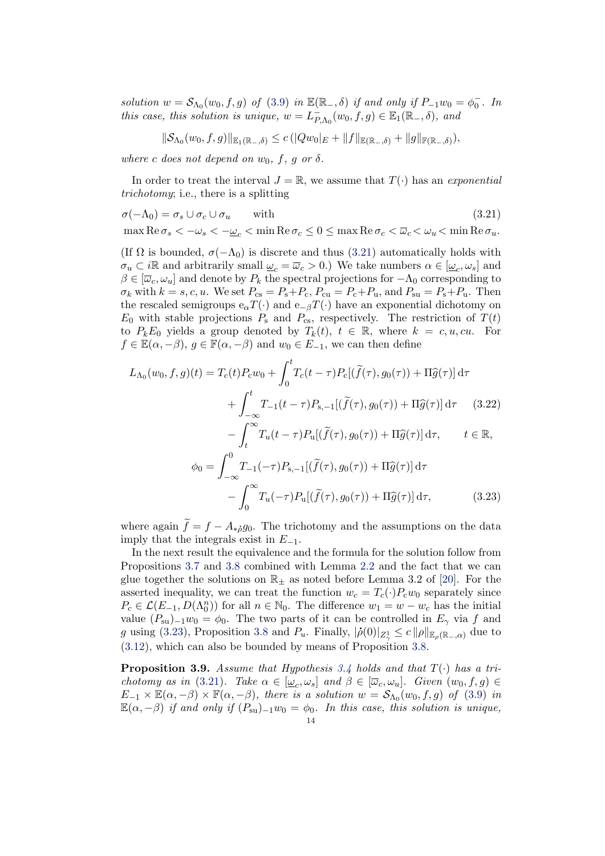solution  $w = S_{\Lambda_0}(w_0, f, g)$  of [\(3.9\)](#page-10-1) in  $\mathbb{E}(\mathbb{R}_-, \delta)$  if and only if  $P_{-1}w_0 = \phi_0^-$ . In this case, this solution is unique,  $w = L_P^ P_{,\Lambda_0}(w_0, f, g) \in \mathbb{E}_1(\mathbb{R}_-, \delta)$ , and

<span id="page-13-0"></span>
$$
\|\mathcal{S}_{\Lambda_0}(w_0,f,g)\|_{\mathbb{E}_1(\mathbb{R}_-,\delta)} \leq c \left( |Qw_0|_E + \|f\|_{\mathbb{E}(\mathbb{R}_-,\delta)} + \|g\|_{\mathbb{F}(\mathbb{R}_-,\delta)} \right),
$$

where c does not depend on  $w_0$ , f, g or  $\delta$ .

In order to treat the interval  $J = \mathbb{R}$ , we assume that  $T(\cdot)$  has an exponential trichotomy; i.e., there is a splitting

$$
\sigma(-\Lambda_0) = \sigma_s \cup \sigma_c \cup \sigma_u \qquad \text{with} \tag{3.21}
$$

max  $\text{Re}\,\sigma_s < -\omega_s < -\omega_c < \min \text{Re}\,\sigma_c \leq 0 \leq \max \text{Re}\,\sigma_c < \overline{\omega}_c < \omega_u < \min \text{Re}\,\sigma_u$ .

(If  $\Omega$  is bounded,  $\sigma(-\Lambda_0)$  is discrete and thus [\(3.21\)](#page-13-0) automatically holds with  $\sigma_u \subset i\mathbb{R}$  and arbitrarily small  $\underline{\omega}_c = \overline{\omega}_c > 0$ .) We take numbers  $\alpha \in [\underline{\omega}_c, \omega_s]$  and  $\beta \in [\overline{\omega}_c, \omega_u]$  and denote by  $P_k$  the spectral projections for  $-\Lambda_0$  corresponding to  $\sigma_k$  with  $k = s, c, u$ . We set  $P_{cs} = P_s + P_c$ ,  $P_{cu} = P_c + P_u$ , and  $P_{su} = P_s + P_u$ . Then the rescaled semigroups  $e_{\alpha}T(\cdot)$  and  $e_{-\beta}T(\cdot)$  have an exponential dichotomy on  $E_0$  with stable projections  $P_s$  and  $P_{cs}$ , respectively. The restriction of  $T(t)$ to  $P_k E_0$  yields a group denoted by  $T_k(t)$ ,  $t \in \mathbb{R}$ , where  $k = c, u, cu$ . For  $f \in \mathbb{E}(\alpha, -\beta), g \in \mathbb{F}(\alpha, -\beta)$  and  $w_0 \in E_{-1}$ , we can then define

<span id="page-13-2"></span>
$$
L_{\Lambda_0}(w_0, f, g)(t) = T_c(t)P_c w_0 + \int_0^t T_c(t - \tau)P_c[(\tilde{f}(\tau), g_0(\tau)) + \Pi \hat{g}(\tau)] d\tau + \int_{-\infty}^t T_{-1}(t - \tau)P_{s,-1}[(\tilde{f}(\tau), g_0(\tau)) + \Pi \hat{g}(\tau)] d\tau \qquad (3.22) - \int_t^{\infty} T_u(t - \tau)P_u[(\tilde{f}(\tau), g_0(\tau)) + \Pi \hat{g}(\tau)] d\tau, \qquad t \in \mathbb{R}, \phi_0 = \int_{-\infty}^0 T_{-1}(-\tau)P_{s,-1}[(\tilde{f}(\tau), g_0(\tau)) + \Pi \hat{g}(\tau)] d\tau - \int_0^{\infty} T_u(-\tau)P_u[(\tilde{f}(\tau), g_0(\tau)) + \Pi \hat{g}(\tau)] d\tau, \qquad (3.23)
$$

<span id="page-13-1"></span>where again  $\tilde{f} = f - A_{\dot{\ast}o}g_0$ . The trichotomy and the assumptions on the data imply that the integrals exist in  $E_{-1}$ .

In the next result the equivalence and the formula for the solution follow from Propositions [3.7](#page-12-0) and [3.8](#page-12-1) combined with Lemma [2.2](#page-7-4) and the fact that we can glue together the solutions on  $\mathbb{R}_{\pm}$  as noted before Lemma 3.2 of [\[20\]](#page-40-1). For the asserted inequality, we can treat the function  $w_c = T_c(\cdot)P_cw_0$  separately since  $P_c \in \mathcal{L}(E_{-1}, D(\Lambda_0^n))$  for all  $n \in \mathbb{N}_0$ . The difference  $w_1 = w - w_c$  has the initial value  $(P_{su})_{-1}w_0 = \phi_0$ . The two parts of it can be controlled in  $E_\gamma$  via f and g using [\(3.23\)](#page-13-1), Proposition [3.8](#page-12-1) and  $P_u$ . Finally,  $|\dot{\rho}(0)|_{Z^1_\gamma} \leq c ||\rho||_{\mathbb{E}_{\rho}(\mathbb{R}_-, \alpha)}$  due to [\(3.12\)](#page-11-1), which can also be bounded by means of Proposition [3.8.](#page-12-1)

<span id="page-13-3"></span>**Proposition 3.9.** Assume that Hypothesis [3.4](#page-9-0) holds and that  $T(\cdot)$  has a tri-chotomy as in [\(3.21\)](#page-13-0). Take  $\alpha \in [\underline{\omega}_c, \omega_s]$  and  $\beta \in [\overline{\omega}_c, \omega_u]$ . Given  $(w_0, f, g) \in$  $E_{-1} \times \mathbb{E}(\alpha, -\beta) \times \mathbb{F}(\alpha, -\beta)$ , there is a solution  $w = \mathcal{S}_{\Lambda_0}(w_0, f, g)$  of [\(3.9\)](#page-10-1) in  $\mathbb{E}(\alpha, -\beta)$  if and only if  $(P_{su})_{-1}w_0 = \phi_0$ . In this case, this solution is unique,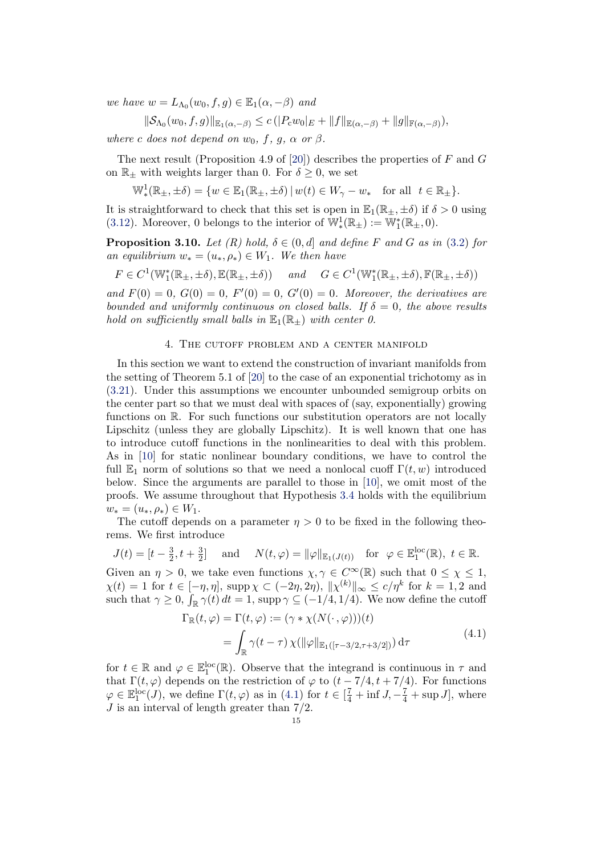we have  $w = L_{\Lambda_0}(w_0, f, g) \in \mathbb{E}_1(\alpha, -\beta)$  and

 $\|\mathcal{S}_{\Lambda_0}(w_0, f, g)\|_{\mathbb{E}_1(\alpha,-\beta)} \leq c \left( |P_{\alpha}w_0|_E + \|f\|_{\mathbb{E}(\alpha,-\beta)} + \|g\|_{\mathbb{F}(\alpha,-\beta)}\right),$ 

where c does not depend on  $w_0$ , f, g,  $\alpha$  or  $\beta$ .

The next result (Proposition 4.9 of [\[20\]](#page-40-1)) describes the properties of  $F$  and  $G$ on  $\mathbb{R}_+$  with weights larger than 0. For  $\delta \geq 0$ , we set

 $\mathbb{W}_*^1(\mathbb{R}_{\pm}, \pm \delta) = \{w \in \mathbb{E}_1(\mathbb{R}_{\pm}, \pm \delta) \, | \, w(t) \in W_\gamma - w_* \text{ for all } t \in \mathbb{R}_{\pm} \}.$ 

It is straightforward to check that this set is open in  $\mathbb{E}_1(\mathbb{R}_+,\pm \delta)$  if  $\delta > 0$  using [\(3.12\)](#page-11-1). Moreover, 0 belongs to the interior of  $\mathbb{W}^1_*(\mathbb{R}_\pm) := \mathbb{W}^*_1(\mathbb{R}_\pm, 0)$ .

<span id="page-14-2"></span>**Proposition 3.10.** Let  $(R)$  hold,  $\delta \in (0, d]$  and define F and G as in [\(3.2\)](#page-7-3) for an equilibrium  $w_* = (u_*, \rho_*) \in W_1$ . We then have

$$
F \in C^1(\mathbb{W}_1^*(\mathbb{R}_\pm, \pm \delta), \mathbb{E}(\mathbb{R}_\pm, \pm \delta)) \quad \text{and} \quad G \in C^1(\mathbb{W}_1^*(\mathbb{R}_\pm, \pm \delta), \mathbb{F}(\mathbb{R}_\pm, \pm \delta))
$$

and  $F(0) = 0$ ,  $G(0) = 0$ ,  $F'(0) = 0$ ,  $G'(0) = 0$ . Moreover, the derivatives are bounded and uniformly continuous on closed balls. If  $\delta = 0$ , the above results hold on sufficiently small balls in  $\mathbb{E}_1(\mathbb{R}_+)$  with center 0.

### 4. The cutoff problem and a center manifold

<span id="page-14-0"></span>In this section we want to extend the construction of invariant manifolds from the setting of Theorem 5.1 of [\[20\]](#page-40-1) to the case of an exponential trichotomy as in [\(3.21\)](#page-13-0). Under this assumptions we encounter unbounded semigroup orbits on the center part so that we must deal with spaces of (say, exponentially) growing functions on R. For such functions our substitution operators are not locally Lipschitz (unless they are globally Lipschitz). It is well known that one has to introduce cutoff functions in the nonlinearities to deal with this problem. As in [\[10\]](#page-40-10) for static nonlinear boundary conditions, we have to control the full  $\mathbb{E}_1$  norm of solutions so that we need a nonlocal cuoff  $\Gamma(t, w)$  introduced below. Since the arguments are parallel to those in [\[10\]](#page-40-10), we omit most of the proofs. We assume throughout that Hypothesis [3.4](#page-9-0) holds with the equilibrium  $w_* = (u_*, \rho_*) \in W_1.$ 

The cutoff depends on a parameter  $\eta > 0$  to be fixed in the following theorems. We first introduce

$$
J(t) = [t - \frac{3}{2}, t + \frac{3}{2}] \quad \text{and} \quad N(t, \varphi) = ||\varphi||_{\mathbb{E}_1(J(t))} \quad \text{for} \ \varphi \in \mathbb{E}_1^{\text{loc}}(\mathbb{R}), \ t \in \mathbb{R}.
$$

Given an  $\eta > 0$ , we take even functions  $\chi, \gamma \in C^{\infty}(\mathbb{R})$  such that  $0 \leq \chi \leq 1$ ,  $\chi(t) = 1$  for  $t \in [-\eta, \eta]$ , supp $\chi \subset (-2\eta, 2\eta)$ ,  $\|\chi^{(k)}\|_{\infty} \le c/\eta^{k}$  for  $k = 1, 2$  and such that  $\gamma \geq 0$ ,  $\int_{\mathbb{R}} \gamma(t) dt = 1$ , supp $\gamma \subseteq (-1/4, 1/4)$ . We now define the cutoff

$$
\Gamma_{\mathbb{R}}(t,\varphi) = \Gamma(t,\varphi) := (\gamma * \chi(N(\cdot,\varphi)))(t)
$$
  
= 
$$
\int_{\mathbb{R}} \gamma(t-\tau) \chi(||\varphi||_{\mathbb{E}_1([ \tau - 3/2, \tau + 3/2])}) d\tau
$$
 (4.1)

<span id="page-14-1"></span>for  $t \in \mathbb{R}$  and  $\varphi \in \mathbb{E}_1^{\text{loc}}(\mathbb{R})$ . Observe that the integrand is continuous in  $\tau$  and that  $\Gamma(t, \varphi)$  depends on the restriction of  $\varphi$  to  $(t - 7/4, t + 7/4)$ . For functions  $\varphi \in \mathbb{E}_1^{\text{loc}}(J)$ , we define  $\Gamma(t, \varphi)$  as in [\(4.1\)](#page-14-1) for  $t \in [\frac{7}{4} + \inf J, -\frac{7}{4} + \sup J]$ , where  $J$  is an interval of length greater than  $7/2$ .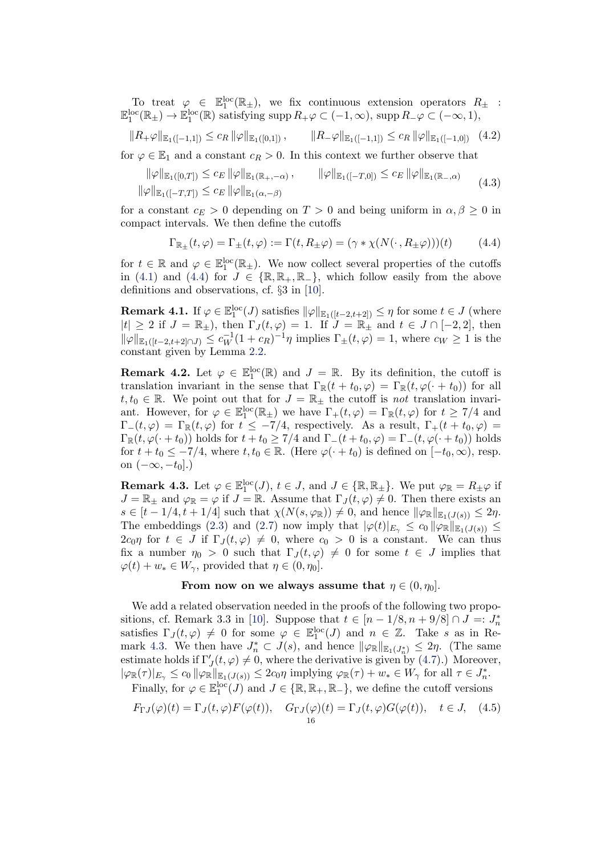To treat  $\varphi \in \mathbb{E}_1^{\rm loc}(\mathbb{R}_+)$ , we fix continuous extension operators  $R_{\pm}$ :  $\mathbb{E}_1^{\rm loc}(\mathbb{R}_+) \to \mathbb{E}_1^{\rm loc}(\mathbb{R})$  satisfying supp  $R_+\varphi \subset (-1,\infty)$ , supp  $R_-\varphi \subset (-\infty,1)$ ,

<span id="page-15-6"></span>
$$
||R_+\varphi||_{\mathbb{E}_1([-1,1])} \le c_R ||\varphi||_{\mathbb{E}_1([0,1])}, \qquad ||R_-\varphi||_{\mathbb{E}_1([-1,1])} \le c_R ||\varphi||_{\mathbb{E}_1([-1,0])} \quad (4.2)
$$

for  $\varphi \in \mathbb{E}_1$  and a constant  $c_R > 0$ . In this context we further observe that

<span id="page-15-5"></span>
$$
\|\varphi\|_{\mathbb{E}_1([0,T])} \leq c_E \|\varphi\|_{\mathbb{E}_1(\mathbb{R}_+,-\alpha)}, \qquad \|\varphi\|_{\mathbb{E}_1([-T,0])} \leq c_E \|\varphi\|_{\mathbb{E}_1(\mathbb{R}_-,\alpha)}
$$
  

$$
\|\varphi\|_{\mathbb{E}_1([-T,T])} \leq c_E \|\varphi\|_{\mathbb{E}_1(\alpha,-\beta)}
$$
 (4.3)

for a constant  $c_E > 0$  depending on  $T > 0$  and being uniform in  $\alpha, \beta \geq 0$  in compact intervals. We then define the cutoffs

<span id="page-15-0"></span>
$$
\Gamma_{\mathbb{R}_{\pm}}(t,\varphi) = \Gamma_{\pm}(t,\varphi) := \Gamma(t,R_{\pm}\varphi) = (\gamma * \chi(N(\cdot,R_{\pm}\varphi)))(t) \tag{4.4}
$$

for  $t \in \mathbb{R}$  and  $\varphi \in \mathbb{E}_1^{\rm loc}(\mathbb{R}_+)$ . We now collect several properties of the cutoffs in [\(4.1\)](#page-14-1) and [\(4.4\)](#page-15-0) for  $J \in \{ \mathbb{R}, \mathbb{R}_+, \mathbb{R}_- \}$ , which follow easily from the above definitions and observations, cf. §3 in [\[10\]](#page-40-10).

<span id="page-15-2"></span>**Remark 4.1.** If  $\varphi \in \mathbb{E}_1^{\text{loc}}(J)$  satisfies  $\|\varphi\|_{\mathbb{E}_1([t-2,t+2])} \leq \eta$  for some  $t \in J$  (where  $|t| \geq 2$  if  $J = \mathbb{R}_{\pm}$ ), then  $\Gamma_J(t, \varphi) = 1$ . If  $J = \mathbb{R}_{\pm}$  and  $t \in J \cap [-2, 2]$ , then  $\|\varphi\|_{\mathbb{E}_1([t-2,t+2]\cap J)} \leq c_W^{-1}(1+c_R)^{-1}\eta$  implies  $\Gamma_{\pm}(t,\varphi) = 1$ , where  $c_W \geq 1$  is the constant given by Lemma [2.2.](#page-7-4)

<span id="page-15-4"></span>**Remark 4.2.** Let  $\varphi \in \mathbb{E}_1^{\text{loc}}(\mathbb{R})$  and  $J = \mathbb{R}$ . By its definition, the cutoff is translation invariant in the sense that  $\Gamma_{\mathbb{R}}(t+t_0,\varphi)=\Gamma_{\mathbb{R}}(t,\varphi(\cdot+t_0))$  for all  $t, t_0 \in \mathbb{R}$ . We point out that for  $J = \mathbb{R}_{\pm}$  the cutoff is not translation invariant. However, for  $\varphi \in \mathbb{E}_1^{\text{loc}}(\mathbb{R}_+)$  we have  $\Gamma_+(t,\varphi) = \Gamma_{\mathbb{R}}(t,\varphi)$  for  $t \geq 7/4$  and  $\Gamma_-(t,\varphi) = \Gamma_\mathbb{R}(t,\varphi)$  for  $t \leq -7/4$ , respectively. As a result,  $\Gamma_+(t+t_0,\varphi) =$  $\Gamma_{\mathbb{R}}(t, \varphi(\cdot + t_0))$  holds for  $t + t_0 \ge 7/4$  and  $\Gamma_{-}(t + t_0, \varphi) = \Gamma_{-}(t, \varphi(\cdot + t_0))$  holds for  $t + t_0 \leq -7/4$ , where  $t, t_0 \in \mathbb{R}$ . (Here  $\varphi(\cdot + t_0)$  is defined on  $[-t_0, \infty)$ , resp. on  $(-\infty, -t_0]$ .)

<span id="page-15-1"></span>**Remark 4.3.** Let  $\varphi \in \mathbb{E}_1^{\text{loc}}(J)$ ,  $t \in J$ , and  $J \in \{\mathbb{R}, \mathbb{R}_{\pm}\}\$ . We put  $\varphi_{\mathbb{R}} = R_{\pm} \varphi$  if  $J = \mathbb{R}_{\pm}$  and  $\varphi_{\mathbb{R}} = \varphi$  if  $J = \mathbb{R}$ . Assume that  $\Gamma_J(t, \varphi) \neq 0$ . Then there exists an  $s \in [t-1/4, t+1/4]$  such that  $\chi(N(s, \varphi_{\mathbb{R}})) \neq 0$ , and hence  $\|\varphi_{\mathbb{R}}\|_{\mathbb{E}_1(J(s))} \leq 2\eta$ . The embeddings [\(2.3\)](#page-4-1) and [\(2.7\)](#page-5-0) now imply that  $|\varphi(t)|_{E_{\gamma}} \leq c_0 \|\varphi_{\mathbb{R}}\|_{\mathbb{E}_1(J(s))} \leq$  $2c_0\eta$  for  $t \in J$  if  $\Gamma_J(t, \varphi) \neq 0$ , where  $c_0 > 0$  is a constant. We can thus fix a number  $\eta_0 > 0$  such that  $\Gamma_J(t, \varphi) \neq 0$  for some  $t \in J$  implies that  $\varphi(t) + w_* \in W_\gamma$ , provided that  $\eta \in (0, \eta_0]$ .

# From now on we always assume that  $\eta \in (0, \eta_0]$ .

We add a related observation needed in the proofs of the following two propo-sitions, cf. Remark 3.3 in [\[10\]](#page-40-10). Suppose that  $t \in [n-1/8, n+9/8] \cap J =: J_n^*$ satisfies  $\Gamma_J(t,\varphi) \neq 0$  for some  $\varphi \in \mathbb{E}^{\text{loc}}_1(J)$  and  $n \in \mathbb{Z}$ . Take s as in Re-mark [4.3.](#page-15-1) We then have  $J_n^* \subset J(s)$ , and hence  $\|\varphi_{\mathbb{R}}\|_{\mathbb{E}_1(J_n^*)} \leq 2\eta$ . (The same estimate holds if  $\Gamma'_J(t, \varphi) \neq 0$ , where the derivative is given by [\(4.7\)](#page-16-0).) Moreover,  $|\varphi_{\mathbb{R}}(\tau)|_{E_{\gamma}} \leq c_0 \|\varphi_{\mathbb{R}}\|_{\mathbb{E}_1(J(s))} \leq 2c_0\eta$  implying  $\varphi_{\mathbb{R}}(\tau) + w_* \in W_\gamma$  for all  $\tau \in J_n^*$ . Finally, for  $\varphi \in \mathbb{E}_1^{\text{loc}}(J)$  and  $J \in \{ \mathbb{R}, \mathbb{R}_+, \mathbb{R}_- \}$ , we define the cutoff versions

<span id="page-15-3"></span>
$$
F_{\Gamma J}(\varphi)(t) = \Gamma_J(t, \varphi) F(\varphi(t)), \quad G_{\Gamma J}(\varphi)(t) = \Gamma_J(t, \varphi) G(\varphi(t)), \quad t \in J, \quad (4.5)
$$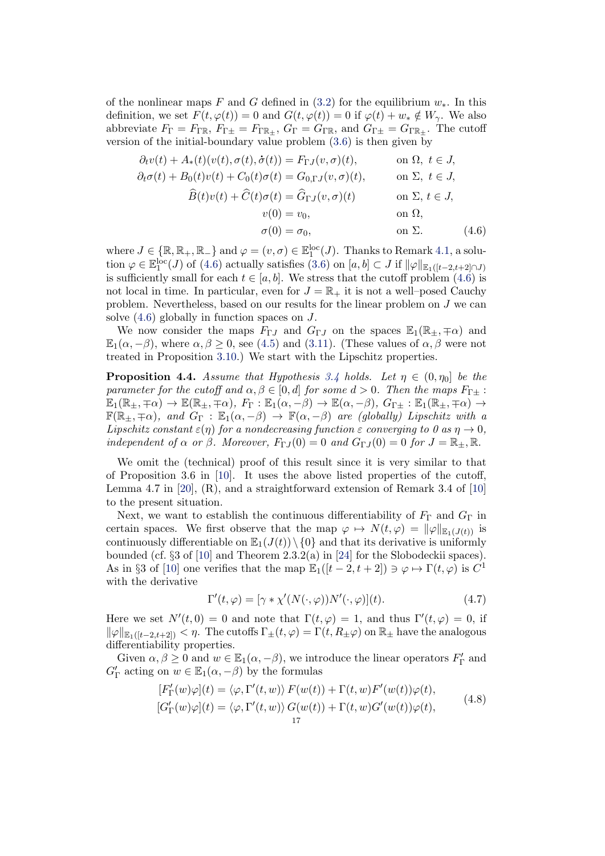of the nonlinear maps F and G defined in  $(3.2)$  for the equilibrium  $w_*$ . In this definition, we set  $F(t, \varphi(t)) = 0$  and  $G(t, \varphi(t)) = 0$  if  $\varphi(t) + w_* \notin W_\gamma$ . We also abbreviate  $F_{\Gamma} = F_{\Gamma \mathbb{R}}, F_{\Gamma \pm} = F_{\Gamma \mathbb{R}_+}, G_{\Gamma} = G_{\Gamma \mathbb{R}}, \text{ and } G_{\Gamma \pm} = G_{\Gamma \mathbb{R}_+}.$  The cutoff version of the initial-boundary value problem [\(3.6\)](#page-8-0) is then given by

<span id="page-16-1"></span>
$$
\partial_t v(t) + A_*(t)(v(t), \sigma(t), \dot{\sigma}(t)) = F_{\Gamma J}(v, \sigma)(t), \qquad \text{on } \Omega, \ t \in J,
$$
  
\n
$$
\partial_t \sigma(t) + B_0(t)v(t) + C_0(t)\sigma(t) = G_{0,\Gamma J}(v, \sigma)(t), \qquad \text{on } \Sigma, \ t \in J,
$$
  
\n
$$
\widehat{B}(t)v(t) + \widehat{C}(t)\sigma(t) = \widehat{G}_{\Gamma J}(v, \sigma)(t) \qquad \text{on } \Sigma, \ t \in J,
$$
  
\n
$$
v(0) = v_0, \qquad \text{on } \Omega,
$$
  
\n
$$
\sigma(0) = \sigma_0, \qquad \text{on } \Sigma.
$$
 (4.6)

where  $J \in \{ \mathbb{R}, \mathbb{R}_+, \mathbb{R}_- \}$  and  $\varphi = (v, \sigma) \in \mathbb{E}^{\text{loc}}_1(J)$ . Thanks to Remark [4.1,](#page-15-2) a solution  $\varphi \in \mathbb{E}_1^{\text{loc}}(J)$  of [\(4.6\)](#page-16-1) actually satisfies  $(3.6)$  on  $[a, b] \subset J$  if  $\|\varphi\|_{\mathbb{E}_1([t-2,t+2]\cap J)}$ is sufficiently small for each  $t \in [a, b]$ . We stress that the cutoff problem [\(4.6\)](#page-16-1) is not local in time. In particular, even for  $J = \mathbb{R}_+$  it is not a well–posed Cauchy problem. Nevertheless, based on our results for the linear problem on J we can solve [\(4.6\)](#page-16-1) globally in function spaces on J.

We now consider the maps  $F_{\Gamma,J}$  and  $G_{\Gamma,J}$  on the spaces  $\mathbb{E}_1(\mathbb{R}_+,\mp\alpha)$  and  $\mathbb{E}_1(\alpha, -\beta)$ , where  $\alpha, \beta \geq 0$ , see [\(4.5\)](#page-15-3) and [\(3.11\)](#page-11-2). (These values of  $\alpha, \beta$  were not treated in Proposition [3.10.](#page-14-2)) We start with the Lipschitz properties.

<span id="page-16-3"></span>**Proposition 4.4.** Assume that Hypothesis [3.4](#page-9-0) holds. Let  $\eta \in (0, \eta_0]$  be the parameter for the cutoff and  $\alpha, \beta \in [0, d]$  for some  $d > 0$ . Then the maps  $F_{\Gamma \pm}$ :  $\mathbb{E}_1(\mathbb{R}_\pm, \mp \alpha) \to \mathbb{E}(\mathbb{R}_\pm, \mp \alpha)$ ,  $F_\Gamma : \mathbb{E}_1(\alpha, -\beta) \to \mathbb{E}(\alpha, -\beta)$ ,  $G_{\Gamma \pm} : \mathbb{E}_1(\mathbb{R}_\pm, \mp \alpha) \to$  $\mathbb{F}(\mathbb{R}_{\pm}, \mp \alpha)$ , and  $G_{\Gamma} : \mathbb{E}_1(\alpha, -\beta) \to \mathbb{F}(\alpha, -\beta)$  are (globally) Lipschitz with a Lipschitz constant  $\varepsilon(\eta)$  for a nondecreasing function  $\varepsilon$  converging to 0 as  $\eta \to 0$ , independent of  $\alpha$  or  $\beta$ . Moreover,  $F_{\Gamma J}(0) = 0$  and  $G_{\Gamma J}(0) = 0$  for  $J = \mathbb{R}_{+}, \mathbb{R}$ .

We omit the (technical) proof of this result since it is very similar to that of Proposition 3.6 in [\[10\]](#page-40-10). It uses the above listed properties of the cutoff, Lemma 4.7 in [\[20\]](#page-40-1), (R), and a straightforward extension of Remark 3.4 of [\[10\]](#page-40-10) to the present situation.

Next, we want to establish the continuous differentiability of  $F_{\Gamma}$  and  $G_{\Gamma}$  in certain spaces. We first observe that the map  $\varphi \mapsto N(t, \varphi) = ||\varphi||_{\mathbb{E}_1(J(t))}$  is continuously differentiable on  $\mathbb{E}_1(J(t))\setminus\{0\}$  and that its derivative is uniformly bounded (cf.  $\S 3$  of [\[10\]](#page-40-10) and Theorem 2.3.2(a) in [\[24\]](#page-40-16) for the Slobodeckii spaces). As in §3 of [\[10\]](#page-40-10) one verifies that the map  $\mathbb{E}_1([t-2,t+2]) \ni \varphi \mapsto \Gamma(t,\varphi)$  is  $C^1$ with the derivative

<span id="page-16-0"></span>
$$
\Gamma'(t,\varphi) = [\gamma * \chi'(N(\cdot,\varphi))N'(\cdot,\varphi)](t). \tag{4.7}
$$

Here we set  $N'(t, 0) = 0$  and note that  $\Gamma(t, \varphi) = 1$ , and thus  $\Gamma'(t, \varphi) = 0$ , if  $\|\varphi\|_{\mathbb{E}_1([t-2,t+2])} < \eta$ . The cutoffs  $\Gamma_{\pm}(t,\varphi) = \Gamma(t,R_{\pm}\varphi)$  on  $\mathbb{R}_{\pm}$  have the analogous differentiability properties.

<span id="page-16-2"></span>Given  $\alpha, \beta \ge 0$  and  $w \in \mathbb{E}_1(\alpha, -\beta)$ , we introduce the linear operators  $F'_\Gamma$  and  $G'_{\Gamma}$  acting on  $w \in \mathbb{E}_1(\alpha, -\beta)$  by the formulas

$$
[F'_{\Gamma}(w)\varphi](t) = \langle \varphi, \Gamma'(t, w) \rangle F(w(t)) + \Gamma(t, w)F'(w(t))\varphi(t),
$$
  
\n
$$
[G'_{\Gamma}(w)\varphi](t) = \langle \varphi, \Gamma'(t, w) \rangle G(w(t)) + \Gamma(t, w)G'(w(t))\varphi(t),
$$
\n(4.8)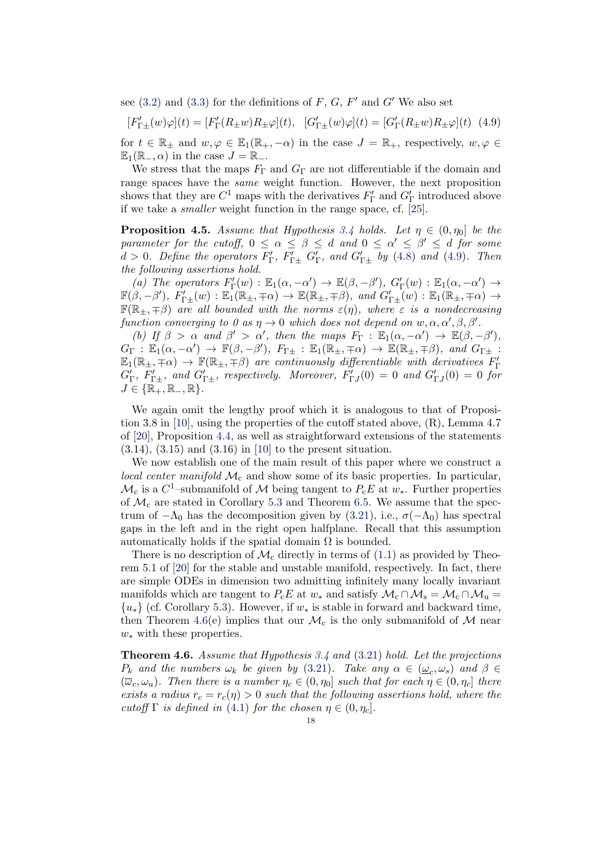see  $(3.2)$  and  $(3.3)$  for the definitions of  $F, G, F'$  and  $G'$  We also set

<span id="page-17-1"></span> $[F'_{\Gamma\pm}(w)\varphi](t) = [F'_{\Gamma}(R_{\pm}w)R_{\pm}\varphi](t), \quad [G'_{\Gamma\pm}(w)\varphi](t) = [G'_{\Gamma}(R_{\pm}w)R_{\pm}\varphi](t)$  (4.9) for  $t \in \mathbb{R}_+$  and  $w, \varphi \in \mathbb{E}_1(\mathbb{R}_+, -\alpha)$  in the case  $J = \mathbb{R}_+$ , respectively,  $w, \varphi \in$  $\mathbb{E}_1(\mathbb{R}_-, \alpha)$  in the case  $J = \mathbb{R}_-$ .

We stress that the maps  $F_{\Gamma}$  and  $G_{\Gamma}$  are not differentiable if the domain and range spaces have the same weight function. However, the next proposition shows that they are  $C^1$  maps with the derivatives  $F'_\Gamma$  and  $G'_\Gamma$  introduced above if we take a smaller weight function in the range space, cf. [\[25\]](#page-40-7).

<span id="page-17-2"></span>**Proposition 4.5.** Assume that Hypothesis [3.4](#page-9-0) holds. Let  $\eta \in (0, \eta_0]$  be the parameter for the cutoff,  $0 \leq \alpha \leq \beta \leq d$  and  $0 \leq \alpha' \leq \beta' \leq d$  for some  $d > 0$ . Define the operators  $F'_{\Gamma}$ ,  $F'_{\Gamma \pm}$   $G'_{\Gamma}$ , and  $G'_{\Gamma \pm}$  by [\(4.8\)](#page-16-2) and [\(4.9\)](#page-17-1). Then the following assertions hold.

(a) The operators  $F'_{\Gamma}(w) : \mathbb{E}_1(\alpha, -\alpha') \to \mathbb{E}(\beta, -\beta')$ ,  $G'_{\Gamma}(w) : \mathbb{E}_1(\alpha, -\alpha') \to$  $\mathbb{F}(\beta, -\beta')$ ,  $F'_{\Gamma\pm}(w) : \mathbb{E}_1(\mathbb{R}_\pm, \mp\alpha) \to \mathbb{E}(\mathbb{R}_\pm, \mp\beta)$ , and  $G'_{\Gamma\pm}(w) : \mathbb{E}_1(\mathbb{R}_\pm, \mp\alpha) \to$  $\mathbb{F}(\mathbb{R}_{\pm}, \mp \beta)$  are all bounded with the norms  $\varepsilon(\eta)$ , where  $\varepsilon$  is a nondecreasing function converging to 0 as  $\eta \to 0$  which does not depend on  $w, \alpha, \alpha', \beta, \beta'$ .

(b) If  $\beta > \alpha$  and  $\beta' > \alpha'$ , then the maps  $F_{\Gamma} : \mathbb{E}_1(\alpha, -\alpha') \to \mathbb{E}(\beta, -\beta')$ ,  $G_{\Gamma} : \mathbb{E}_1(\alpha, -\alpha') \to \mathbb{F}(\beta, -\beta'), F_{\Gamma \pm} : \mathbb{E}_1(\mathbb{R}_+, \mp \alpha) \to \mathbb{E}(\mathbb{R}_+, \mp \beta), \text{ and } G_{\Gamma \pm} :$  $\mathbb{E}_1(\mathbb{R}_\pm, \mp \alpha) \to \mathbb{F}(\mathbb{R}_\pm, \mp \beta)$  are continuously differentiable with derivatives  $F'_\Gamma$  $G'_{\Gamma}$ ,  $F'_{\Gamma\pm}$ , and  $G'_{\Gamma\pm}$ , respectively. Moreover,  $F'_{\Gamma}$  $f(0) = 0$  and  $G'_{\Gamma}$  $f(0) = 0$  for  $J \in \{ \mathbb{R}_+, \mathbb{R}_-, \mathbb{R} \}.$ 

We again omit the lengthy proof which it is analogous to that of Proposi-tion 3.8 in [\[10\]](#page-40-10), using the properties of the cutoff stated above,  $(R)$ , Lemma 4.7 of [\[20\]](#page-40-1), Proposition [4.4,](#page-16-3) as well as straightforward extensions of the statements (3.14), (3.15) and (3.16) in [\[10\]](#page-40-10) to the present situation.

We now establish one of the main result of this paper where we construct a local center manifold  $\mathcal{M}_c$  and show some of its basic properties. In particular,  $\mathcal{M}_c$  is a C<sup>1</sup>-submanifold of  $\mathcal M$  being tangent to  $P_cE$  at  $w_*$ . Further properties of  $\mathcal{M}_c$  are stated in Corollary [5.3](#page-28-1) and Theorem [6.5.](#page-38-0) We assume that the spectrum of  $-\Lambda_0$  has the decomposition given by [\(3.21\)](#page-13-0), i.e.,  $\sigma(-\Lambda_0)$  has spectral gaps in the left and in the right open halfplane. Recall that this assumption automatically holds if the spatial domain  $\Omega$  is bounded.

There is no description of  $\mathcal{M}_c$  directly in terms of [\(1.1\)](#page-1-0) as provided by Theorem 5.1 of [\[20\]](#page-40-1) for the stable and unstable manifold, respectively. In fact, there are simple ODEs in dimension two admitting infinitely many locally invariant manifolds which are tangent to  $P_{\rm c}E$  at  $w_*$  and satisfy  $\mathcal{M}_{\rm c}\cap \mathcal{M}_{\rm s}=\mathcal{M}_{\rm c}\cap \mathcal{M}_{\rm u}=$  ${u_*}$  (cf. Corollary [5.3\)](#page-28-1). However, if  $w_*$  is stable in forward and backward time, then Theorem [4.6\(](#page-17-0)e) implies that our  $\mathcal{M}_c$  is the only submanifold of  $\mathcal M$  near  $w_*$  with these properties.

<span id="page-17-0"></span>**Theorem 4.6.** Assume that Hypothesis [3.4](#page-9-0) and  $(3.21)$  hold. Let the projections  $P_k$  and the numbers  $\omega_k$  be given by [\(3.21\)](#page-13-0). Take any  $\alpha \in (\underline{\omega}_c, \omega_s)$  and  $\beta \in$  $(\overline{\omega}_c, \omega_u)$ . Then there is a number  $\eta_c \in (0, \eta_0]$  such that for each  $\eta \in (0, \eta_c]$  there exists a radius  $r_c = r_c(\eta) > 0$  such that the following assertions hold, where the cutoff  $\Gamma$  is defined in [\(4.1\)](#page-14-1) for the chosen  $\eta \in (0, \eta_c]$ .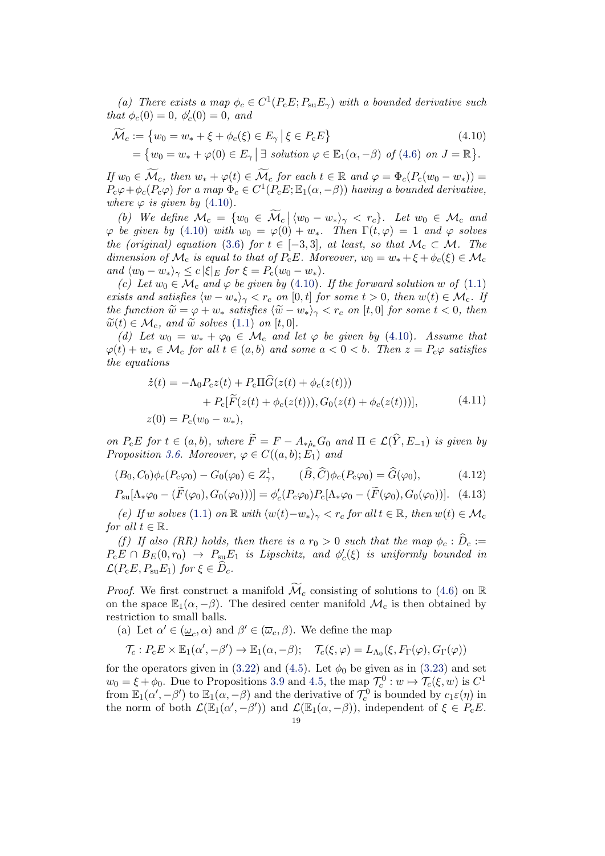(a) There exists a map  $\phi_c \in C^1(P_c E; P_{su} E_\gamma)$  with a bounded derivative such that  $\phi_c(0) = 0, \ \phi'_c(0) = 0, \ and$ 

<span id="page-18-0"></span>
$$
\widetilde{\mathcal{M}}_c := \{ w_0 = w_* + \xi + \phi_c(\xi) \in E_\gamma \, \big| \, \xi \in P_c E \} \tag{4.10}
$$
\n
$$
= \{ w_0 = w_* + \varphi(0) \in E_\gamma \, \big| \, \exists \, \, solution \, \varphi \in \mathbb{E}_1(\alpha, -\beta) \, \, of \, (4.6) \, \, on \, J = \mathbb{R} \}.
$$

If  $w_0 \in \widetilde{\mathcal{M}}_c$ , then  $w_* + \varphi(t) \in \widetilde{\mathcal{M}}_c$  for each  $t \in \mathbb{R}$  and  $\varphi = \Phi_c(P_c(w_0 - w_*))$  $P_{\rm c}\varphi+\phi_{\rm c}(P_{\rm c}\varphi)$  for a map  $\Phi_c\in C^1(P_{\rm c}E;\mathbb{E}_1(\alpha,-\beta))$  having a bounded derivative, where  $\varphi$  is given by [\(4.10\)](#page-18-0).

(b) We define  $\mathcal{M}_{c} = \{w_0 \in \mathcal{M}_{c} \mid \langle w_0 - w_* \rangle_{\gamma} < r_c\}$ . Let  $w_0 \in \mathcal{M}_{c}$  and  $\varphi$  be given by [\(4.10\)](#page-18-0) with  $w_0 = \varphi(0) + w_*$ . Then  $\Gamma(t, \varphi) = 1$  and  $\varphi$  solves the (original) equation [\(3.6\)](#page-8-0) for  $t \in [-3,3]$ , at least, so that  $\mathcal{M}_c \subset \mathcal{M}$ . The dimension of  $\mathcal{M}_c$  is equal to that of  $P_cE$ . Moreover,  $w_0 = w_* + \xi + \phi_c(\xi) \in \mathcal{M}_c$ and  $\langle w_0 - w_* \rangle_{\gamma} \leq c |\xi|_E$  for  $\xi = P_c(w_0 - w_*)$ .

(c) Let  $w_0 \in \mathcal{M}_c$  and  $\varphi$  be given by [\(4.10\)](#page-18-0). If the forward solution w of [\(1.1\)](#page-1-0) exists and satisfies  $\langle w - w_* \rangle_{\gamma} < r_c$  on [0, t] for some  $t > 0$ , then  $w(t) \in \mathcal{M}_c$ . If the function  $\widetilde{w} = \varphi + w_*$  satisfies  $\langle \widetilde{w} - w_* \rangle_{\gamma} < r_c$  on [t, 0] for some  $t < 0$ , then  $\widetilde{w}(t) \in \mathcal{M}_{c}$ , and  $\widetilde{w}$  solves [\(1.1\)](#page-1-0) on [t, 0].

(d) Let  $w_0 = w_* + \varphi_0 \in \mathcal{M}_c$  and let  $\varphi$  be given by [\(4.10\)](#page-18-0). Assume that  $\varphi(t) + w_* \in \mathcal{M}_c$  for all  $t \in (a, b)$  and some  $a < 0 < b$ . Then  $z = P_c\varphi$  satisfies the equations

<span id="page-18-3"></span><span id="page-18-2"></span>
$$
\dot{z}(t) = -\Lambda_0 P_c z(t) + P_c \Pi \hat{G}(z(t) + \phi_c(z(t))) \n+ P_c [\tilde{F}(z(t) + \phi_c(z(t))), G_0(z(t) + \phi_c(z(t)))],
$$
\n(4.11)  
\n
$$
z(0) = P_c(w_0 - w_*)
$$

<span id="page-18-1"></span>on  $P_{c}E$  for  $t \in (a, b)$ , where  $\widetilde{F} = F - A_{\ast \delta_{\ast}}G_0$  and  $\Pi \in \mathcal{L}(\widehat{Y}, E_{-1})$  is given by Proposition [3.6.](#page-11-3) Moreover,  $\varphi \in C((a, b); E_1)$  and

$$
(B_0, C_0)\phi_c(P_c\varphi_0) - G_0(\varphi_0) \in Z^1_\gamma, \qquad (\widehat{B}, \widehat{C})\phi_c(P_c\varphi_0) = \widehat{G}(\varphi_0), \tag{4.12}
$$

$$
P_{\rm su}[\Lambda_*\varphi_0 - (\widetilde{F}(\varphi_0), G_0(\varphi_0)))] = \phi_c'(P_{\rm c}\varphi_0) P_{\rm c}[\Lambda_*\varphi_0 - (\widetilde{F}(\varphi_0), G_0(\varphi_0))]. \tag{4.13}
$$

(e) If w solves [\(1.1\)](#page-1-0) on  $\mathbb R$  with  $\langle w(t)-w_*\rangle_{\gamma} < r_c$  for all  $t \in \mathbb R$ , then  $w(t) \in \mathcal{M}_c$ for all  $t \in \mathbb{R}$ .

(f) If also (RR) holds, then there is a  $r_0 > 0$  such that the map  $\phi_c : \hat{D}_c :=$  $P_{\rm c}E \cap B_E(0,r_0) \rightarrow P_{\rm su}E_1$  is Lipschitz, and  $\phi'_{c}(\xi)$  is uniformly bounded in  $\mathcal{L}(P_{\rm c}E, P_{\rm su}E_1)$  for  $\xi \in \tilde{D}_c$ .

*Proof.* We first construct a manifold  $\mathcal{M}_c$  consisting of solutions to [\(4.6\)](#page-16-1) on R on the space  $\mathbb{E}_1(\alpha, -\beta)$ . The desired center manifold  $\mathcal{M}_c$  is then obtained by restriction to small balls.

(a) Let  $\alpha' \in (\underline{\omega}_c, \alpha)$  and  $\beta' \in (\overline{\omega}_c, \beta)$ . We define the map

$$
\mathcal{T}_c: P_c E \times \mathbb{E}_1(\alpha', -\beta') \to \mathbb{E}_1(\alpha, -\beta); \quad \mathcal{T}_c(\xi, \varphi) = L_{\Lambda_0}(\xi, F_{\Gamma}(\varphi), G_{\Gamma}(\varphi))
$$

for the operators given in [\(3.22\)](#page-13-2) and [\(4.5\)](#page-15-3). Let  $\phi_0$  be given as in [\(3.23\)](#page-13-1) and set  $w_0 = \xi + \phi_0$ . Due to Propositions [3.9](#page-13-3) and [4.5,](#page-17-2) the map  $\mathcal{T}_c^0 : w \mapsto \mathcal{T}_c(\xi, w)$  is  $C^1$ from  $\mathbb{E}_1(\alpha', -\beta')$  to  $\mathbb{E}_1(\alpha, -\beta)$  and the derivative of  $\mathcal{T}_c^0$  is bounded by  $c_1 \varepsilon(\eta)$  in the norm of both  $\mathcal{L}(\mathbb{E}_1(\alpha', -\beta'))$  and  $\mathcal{L}(\mathbb{E}_1(\alpha, -\beta))$ , independent of  $\xi \in P_cE$ .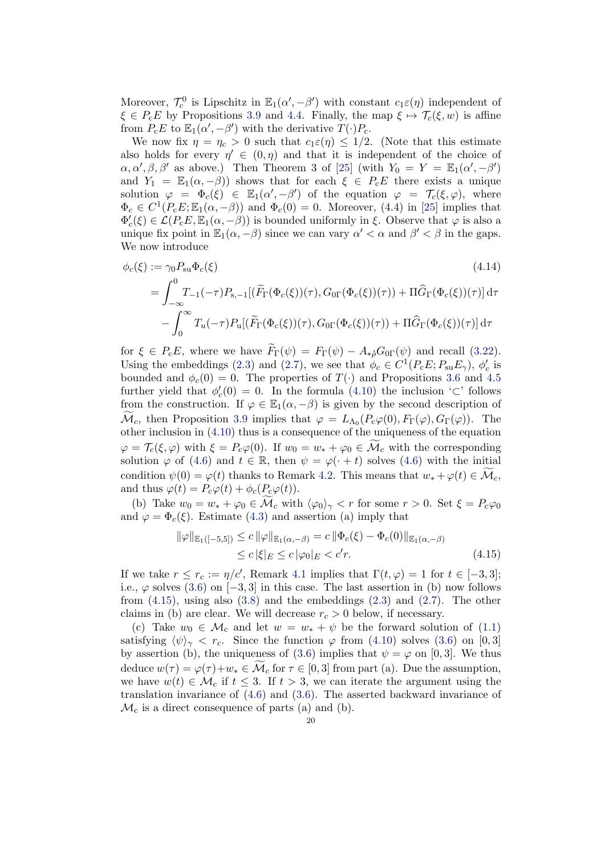Moreover,  $\mathcal{T}_c^0$  is Lipschitz in  $\mathbb{E}_1(\alpha', -\beta')$  with constant  $c_1 \varepsilon(\eta)$  independent of  $\xi \in P_{c}E$  by Propositions [3.9](#page-13-3) and [4.4.](#page-16-3) Finally, the map  $\xi \mapsto \mathcal{T}_{c}(\xi, w)$  is affine from  $P_{\rm c}E$  to  $\mathbb{E}_1(\alpha', -\beta')$  with the derivative  $T(\cdot)P_{\rm c}$ .

We now fix  $\eta = \eta_c > 0$  such that  $c_1 \varepsilon(\eta) \leq 1/2$ . (Note that this estimate also holds for every  $\eta' \in (0, \eta)$  and that it is independent of the choice of  $\alpha, \alpha', \beta, \beta'$  as above.) Then Theorem 3 of [\[25\]](#page-40-7) (with  $Y_0 = Y = \mathbb{E}_1(\alpha', -\beta')$ and  $Y_1 = \mathbb{E}_1(\alpha, -\beta)$  shows that for each  $\xi \in P_cE$  there exists a unique solution  $\varphi = \Phi_c(\xi) \in \mathbb{E}_1(\alpha', -\beta')$  of the equation  $\varphi = \mathcal{T}_c(\xi, \varphi)$ , where  $\Phi_c \in C^1(P_c E; \mathbb{E}_1(\alpha, -\beta))$  and  $\Phi_c(0) = 0$ . Moreover, (4.4) in [\[25\]](#page-40-7) implies that  $\Phi'_c(\xi) \in \mathcal{L}(P_cE, \mathbb{E}_1(\alpha, -\beta))$  is bounded uniformly in  $\xi$ . Observe that  $\varphi$  is also a unique fix point in  $\mathbb{E}_1(\alpha, -\beta)$  since we can vary  $\alpha' < \alpha$  and  $\beta' < \beta$  in the gaps. We now introduce

$$
\phi_c(\xi) := \gamma_0 P_{su} \Phi_c(\xi)
$$
\n
$$
= \int_{-\infty}^0 T_{-1}(-\tau) P_{s,-1} [(\widetilde{F}_{\Gamma}(\Phi_c(\xi))(\tau), G_{0\Gamma}(\Phi_c(\xi))(\tau)) + \Pi \widehat{G}_{\Gamma}(\Phi_c(\xi))(\tau)] d\tau
$$
\n
$$
- \int_0^\infty T_u(-\tau) P_u [(\widetilde{F}_{\Gamma}(\Phi_c(\xi))(\tau), G_{0\Gamma}(\Phi_c(\xi))(\tau)) + \Pi \widehat{G}_{\Gamma}(\Phi_c(\xi))(\tau)] d\tau
$$
\n(4.14)

for  $\xi \in P_{\rm c}E$ , where we have  $\widetilde{F}_{\Gamma}(\psi) = F_{\Gamma}(\psi) - A_{*b}G_{0\Gamma}(\psi)$  and recall [\(3.22\)](#page-13-2). Using the embeddings [\(2.3\)](#page-4-1) and [\(2.7\)](#page-5-0), we see that  $\phi_c \in C^1(P_c E; P_{\rm su} E_{\gamma})$ ,  $\phi_c'$  is bounded and  $\phi_c(0) = 0$ . The properties of  $T(\cdot)$  and Propositions [3.6](#page-11-3) and [4.5](#page-17-2) further yield that  $\phi'_c(0) = 0$ . In the formula [\(4.10\)](#page-18-0) the inclusion '⊂' follows from the construction. If  $\varphi \in \mathbb{E}_1(\alpha, -\beta)$  is given by the second description of  $\mathcal{M}_c$ , then Proposition [3.9](#page-13-3) implies that  $\varphi = L_{\Lambda_0}(P_c\varphi(0), F_{\Gamma}(\varphi), G_{\Gamma}(\varphi))$ . The other inclusion in [\(4.10\)](#page-18-0) thus is a consequence of the uniqueness of the equation  $\varphi = \mathcal{T}_c(\xi, \varphi)$  with  $\xi = P_c\varphi(0)$ . If  $w_0 = w_* + \varphi_0 \in \mathcal{M}_c$  with the corresponding solution  $\varphi$  of [\(4.6\)](#page-16-1) and  $t \in \mathbb{R}$ , then  $\psi = \varphi(\cdot + t)$  solves (4.6) with the initial condition  $\psi(0) = \varphi(t)$  thanks to Remark [4.2.](#page-15-4) This means that  $w_* + \varphi(t) \in \mathcal{M}_c$ , and thus  $\varphi(t) = P_c\varphi(t) + \phi_c(P_c\varphi(t)).$ 

(b) Take  $w_0 = w_* + \varphi_0 \in \mathcal{M}_c$  with  $\langle \varphi_0 \rangle_{\gamma} < r$  for some  $r > 0$ . Set  $\xi = P_c \varphi_0$ and  $\varphi = \Phi_c(\xi)$ . Estimate [\(4.3\)](#page-15-5) and assertion (a) imply that

<span id="page-19-0"></span>
$$
\|\varphi\|_{\mathbb{E}_1([-\delta,5])} \le c \|\varphi\|_{\mathbb{E}_1(\alpha,-\beta)} = c \|\Phi_c(\xi) - \Phi_c(0)\|_{\mathbb{E}_1(\alpha,-\beta)}
$$
  
\$\le c \, |\xi|\_E \le c \, |\varphi\_0|\_E < c'r\$. \tag{4.15}

If we take  $r \leq r_c := \eta/c'$ , Remark [4.1](#page-15-2) implies that  $\Gamma(t, \varphi) = 1$  for  $t \in [-3, 3]$ ; i.e.,  $\varphi$  solves [\(3.6\)](#page-8-0) on [−3,3] in this case. The last assertion in (b) now follows from  $(4.15)$ , using also  $(3.8)$  and the embeddings  $(2.3)$  and  $(2.7)$ . The other claims in (b) are clear. We will decrease  $r_c > 0$  below, if necessary.

(c) Take  $w_0 \in \mathcal{M}_c$  and let  $w = w_* + \psi$  be the forward solution of [\(1.1\)](#page-1-0) satisfying  $\langle \psi \rangle_{\gamma} < r_c$ . Since the function  $\varphi$  from [\(4.10\)](#page-18-0) solves [\(3.6\)](#page-8-0) on [0,3] by assertion (b), the uniqueness of [\(3.6\)](#page-8-0) implies that  $\psi = \varphi$  on [0,3]. We thus deduce  $w(\tau) = \varphi(\tau) + w_* \in \widetilde{\mathcal{M}}_c$  for  $\tau \in [0, 3]$  from part (a). Due the assumption, we have  $w(t) \in \mathcal{M}_c$  if  $t \leq 3$ . If  $t > 3$ , we can iterate the argument using the translation invariance of [\(4.6\)](#page-16-1) and [\(3.6\)](#page-8-0). The asserted backward invariance of  $\mathcal{M}_c$  is a direct consequence of parts (a) and (b).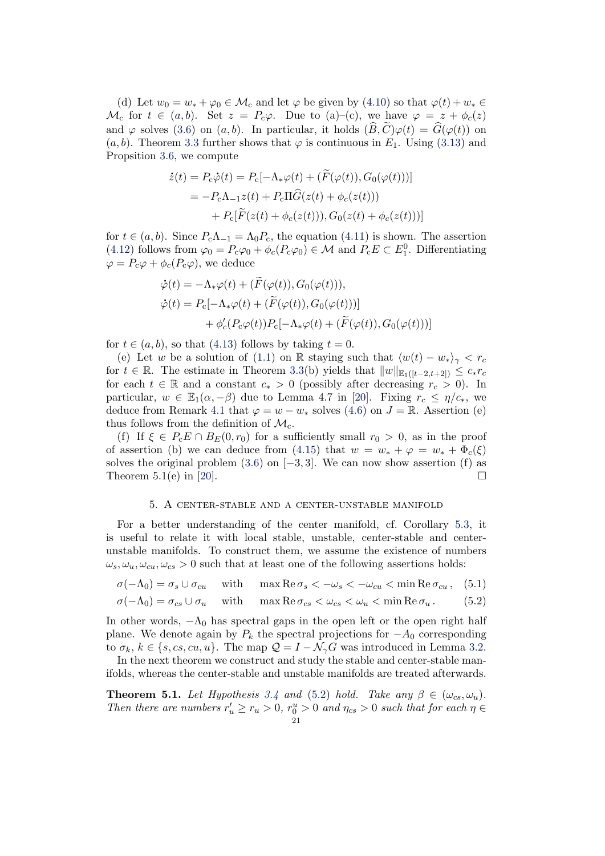(d) Let  $w_0 = w_* + \varphi_0 \in \mathcal{M}_c$  and let  $\varphi$  be given by  $(4.10)$  so that  $\varphi(t) + w_* \in$  $\mathcal{M}_c$  for  $t \in (a, b)$ . Set  $z = P_c \varphi$ . Due to  $(a)$ –(c), we have  $\varphi = z + \phi_c(z)$ and  $\varphi$  solves [\(3.6\)](#page-8-0) on  $(a, b)$ . In particular, it holds  $(\widehat{B}, \widetilde{C})\varphi(t) = \widehat{G}(\varphi(t))$  on  $(a, b)$ . Theorem [3.3](#page-9-1) further shows that  $\varphi$  is continuous in  $E_1$ . Using [\(3.13\)](#page-11-4) and Propsition [3.6,](#page-11-3) we compute

$$
\dot{z}(t) = P_c \dot{\varphi}(t) = P_c[-\Lambda_* \varphi(t) + (F(\varphi(t)), G_0(\varphi(t)))]
$$
  
= 
$$
-P_c \Lambda_{-1} z(t) + P_c \Pi \hat{G}(z(t) + \phi_c(z(t)))
$$
  
+ 
$$
P_c[\widetilde{F}(z(t) + \phi_c(z(t))), G_0(z(t) + \phi_c(z(t)))]
$$

for  $t \in (a, b)$ . Since  $P_c \Lambda_{-1} = \Lambda_0 P_c$ , the equation [\(4.11\)](#page-18-1) is shown. The assertion [\(4.12\)](#page-18-2) follows from  $\varphi_0 = P_c \varphi_0 + \phi_c(P_c \varphi_0) \in \mathcal{M}$  and  $P_c E \subset E_1^0$ . Differentiating  $\varphi = P_{c}\varphi + \phi_{c}(P_{c}\varphi)$ , we deduce

$$
\dot{\varphi}(t) = -\Lambda_* \varphi(t) + (F(\varphi(t)), G_0(\varphi(t))),
$$
  

$$
\dot{\varphi}(t) = P_c[-\Lambda_* \varphi(t) + (\widetilde{F}(\varphi(t)), G_0(\varphi(t)))]
$$
  

$$
+ \phi'_c(P_c \varphi(t)) P_c[-\Lambda_* \varphi(t) + (\widetilde{F}(\varphi(t)), G_0(\varphi(t)))]
$$

for  $t \in (a, b)$ , so that [\(4.13\)](#page-18-3) follows by taking  $t = 0$ .

(e) Let w be a solution of [\(1.1\)](#page-1-0) on R staying such that  $\langle w(t) - w_* \rangle_{\gamma} < r_c$ for  $t \in \mathbb{R}$ . The estimate in Theorem [3.3\(](#page-9-1)b) yields that  $||w||_{\mathbb{E}_1([t-2,t+2])} \leq c_* r_c$ for each  $t \in \mathbb{R}$  and a constant  $c_* > 0$  (possibly after decreasing  $r_c > 0$ ). In particular,  $w \in \mathbb{E}_1(\alpha, -\beta)$  due to Lemma 4.7 in [\[20\]](#page-40-1). Fixing  $r_c \leq \eta/c_*$ , we deduce from Remark [4.1](#page-15-2) that  $\varphi = w - w_*$  solves [\(4.6\)](#page-16-1) on  $J = \mathbb{R}$ . Assertion (e) thus follows from the definition of  $\mathcal{M}_c$ .

(f) If  $\xi \in P_cE \cap B_E(0,r_0)$  for a sufficiently small  $r_0 > 0$ , as in the proof of assertion (b) we can deduce from [\(4.15\)](#page-19-0) that  $w = w_* + \varphi = w_* + \Phi_c(\xi)$ solves the original problem  $(3.6)$  on  $[-3, 3]$ . We can now show assertion (f) as Theorem 5.1(e) in [\[20\]](#page-40-1).

# <span id="page-20-2"></span><span id="page-20-1"></span>5. A center-stable and a center-unstable manifold

For a better understanding of the center manifold, cf. Corollary [5.3,](#page-28-1) it is useful to relate it with local stable, unstable, center-stable and centerunstable manifolds. To construct them, we assume the existence of numbers  $\omega_s, \omega_u, \omega_{cu}, \omega_{cs} > 0$  such that at least one of the following assertions holds:

$$
\sigma(-\Lambda_0) = \sigma_s \cup \sigma_{cu} \quad \text{ with } \quad \max \text{Re}\,\sigma_s < -\omega_s < -\omega_{cu} < \min \text{Re}\,\sigma_{cu} \,, \tag{5.1}
$$

$$
\sigma(-\Lambda_0) = \sigma_{cs} \cup \sigma_u \quad \text{with} \quad \max \text{Re } \sigma_{cs} < \omega_{cs} < \omega_u < \min \text{Re } \sigma_u. \tag{5.2}
$$

In other words,  $-\Lambda_0$  has spectral gaps in the open left or the open right half plane. We denote again by  $P_k$  the spectral projections for  $-A_0$  corresponding to  $\sigma_k, k \in \{s, cs, cu, u\}$ . The map  $\mathcal{Q} = I - \mathcal{N}_{\gamma}G$  was introduced in Lemma [3.2.](#page-9-2) In the next theorem we construct and study the stable and center-stable man-

ifolds, whereas the center-stable and unstable manifolds are treated afterwards.

<span id="page-20-0"></span>**Theorem 5.1.** Let Hypothesis [3.4](#page-9-0) and [\(5.2\)](#page-20-1) hold. Take any  $\beta \in (\omega_{cs}, \omega_u)$ . Then there are numbers  $r'_u \ge r_u > 0$ ,  $r_0^u > 0$  and  $\eta_{cs} > 0$  such that for each  $\eta \in$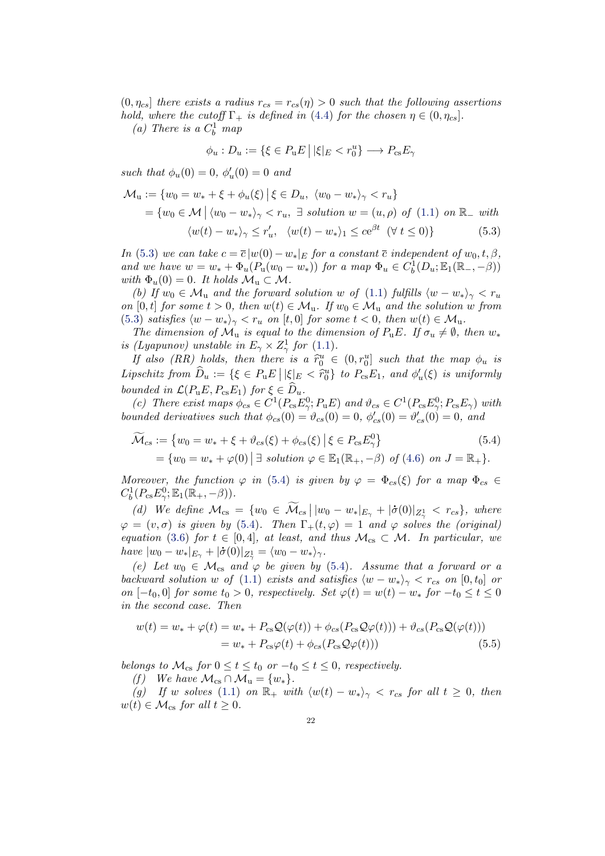$(0, \eta_{cs}]$  there exists a radius  $r_{cs} = r_{cs}(\eta) > 0$  such that the following assertions hold, where the cutoff  $\Gamma_+$  is defined in [\(4.4\)](#page-15-0) for the chosen  $\eta \in (0, \eta_{cs}]$ .

(a) There is a  $C_b^1$  map

<span id="page-21-0"></span>
$$
\phi_u : D_u := \{ \xi \in P_u E \, \big| \, |\xi|_E < r_0^u \} \longrightarrow P_{\text{cs}} E_\gamma
$$

such that  $\phi_u(0) = 0, \, \phi'_u(0) = 0$  and

$$
\mathcal{M}_u := \{ w_0 = w_* + \xi + \phi_u(\xi) \mid \xi \in D_u, \ \langle w_0 - w_* \rangle_\gamma < r_u \}
$$
\n
$$
= \{ w_0 \in \mathcal{M} \mid \langle w_0 - w_* \rangle_\gamma < r_u, \exists \text{ solution } w = (u, \rho) \text{ of (1.1) on } \mathbb{R}_- \text{ with}
$$
\n
$$
\langle w(t) - w_* \rangle_\gamma \le r'_u, \ \langle w(t) - w_* \rangle_1 \le c e^{\beta t} \ (\forall \ t \le 0) \}
$$
\n
$$
(5.3)
$$

In [\(5.3\)](#page-21-0) we can take  $c = \overline{c} |w(0) - w_*|_E$  for a constant  $\overline{c}$  independent of  $w_0, t, \beta$ , and we have  $w = w_* + \Phi_u(P_u(w_0 - w_*))$  for a map  $\Phi_u \in C_b^1(D_u; \mathbb{E}_1(\mathbb{R}_-, -\beta))$ with  $\Phi_u(0) = 0$ . It holds  $\mathcal{M}_u \subset \mathcal{M}$ .

(b) If  $w_0 \in \mathcal{M}_u$  and the forward solution w of [\(1.1\)](#page-1-0) fulfills  $\langle w - w_* \rangle_{\gamma} < r_u$ on [0, t] for some  $t > 0$ , then  $w(t) \in M_u$ . If  $w_0 \in M_u$  and the solution w from [\(5.3\)](#page-21-0) satisfies  $\langle w - w_* \rangle_{\gamma} < r_u$  on [t, 0] for some  $t < 0$ , then  $w(t) \in M_u$ .

The dimension of  $\mathcal{M}_u$  is equal to the dimension of  $P_uE$ . If  $\sigma_u \neq \emptyset$ , then  $w_*$ is (Lyapunov) unstable in  $E_{\gamma} \times Z_{\gamma}^1$  for [\(1.1\)](#page-1-0).

If also (RR) holds, then there is a  $\tilde{r}_0^u \in (0, r_0^u]$  such that the map  $\phi_u$  is Lipschitz from  $\widehat{D}_u := {\xi \in P_u E \mid |\xi|_E < \widehat{r}_0^u}$  to  $P_{cs}E_1$ , and  $\phi'_u(\xi)$  is uniformly bounded in  $\mathcal{L}(P_uE, P_{cs}E_1)$  for  $\xi \in \hat{D}_u$ .

(c) There exist maps  $\phi_{cs} \in C^1(P_{cs}E_{\gamma}^0; P_u E)$  and  $\vartheta_{cs} \in C^1(P_{cs}E_{\gamma}^0; P_{cs} E_{\gamma})$  with bounded derivatives such that  $\phi_{cs}(0) = \vartheta_{cs}(0) = 0$ ,  $\phi'_{cs}(0) = \vartheta'_{cs}(0) = 0$ , and

<span id="page-21-1"></span>
$$
\widetilde{\mathcal{M}}_{cs} := \{ w_0 = w_* + \xi + \vartheta_{cs}(\xi) + \phi_{cs}(\xi) \mid \xi \in P_{cs} E_{\gamma}^0 \}
$$
\n
$$
= \{ w_0 = w_* + \varphi(0) \mid \exists \ solution \varphi \in \mathbb{E}_1(\mathbb{R}_+, -\beta) \ of \ (4.6) \ on \ J = \mathbb{R}_+ \}.
$$
\n(5.4)

Moreover, the function  $\varphi$  in [\(5.4\)](#page-21-1) is given by  $\varphi = \Phi_{cs}(\xi)$  for a map  $\Phi_{cs} \in$  $C_b^1(P_{\text{cs}}E_{\gamma}^0;\mathbb{E}_1(\mathbb{R}_+,-\beta)).$ 

(d) We define  $\mathcal{M}_{cs} = \{w_0 \in \mathcal{M}_{cs} \mid |w_0 - w_*|_{E_\gamma} + |\dot{\sigma}(0)|_{Z_\gamma^1} < r_{cs}\},$  where  $\varphi = (v, \sigma)$  is given by [\(5.4\)](#page-21-1). Then  $\Gamma_+(t, \varphi) = 1$  and  $\varphi$  solves the (original) equation [\(3.6\)](#page-8-0) for  $t \in [0, 4]$ , at least, and thus  $\mathcal{M}_{cs} \subset \mathcal{M}$ . In particular, we have  $|w_0 - w_*|_{E_\gamma} + |\dot{\sigma}(0)|_{Z^1_\gamma} = \langle w_0 - w_* \rangle_\gamma.$ 

(e) Let  $w_0 \in \mathcal{M}_{cs}$  and  $\varphi$  be given by [\(5.4\)](#page-21-1). Assume that a forward or a backward solution w of [\(1.1\)](#page-1-0) exists and satisfies  $\langle w - w_* \rangle_{\gamma} < r_{cs}$  on [0, t<sub>0</sub>] or on  $[-t_0, 0]$  for some  $t_0 > 0$ , respectively. Set  $\varphi(t) = w(t) - w_*$  for  $-t_0 \le t \le 0$ in the second case. Then

<span id="page-21-2"></span>
$$
w(t) = w_* + \varphi(t) = w_* + P_{cs}\mathcal{Q}(\varphi(t)) + \phi_{cs}(P_{cs}\mathcal{Q}\varphi(t))) + \vartheta_{cs}(P_{cs}\mathcal{Q}(\varphi(t)))
$$
  
= 
$$
w_* + P_{cs}\varphi(t) + \phi_{cs}(P_{cs}\mathcal{Q}\varphi(t)))
$$
 (5.5)

belongs to  $\mathcal{M}_{cs}$  for  $0 \le t \le t_0$  or  $-t_0 \le t \le 0$ , respectively.

(f) We have  $\mathcal{M}_{\text{cs}} \cap \mathcal{M}_{\text{u}} = \{w_*\}.$ 

(g) If w solves [\(1.1\)](#page-1-0) on  $\mathbb{R}_+$  with  $\langle w(t) - w_* \rangle_{\gamma} < r_{cs}$  for all  $t \geq 0$ , then  $w(t) \in \mathcal{M}_{\text{cs}}$  for all  $t \geq 0$ .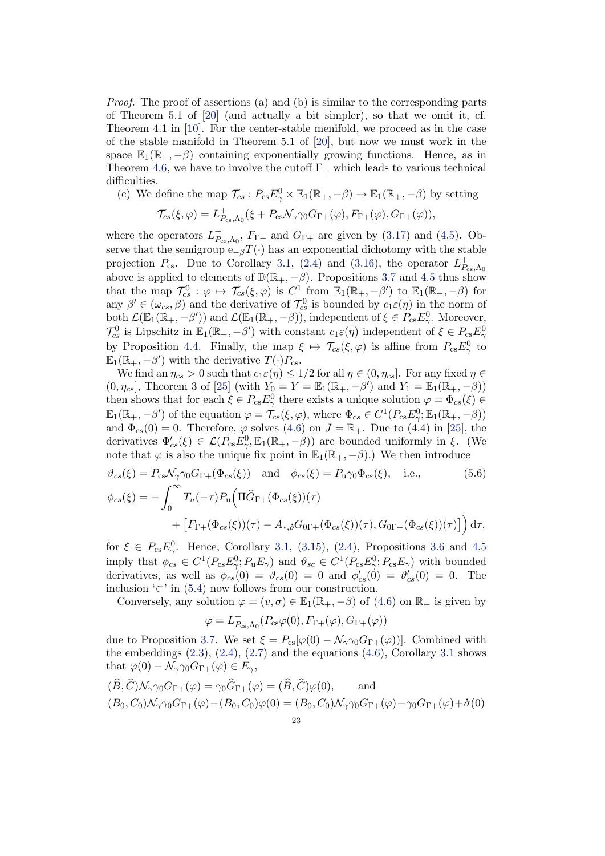Proof. The proof of assertions (a) and (b) is similar to the corresponding parts of Theorem 5.1 of [\[20\]](#page-40-1) (and actually a bit simpler), so that we omit it, cf. Theorem 4.1 in [\[10\]](#page-40-10). For the center-stable menifold, we proceed as in the case of the stable manifold in Theorem 5.1 of [\[20\]](#page-40-1), but now we must work in the space  $\mathbb{E}_1(\mathbb{R}_+,-\beta)$  containing exponentially growing functions. Hence, as in Theorem [4.6,](#page-17-0) we have to involve the cutoff  $\Gamma_+$  which leads to various technical difficulties.

(c) We define the map  $\mathcal{T}_{cs} : P_{cs} E^0_\gamma \times \mathbb{E}_1(\mathbb{R}_+,-\beta) \to \mathbb{E}_1(\mathbb{R}_+,-\beta)$  by setting

$$
\mathcal{T}_{cs}(\xi,\varphi)=L_{P_{cs},\Lambda_0}^+(\xi+P_{cs}\mathcal{N}_\gamma\gamma_0G_{\Gamma+}(\varphi),F_{\Gamma+}(\varphi),G_{\Gamma+}(\varphi)),
$$

where the operators  $L_P^+$  $P_{\text{cs},\Lambda_0}$ ,  $F_{\Gamma+}$  and  $G_{\Gamma+}$  are given by [\(3.17\)](#page-12-2) and [\(4.5\)](#page-15-3). Observe that the semigroup  $e_{-\beta}T(\cdot)$  has an exponential dichotomy with the stable projection  $P_{\text{cs}}$ . Due to Corollary [3.1,](#page-8-1) [\(2.4\)](#page-4-2) and [\(3.16\)](#page-12-3), the operator  $L_P^+$  $P_{\rm cs,}\Lambda_0$ above is applied to elements of  $\mathbb{D}(\mathbb{R}_+,-\beta)$ . Propositions [3.7](#page-12-0) and [4.5](#page-17-2) thus show that the map  $\mathcal{T}_{cs}^0 : \varphi \mapsto \mathcal{T}_{cs}(\xi, \varphi)$  is  $C^1$  from  $\mathbb{E}_1(\mathbb{R}_+, -\beta')$  to  $\mathbb{E}_1(\mathbb{R}_+, -\beta)$  for any  $\beta' \in (\omega_{cs}, \beta)$  and the derivative of  $\mathcal{T}_{cs}^0$  is bounded by  $c_1 \varepsilon(\eta)$  in the norm of both  $\mathcal{L}(\mathbb{E}_1(\mathbb{R}_+,-\beta'))$  and  $\mathcal{L}(\mathbb{E}_1(\mathbb{R}_+,-\beta))$ , independent of  $\xi \in P_{\text{cs}}E_\gamma^0$ . Moreover,  $\mathcal{T}_{cs}^0$  is Lipschitz in  $\mathbb{E}_1(\mathbb{R}_+,-\beta')$  with constant  $c_1\varepsilon(\eta)$  independent of  $\xi \in P_{cs}E_\gamma^0$ by Proposition [4.4.](#page-16-3) Finally, the map  $\xi \mapsto \mathcal{T}_{cs}(\xi,\varphi)$  is affine from  $P_{cs}E_{\gamma}^0$  to  $\mathbb{E}_1(\mathbb{R}_+,-\beta')$  with the derivative  $T(\cdot)P_{\text{cs}}$ .

We find an  $\eta_{cs} > 0$  such that  $c_1 \in (\eta) \leq 1/2$  for all  $\eta \in (0, \eta_{cs}]$ . For any fixed  $\eta \in$  $(0, \eta_{cs}]$ , Theorem 3 of [\[25\]](#page-40-7) (with  $Y_0 = Y = \mathbb{E}_1(\mathbb{R}_+, -\beta')$  and  $Y_1 = \mathbb{E}_1(\mathbb{R}_+, -\beta)$ ) then shows that for each  $\xi \in P_{cs} E_{\gamma}^0$  there exists a unique solution  $\varphi = \Phi_{cs}(\xi) \in$  $\mathbb{E}_1(\mathbb{R}_+,-\beta')$  of the equation  $\varphi = \mathcal{T}_{cs}(\xi,\varphi)$ , where  $\Phi_{cs} \in C^1(P_{cs}E_\gamma^0;\mathbb{E}_1(\mathbb{R}_+,-\beta))$ and  $\Phi_{cs}(0) = 0$ . Therefore,  $\varphi$  solves [\(4.6\)](#page-16-1) on  $J = \mathbb{R}_+$ . Due to (4.4) in [\[25\]](#page-40-7), the derivatives  $\Phi'_{cs}(\xi) \in \mathcal{L}(P_{cs}E_{\gamma}^0, \mathbb{E}_1(\mathbb{R}_+,-\beta))$  are bounded uniformly in  $\xi$ . (We note that  $\varphi$  is also the unique fix point in  $\mathbb{E}_1(\mathbb{R}_+,-\beta)$ .) We then introduce

$$
\vartheta_{cs}(\xi) = P_{cs} \mathcal{N}_{\gamma} \gamma_0 G_{\Gamma+}(\Phi_{cs}(\xi)) \text{ and } \phi_{cs}(\xi) = P_{\mathbf{u}} \gamma_0 \Phi_{cs}(\xi), \text{ i.e., } (5.6)
$$
  

$$
\phi_{cs}(\xi) = -\int_0^\infty T_u(-\tau) P_{\mathbf{u}} \Big( \Pi \widehat{G}_{\Gamma+}(\Phi_{cs}(\xi))(\tau) + \left[ F_{\Gamma+}(\Phi_{cs}(\xi))(\tau) - A_{*,\rho} G_{0\Gamma+}(\Phi_{cs}(\xi))(\tau), G_{0\Gamma+}(\Phi_{cs}(\xi))(\tau) \right] \Big) d\tau,
$$

for  $\xi \in P_{cs}E_{\gamma}^0$ . Hence, Corollary [3.1,](#page-8-1) [\(3.15\)](#page-12-4), [\(2.4\)](#page-4-2), Propositions [3.6](#page-11-3) and [4.5](#page-17-2) imply that  $\phi_{cs} \in C^1(P_{cs}E_\gamma^0; P_u E_\gamma)$  and  $\vartheta_{sc} \in C^1(P_{cs}E_\gamma^0; P_{cs} E_\gamma)$  with bounded derivatives, as well as  $\phi_{cs}(0) = \vartheta_{cs}(0) = 0$  and  $\phi'_{cs}(0) = \vartheta'_{cs}(0) = 0$ . The inclusion  $\subset$ ' in [\(5.4\)](#page-21-1) now follows from our construction.

Conversely, any solution  $\varphi = (v, \sigma) \in \mathbb{E}_1(\mathbb{R}_+, -\beta)$  of  $(4.6)$  on  $\mathbb{R}_+$  is given by  $\varphi = L_P^+$  ${}^+_{P_{\mathrm{cs}},\Lambda_0}(P_{\mathrm{cs}}\varphi(0),F_{\Gamma+}(\varphi),G_{\Gamma+}(\varphi))$ 

due to Proposition [3.7.](#page-12-0) We set  $\xi = P_{cs}[\varphi(0) - \mathcal{N}_{\gamma\gamma 0}G_{\Gamma^+}(\varphi))]$ . Combined with the embeddings  $(2.3)$ ,  $(2.4)$ ,  $(2.7)$  and the equations  $(4.6)$ , Corollary [3.1](#page-8-1) shows that  $\varphi(0) - \mathcal{N}_{\gamma} \gamma_0 G_{\Gamma +}(\varphi) \in E_{\gamma}$ ,

$$
(\widehat{B}, \widehat{C})\mathcal{N}_{\gamma}\gamma_0 G_{\Gamma+}(\varphi) = \gamma_0 \widehat{G}_{\Gamma+}(\varphi) = (\widehat{B}, \widehat{C})\varphi(0), \quad \text{and}
$$
  

$$
(B_0, C_0)\mathcal{N}_{\gamma}\gamma_0 G_{\Gamma+}(\varphi) - (B_0, C_0)\varphi(0) = (B_0, C_0)\mathcal{N}_{\gamma}\gamma_0 G_{\Gamma+}(\varphi) - \gamma_0 G_{\Gamma+}(\varphi) + \dot{\sigma}(0)
$$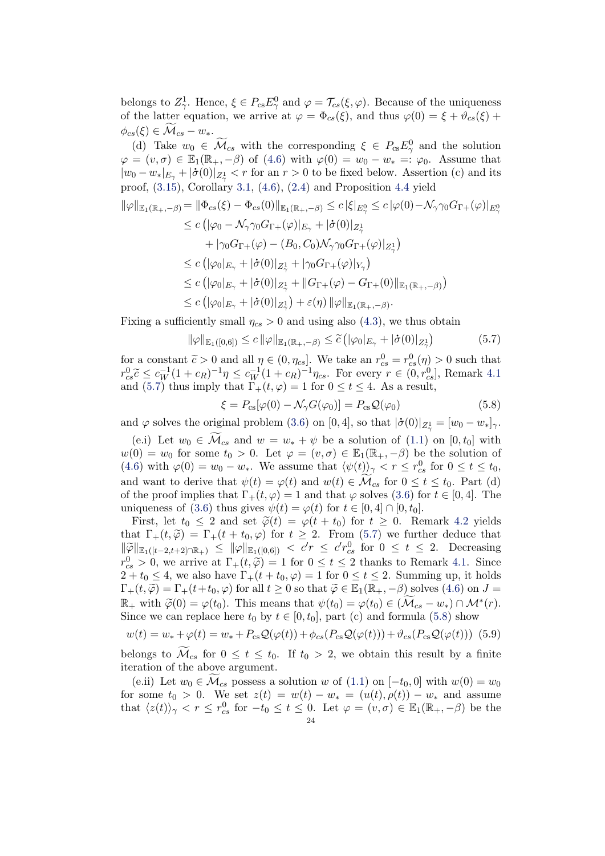belongs to  $Z^1_\gamma$ . Hence,  $\xi \in P_{\text{cs}} E^0_\gamma$  and  $\varphi = \mathcal{T}_{cs}(\xi, \varphi)$ . Because of the uniqueness of the latter equation, we arrive at  $\varphi = \Phi_{cs}(\xi)$ , and thus  $\varphi(0) = \xi + \vartheta_{cs}(\xi) + \vartheta_{cs}(\xi)$  $\phi_{cs}(\xi) \in \mathcal{M}_{cs} - w_*$ .

(d) Take  $w_0 \in \mathcal{M}_{cs}$  with the corresponding  $\xi \in P_{cs} E_\gamma^0$  and the solution  $\varphi = (v, \sigma) \in \mathbb{E}_1(\mathbb{R}_+, -\beta)$  of [\(4.6\)](#page-16-1) with  $\varphi(0) = w_0 - w_* =: \varphi_0$ . Assume that  $|w_0 - w_*|_{E_\gamma} + |\dot{\sigma}(0)|_{Z^1_\gamma} < r$  for an  $r > 0$  to be fixed below. Assertion (c) and its proof,  $(3.15)$ , Corollary [3.1,](#page-8-1)  $(4.6)$ ,  $(2.4)$  and Proposition [4.4](#page-16-3) yield

$$
\|\varphi\|_{\mathbb{E}_{1}(\mathbb{R}_{+}, -\beta)} = \|\Phi_{cs}(\xi) - \Phi_{cs}(0)\|_{\mathbb{E}_{1}(\mathbb{R}_{+}, -\beta)} \leq c |\xi|_{E_{\gamma}^{0}} \leq c |\varphi(0) - \mathcal{N}_{\gamma} \gamma_{0} G_{\Gamma_{+}}(\varphi)|_{E_{\gamma}^{0}}
$$
  
\n
$$
\leq c (|\varphi_{0} - \mathcal{N}_{\gamma} \gamma_{0} G_{\Gamma_{+}}(\varphi)|_{E_{\gamma}} + |\dot{\sigma}(0)|_{Z_{\gamma}^{1}}
$$
  
\n
$$
+ |\gamma_{0} G_{\Gamma_{+}}(\varphi) - (B_{0}, C_{0}) \mathcal{N}_{\gamma} \gamma_{0} G_{\Gamma_{+}}(\varphi)|_{Z_{\gamma}^{1}}
$$
  
\n
$$
\leq c (|\varphi_{0}|_{E_{\gamma}} + |\dot{\sigma}(0)|_{Z_{\gamma}^{1}} + |\gamma_{0} G_{\Gamma_{+}}(\varphi)|_{Y_{\gamma}})
$$
  
\n
$$
\leq c (|\varphi_{0}|_{E_{\gamma}} + |\dot{\sigma}(0)|_{Z_{\gamma}^{1}} + \|G_{\Gamma_{+}}(\varphi) - G_{\Gamma_{+}}(0)\|_{\mathbb{E}_{1}(\mathbb{R}_{+}, -\beta)})
$$
  
\n
$$
\leq c (|\varphi_{0}|_{E_{\gamma}} + |\dot{\sigma}(0)|_{Z_{\gamma}^{1}}) + \varepsilon(\eta) \|\varphi\|_{\mathbb{E}_{1}(\mathbb{R}_{+}, -\beta)}.
$$

Fixing a sufficiently small  $\eta_{cs} > 0$  and using also [\(4.3\)](#page-15-5), we thus obtain

$$
\|\varphi\|_{\mathbb{E}_1([0,6])} \leq c \|\varphi\|_{\mathbb{E}_1(\mathbb{R}_+,-\beta)} \leq \widetilde{c} \left( |\varphi_0|_{E_\gamma} + |\dot{\sigma}(0)|_{Z_\gamma^1} \right) \tag{5.7}
$$

for a constant  $\tilde{c} > 0$  and all  $\eta \in (0, \eta_{cs}]$ . We take an  $r_{cs}^0 = r_{cs}^0(\eta) > 0$  such that  $r_{cs}^0 \tilde{c} < r_{cs}^{-1}(1 + \eta_{cs})^{-1}$  or  $\tilde{c} > 0$  and  $\tilde{c} > 0$  and  $\tilde{c} > 0$  $r_{cs}^{0.6} \leq c_{W}^{-1}(1+c_{R})^{-1}\eta \leq c_{W}^{-1}(1+c_{R})^{-1}\eta_{cs}$ . For every  $r \in (0, r_{cs}^{0}]$ , Remark [4.1](#page-15-2) and [\(5.7\)](#page-23-0) thus imply that  $\Gamma_+(t, \varphi) = 1$  for  $0 \le t \le 4$ . As a result,

<span id="page-23-1"></span><span id="page-23-0"></span>
$$
\xi = P_{\text{cs}}[\varphi(0) - \mathcal{N}_{\gamma}G(\varphi_0)] = P_{\text{cs}}\mathcal{Q}(\varphi_0)
$$
\n(5.8)

and  $\varphi$  solves the original problem [\(3.6\)](#page-8-0) on [0, 4], so that  $|\dot{\sigma}(0)|_{Z^1_{\gamma}} = [w_0 - w_*]_{\gamma}$ .

(e.i) Let  $w_0 \in \widetilde{\mathcal{M}}_{cs}$  and  $w = w_* + \psi$  be a solution of  $(1.1)$  on  $[0, t_0]$  with  $w(0) = w_0$  for some  $t_0 > 0$ . Let  $\varphi = (v, \sigma) \in \mathbb{E}_1(\mathbb{R}_+, -\beta)$  be the solution of [\(4.6\)](#page-16-1) with  $\varphi(0) = w_0 - w_*$ . We assume that  $\langle \psi(t) \rangle_{\gamma} < r \leq r_{cs}^0$  for  $0 \leq t \leq t_0$ , and want to derive that  $\psi(t) = \varphi(t)$  and  $w(t) \in \mathcal{M}_{cs}$  for  $0 \le t \le t_0$ . Part (d) of the proof implies that  $\Gamma_+(t, \varphi) = 1$  and that  $\varphi$  solves [\(3.6\)](#page-8-0) for  $t \in [0, 4]$ . The uniqueness of [\(3.6\)](#page-8-0) thus gives  $\psi(t) = \varphi(t)$  for  $t \in [0, 4] \cap [0, t_0]$ .

First, let  $t_0 \leq 2$  and set  $\tilde{\varphi}(t) = \varphi(t + t_0)$  for  $t \geq 0$ . Remark [4.2](#page-15-4) yields that  $\Gamma_+(t, \tilde{\varphi}) = \Gamma_+(t + t_0, \varphi)$  for  $t \geq 2$ . From [\(5.7\)](#page-23-0) we further deduce that  $\|\widetilde{\varphi}\|_{\mathbb{E}_1([t-2,t+2]\cap \mathbb{R}_+)} \leq \|\varphi\|_{\mathbb{E}_1([0,6])} < c'r \leq c'r_{cs}^0$  for  $0 \leq t \leq 2$ . Decreasing  $r_{cs}^0 > 0$ , we arrive at  $\Gamma_+(t, \tilde{\varphi}) = 1$  for  $0 \le t \le 2$  thanks to Remark [4.1.](#page-15-2) Since  $2 + t_0 \leq 4$ , we also have  $\Gamma_+(t + t_0, \varphi) = 1$  for  $0 \leq t \leq 2$ . Summing up, it holds  $\Gamma_+(t, \widetilde{\varphi}) = \Gamma_+(t+t_0, \varphi)$  for all  $t \geq 0$  so that  $\widetilde{\varphi} \in \mathbb{E}_1(\mathbb{R}_+, -\beta)$  solves  $(4.6)$  on  $J =$  $\mathbb{R}_+$  with  $\widetilde{\varphi}(0) = \varphi(t_0)$ . This means that  $\psi(t_0) = \varphi(t_0) \in (\widetilde{\mathcal{M}}_{cs} - w_*) \cap \mathcal{M}^*(r)$ .<br>Since we can replace here  $t_0$  by  $t \in [0, t_0]$  part (c) and formula (5.8) show Since we can replace here  $t_0$  by  $t \in [0, t_0]$ , part (c) and formula [\(5.8\)](#page-23-1) show

<span id="page-23-2"></span>
$$
w(t) = w_* + \varphi(t) = w_* + P_{\text{cs}}\mathcal{Q}(\varphi(t)) + \phi_{cs}(P_{\text{cs}}\mathcal{Q}(\varphi(t))) + \vartheta_{cs}(P_{\text{cs}}\mathcal{Q}(\varphi(t)))
$$
 (5.9)

belongs to  $\widetilde{\mathcal{M}}_{cs}$  for  $0 \le t \le t_0$ . If  $t_0 > 2$ , we obtain this result by a finite iteration of the above argument.

(e.ii) Let  $w_0 \in \mathcal{M}_{cs}$  possess a solution w of [\(1.1\)](#page-1-0) on  $[-t_0, 0]$  with  $w(0) = w_0$ for some  $t_0 > 0$ . We set  $z(t) = w(t) - w_* = (u(t), \rho(t)) - w_*$  and assume that  $\langle z(t) \rangle_{\gamma} < r \leq r_{cs}^{0}$  for  $-t_{0} \leq t \leq 0$ . Let  $\varphi = (v, \sigma) \in \mathbb{E}_{1}(\mathbb{R}_{+}, -\beta)$  be the  $24$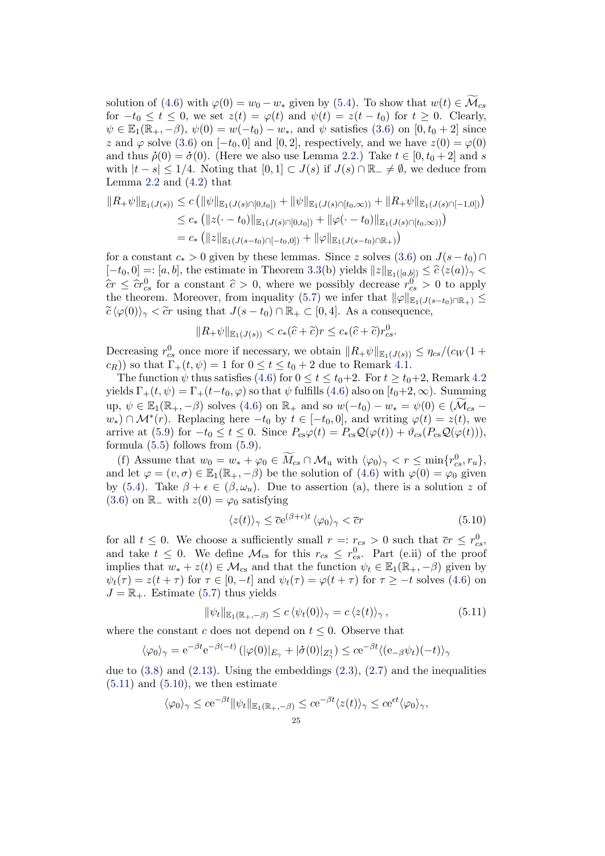solution of [\(4.6\)](#page-16-1) with  $\varphi(0) = w_0 - w_*$  given by [\(5.4\)](#page-21-1). To show that  $w(t) \in \mathcal{M}_{cs}$ for  $-t_0 \le t \le 0$ , we set  $z(t) = \varphi(t)$  and  $\psi(t) = z(t - t_0)$  for  $t \ge 0$ . Clearly,  $\psi \in \mathbb{E}_1(\mathbb{R}_+,-\beta), \psi(0) = w(-t_0) - w_*$ , and  $\psi$  satisfies [\(3.6\)](#page-8-0) on  $[0, t_0 + 2]$  since z and  $\varphi$  solve [\(3.6\)](#page-8-0) on  $[-t_0, 0]$  and  $[0, 2]$ , respectively, and we have  $z(0) = \varphi(0)$ and thus  $\dot{\rho}(0) = \dot{\sigma}(0)$ . (Here we also use Lemma [2.2.](#page-7-4)) Take  $t \in [0, t_0 + 2]$  and s with  $|t - s| \leq 1/4$ . Noting that  $[0, 1] \subset J(s)$  if  $J(s) \cap \mathbb{R}_+ \neq \emptyset$ , we deduce from Lemma  $2.2$  and  $(4.2)$  that

$$
||R_{+}\psi||_{\mathbb{E}_{1}(J(s))} \leq c \left( ||\psi||_{\mathbb{E}_{1}(J(s)\cap[0,t_{0}])} + ||\psi||_{\mathbb{E}_{1}(J(s)\cap[t_{0},\infty))} + ||R_{+}\psi||_{\mathbb{E}_{1}(J(s)\cap[-1,0])} \right)
$$
  
\n
$$
\leq c_{*} \left( ||z(\cdot - t_{0})||_{\mathbb{E}_{1}(J(s)\cap[0,t_{0}])} + ||\varphi(\cdot - t_{0})||_{\mathbb{E}_{1}(J(s)\cap[t_{0},\infty))} \right)
$$
  
\n
$$
= c_{*} \left( ||z||_{\mathbb{E}_{1}(J(s-t_{0})\cap[-t_{0},0])} + ||\varphi||_{\mathbb{E}_{1}(J(s-t_{0})\cap\mathbb{R}_{+})} \right)
$$

for a constant  $c_* > 0$  given by these lemmas. Since z solves [\(3.6\)](#page-8-0) on  $J(s-t_0) \cap$  $[-t_0, 0] =: [a, b],$  the estimate in Theorem [3.3\(](#page-9-1)b) yields  $||z||_{\mathbb{E}_1([a,b])} \leq \widehat{c} \langle z(a) \rangle_{\gamma}$  $\hat{c}r \leq \hat{c}r_{cs}^0$  for a constant  $\hat{c} > 0$ , where we possibly decrease  $r_{cs}^0 > 0$  to apply the theorem. Moreover, from inquality (5.7) we infer that  $||c||_{\infty}$   $\leq$ the theorem. Moreover, from inquality [\(5.7\)](#page-23-0) we infer that  $\|\varphi\|_{\mathbb{E}_1(J(s-t_0)\cap\mathbb{R}_+)} \leq$  $\widetilde{c} \langle \varphi(0) \rangle_{\gamma} < \widetilde{c}r$  using that  $J(s - t_0) \cap \mathbb{R}_+ \subset [0, 4]$ . As a consequence,

$$
||R_+\psi||_{\mathbb{E}_1(J(s))} < c_*(\widehat{c}+\widetilde{c})r \leq c_*(\widehat{c}+\widetilde{c})r_{cs}^0.
$$

Decreasing  $r_{cs}^0$  once more if necessary, we obtain  $||R_+\psi||_{\mathbb{E}_1(J(s))} \leq \eta_{cs}/(c_W(1+\$  $(c_R)$ ) so that  $\Gamma_+(t, \psi) = 1$  for  $0 \le t \le t_0 + 2$  due to Remark [4.1.](#page-15-2)

The function  $\psi$  thus satisfies [\(4.6\)](#page-16-1) for  $0 \le t \le t_0+2$ . For  $t \ge t_0+2$ , Remark [4.2](#page-15-4) yields  $\Gamma_+(t, \psi) = \Gamma_+(t-t_0, \varphi)$  so that  $\psi$  fulfills [\(4.6\)](#page-16-1) also on  $[t_0+2, \infty)$ . Summing up,  $\psi \in \mathbb{E}_1(\mathbb{R}_+,-\beta)$  solves  $(4.6)$  on  $\mathbb{R}_+$  and so  $w(-t_0) - w_* = \psi(0) \in (\mathcal{M}_{cs} - \mathcal{M}_{cs} - \mathcal{M}_{cs} - \mathcal{M}_{cs} - \mathcal{M}_{cs} - \mathcal{M}_{cs} - \mathcal{M}_{cs} - \mathcal{M}_{cs} - \mathcal{M}_{cs} - \mathcal{M}_{cs} - \mathcal{M}_{cs}$  $w_*$ ) ∩  $\mathcal{M}^*(r)$ . Replacing here  $-t_0$  by  $t \in [-t_0, 0]$ , and writing  $\varphi(t) = z(t)$ , we arrive at [\(5.9\)](#page-23-2) for  $-t_0 \le t \le 0$ . Since  $P_{cs}\varphi(t) = P_{cs}\mathcal{Q}(\varphi(t)) + \vartheta_{cs}(P_{cs}\mathcal{Q}(\varphi(t))),$ formula  $(5.5)$  follows from  $(5.9)$ .

(f) Assume that  $w_0 = w_* + \varphi_0 \in \widetilde{M}_{cs} \cap \mathcal{M}_u$  with  $\langle \varphi_0 \rangle_{\gamma} < r \leq \min\{r_{cs}^0, r_u\},$ and let  $\varphi = (v, \sigma) \in \mathbb{E}_1(\mathbb{R}_+, -\beta)$  be the solution of  $(4.6)$  with  $\varphi(0) = \varphi_0$  given by [\(5.4\)](#page-21-1). Take  $\beta + \epsilon \in (\beta, \omega_u)$ . Due to assertion (a), there is a solution z of [\(3.6\)](#page-8-0) on  $\mathbb{R}_-$  with  $z(0) = \varphi_0$  satisfying

<span id="page-24-1"></span><span id="page-24-0"></span>
$$
\langle z(t) \rangle_{\gamma} \leq \overline{c}e^{(\beta + \epsilon)t} \langle \varphi_0 \rangle_{\gamma} < \overline{c}r \tag{5.10}
$$

for all  $t \leq 0$ . We choose a sufficiently small  $r =: r_{cs} > 0$  such that  $\overline{c}r \leq r_{cs}^0$ , and take  $t \leq 0$ . We define  $\mathcal{M}_{cs}$  for this  $r_{cs} \leq r_{cs}^0$ . Part (e.ii) of the proof implies that  $w_* + z(t) \in \mathcal{M}_{cs}$  and that the function  $\psi_t \in \mathbb{E}_1(\mathbb{R}_+, -\beta)$  given by  $\psi_t(\tau) = z(t + \tau)$  for  $\tau \in [0, -t]$  and  $\psi_t(\tau) = \varphi(t + \tau)$  for  $\tau \geq -t$  solves [\(4.6\)](#page-16-1) on  $J = \mathbb{R}_+$ . Estimate [\(5.7\)](#page-23-0) thus yields

$$
\|\psi_t\|_{\mathbb{E}_1(\mathbb{R}_+,-\beta)} \leq c \langle \psi_t(0) \rangle_{\gamma} = c \langle z(t) \rangle_{\gamma},\tag{5.11}
$$

where the constant c does not depend on  $t \leq 0$ . Observe that

$$
\langle \varphi_0 \rangle_{\gamma} = e^{-\beta t} e^{-\beta(-t)} \left( |\varphi(0)|_{E_{\gamma}} + |\dot{\sigma}(0)|_{Z_{\gamma}^1} \right) \leq c e^{-\beta t} \langle (e_{-\beta} \psi_t)(-t) \rangle_{\gamma}
$$

due to  $(3.8)$  and  $(2.13)$ . Using the embeddings  $(2.3)$ ,  $(2.7)$  and the inequalities  $(5.11)$  and  $(5.10)$ , we then estimate

$$
\langle \varphi_0 \rangle_{\gamma} \le c e^{-\beta t} \|\psi_t\|_{\mathbb{E}_1(\mathbb{R}_+,-\beta)} \le c e^{-\beta t} \langle z(t) \rangle_{\gamma} \le c e^{\epsilon t} \langle \varphi_0 \rangle_{\gamma},
$$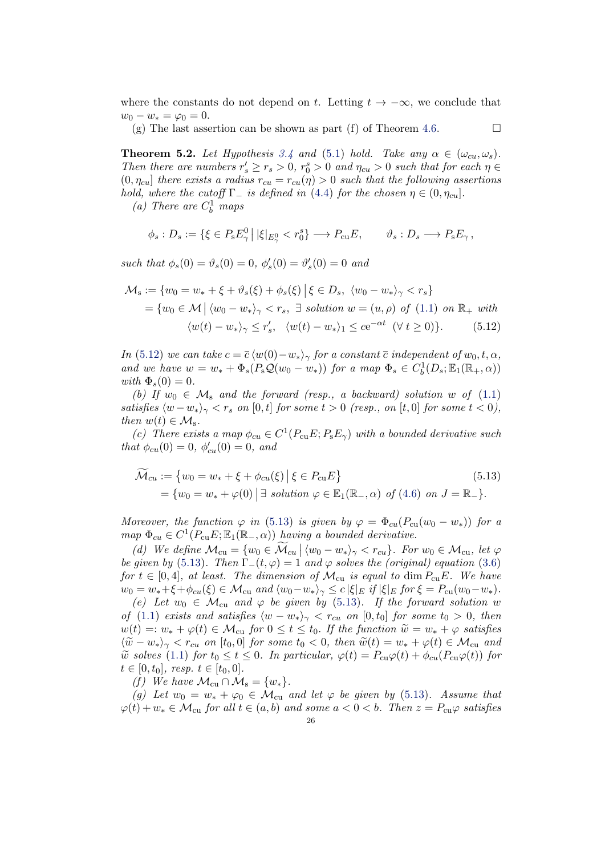where the constants do not depend on t. Letting  $t \to -\infty$ , we conclude that  $w_0 - w_* = \varphi_0 = 0.$ 

(g) The last assertion can be shown as part (f) of Theorem [4.6.](#page-17-0)  $\Box$ 

<span id="page-25-0"></span>**Theorem 5.2.** Let Hypothesis [3.4](#page-9-0) and [\(5.1\)](#page-20-2) hold. Take any  $\alpha \in (\omega_{cu}, \omega_s)$ . Then there are numbers  $r'_s \ge r_s > 0$ ,  $r_0^s > 0$  and  $\eta_{cu} > 0$  such that for each  $\eta \in$  $(0, \eta_{cu})$  there exists a radius  $r_{cu} = r_{cu}(\eta) > 0$  such that the following assertions hold, where the cutoff  $\Gamma_-$  is defined in [\(4.4\)](#page-15-0) for the chosen  $\eta \in (0, \eta_{cu}]$ .

(a) There are  $C_b^1$  maps

$$
\phi_s : D_s := \{ \xi \in P_s E_\gamma^0 \, \big| \, |\xi|_{E_\gamma^0} < r_0^s \} \longrightarrow P_{\rm cu} E, \qquad \vartheta_s : D_s \longrightarrow P_s E_\gamma \,,
$$

such that  $\phi_s(0) = \vartheta_s(0) = 0, \ \phi_s'(0) = \vartheta_s'(0) = 0$  and

$$
\mathcal{M}_{s} := \{w_{0} = w_{*} + \xi + \vartheta_{s}(\xi) + \phi_{s}(\xi) | \xi \in D_{s}, \ \langle w_{0} - w_{*} \rangle_{\gamma} < r_{s} \}
$$
\n
$$
= \{w_{0} \in \mathcal{M} | \langle w_{0} - w_{*} \rangle_{\gamma} < r_{s}, \exists \text{ solution } w = (u, \rho) \text{ of (1.1) on } \mathbb{R}_{+} \text{ with}
$$
\n
$$
\langle w(t) - w_{*} \rangle_{\gamma} \leq r'_{s}, \ \langle w(t) - w_{*} \rangle_{1} \leq c e^{-\alpha t} \ (\forall \ t \geq 0) \}. \tag{5.12}
$$

In [\(5.12\)](#page-25-1) we can take  $c = \overline{c} \langle w(0) - w_* \rangle_{\gamma}$  for a constant  $\overline{c}$  independent of  $w_0, t, \alpha$ , and we have  $w = w_* + \Phi_s(P_sQ(w_0 - w_*))$  for a map  $\Phi_s \in C_b^1(D_s; \mathbb{E}_1(\mathbb{R}_+, \alpha))$ with  $\Phi_s(0)=0$ .

(b) If  $w_0 \in \mathcal{M}_s$  and the forward (resp., a backward) solution w of [\(1.1\)](#page-1-0) satisfies  $\langle w-w_*\rangle_{\gamma} < r_s$  on [0, t] for some  $t > 0$  (resp., on [t, 0] for some  $t < 0$ ), then  $w(t) \in \mathcal{M}_s$ .

(c) There exists a map  $\phi_{cu} \in C^1(P_{cu}E; P_sE_\gamma)$  with a bounded derivative such that  $\phi_{cu}(0) = 0, \ \phi'_{cu}(0) = 0, \ and$ 

<span id="page-25-2"></span>
$$
\widetilde{\mathcal{M}}_{cu} := \{ w_0 = w_* + \xi + \phi_{cu}(\xi) \mid \xi \in P_{cu}E \}
$$
\n
$$
= \{ w_0 = w_* + \varphi(0) \mid \exists \ solution \varphi \in \mathbb{E}_1(\mathbb{R}_-, \alpha) \ of \ (4.6) \ on \ J = \mathbb{R}_- \}.
$$
\n
$$
(5.13)
$$

Moreover, the function  $\varphi$  in [\(5.13\)](#page-25-2) is given by  $\varphi = \Phi_{cu}(P_{cu}(w_0 - w_*))$  for a map  $\Phi_{cu} \in C^1(P_{cu}E; \mathbb{E}_1(\mathbb{R}_-, \alpha))$  having a bounded derivative.

(d) We define  $\mathcal{M}_{cu} = \{w_0 \in \mathcal{M}_{cu} | \langle w_0 - w_* \rangle_\gamma < r_{cu}\}\right.$  For  $w_0 \in \mathcal{M}_{cu}$ , let  $\varphi$ be given by [\(5.13\)](#page-25-2). Then  $\Gamma_-(t,\varphi) = 1$  and  $\varphi$  solves the (original) equation [\(3.6\)](#page-8-0) for  $t \in [0, 4]$ , at least. The dimension of  $\mathcal{M}_{cu}$  is equal to dim  $P_{cu}E$ . We have  $w_0 = w_* + \xi + \phi_{cu}(\xi) \in \mathcal{M}_{cu}$  and  $\langle w_0 - w_* \rangle_{\gamma} \leq c |\xi|_E$  if  $|\xi|_E$  for  $\xi = P_{cu}(w_0 - w_*)$ .

(e) Let  $w_0 \in \mathcal{M}_{cu}$  and  $\varphi$  be given by [\(5.13\)](#page-25-2). If the forward solution w of [\(1.1\)](#page-1-0) exists and satisfies  $\langle w - w_* \rangle_{\gamma} < r_{cu}$  on [0, t<sub>0</sub>] for some t<sub>0</sub> > 0, then  $w(t) =: w_* + \varphi(t) \in \mathcal{M}_{cu}$  for  $0 \le t \le t_0$ . If the function  $\widetilde{w} = w_* + \varphi$  satisfies  $\langle \widetilde{w} - w_* \rangle_{\gamma} < r_{cu}$  on [t<sub>0</sub>,0] for some t<sub>0</sub> < 0, then  $\widetilde{w}(t) = w_* + \varphi(t) \in \mathcal{M}_{cu}$  and  $\tilde{w}$  solves [\(1.1\)](#page-1-0) for  $t_0 \le t \le 0$ . In particular,  $\varphi(t) = P_{\text{cu}}\varphi(t) + \phi_{cu}(P_{\text{cu}}\varphi(t))$  for  $t \in [0, t_0], \; resp. \; t \in [t_0, 0].$ 

(f) We have  $\mathcal{M}_{cu} \cap \mathcal{M}_{s} = \{w_*\}.$ 

(g) Let  $w_0 = w_* + \varphi_0 \in \mathcal{M}_{\text{cu}}$  and let  $\varphi$  be given by [\(5.13\)](#page-25-2). Assume that  $\varphi(t) + w_* \in \mathcal{M}_{\text{cu}}$  for all  $t \in (a, b)$  and some  $a < 0 < b$ . Then  $z = P_{\text{cu}}\varphi$  satisfies

<span id="page-25-1"></span>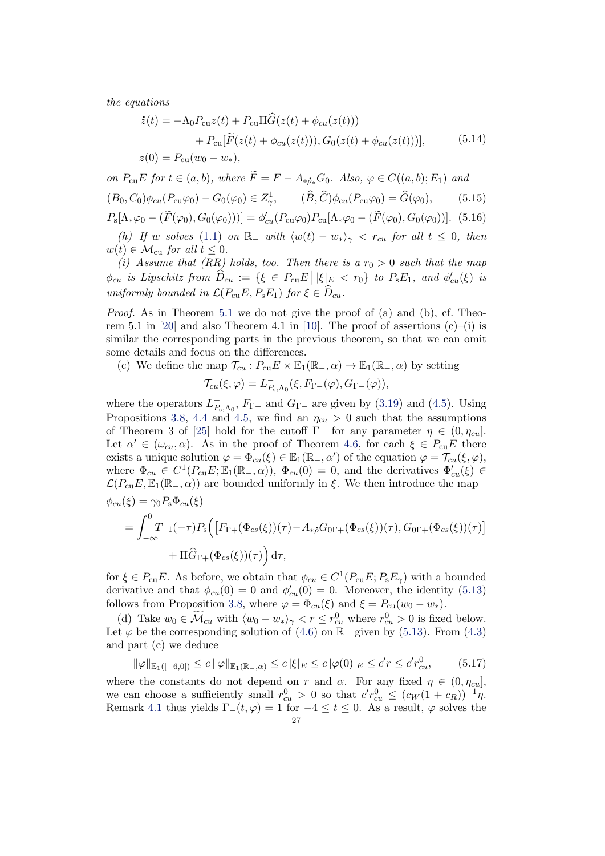<span id="page-26-3"></span>the equations

$$
\dot{z}(t) = -\Lambda_0 P_{\text{cu}} z(t) + P_{\text{cu}} \Pi \hat{G}(z(t) + \phi_{\text{cu}}(z(t))) \n+ P_{\text{cu}} [\tilde{F}(z(t) + \phi_{\text{cu}}(z(t))), G_0(z(t) + \phi_{\text{cu}}(z(t)))],
$$
\n(5.14)  
\n
$$
z(0) = P_{\text{cu}}(w_0 - w_*)
$$

on  $P_{\text{cu}}E$  for  $t \in (a, b)$ , where  $\widetilde{F} = F - A_{\ast \delta} G_0$ . Also,  $\varphi \in C((a, b); E_1)$  and  $(B_0, C_0)\phi_{cu}(P_{cu}\varphi_0) - G_0(\varphi_0) \in Z^1_\gamma, \qquad (\widehat{B}, \widehat{C})\phi_{cu}(P_{cu}\varphi_0) = \widehat{G}(\varphi_0),$  (5.15)  $P_{\rm s}[\Lambda_*\varphi_0-(\widetilde{F}(\varphi_0),G_0(\varphi_0))]=\phi'_{cu}(P_{\rm cu}\varphi_0)P_{\rm cu}[\Lambda_*\varphi_0-(\widetilde{F}(\varphi_0),G_0(\varphi_0))].$  (5.16) (h) If w solves [\(1.1\)](#page-1-0) on  $\mathbb{R}_-$  with  $\langle w(t) - w_* \rangle_{\gamma} < r_{cu}$  for all  $t \leq 0$ , then  $w(t) \in \mathcal{M}_{\text{cu}}$  for all  $t \leq 0$ .

(i) Assume that (RR) holds, too. Then there is a  $r_0 > 0$  such that the map  $\phi_{cu}$  is Lipschitz from  $\widehat{D}_{cu} := \{\xi \in P_{cu}E \, \big| \, |\xi|_E < r_0\}$  to  $P_{\rm s}E_1$ , and  $\phi'_{cu}(\xi)$  is uniformly bounded in  $\mathcal{L}(P_{\text{cu}}E, P_{\text{s}}E_1)$  for  $\xi \in \widehat{D}_{cu}$ .

Proof. As in Theorem [5.1](#page-20-0) we do not give the proof of (a) and (b), cf. Theo-rem 5.1 in [\[20\]](#page-40-1) and also Theorem 4.1 in [\[10\]](#page-40-10). The proof of assertions  $(c)$ –(i) is similar the corresponding parts in the previous theorem, so that we can omit some details and focus on the differences.

(c) We define the map  $\mathcal{T}_{cu}$ :  $P_{cu}E \times \mathbb{E}_1(\mathbb{R}_-, \alpha) \to \mathbb{E}_1(\mathbb{R}_-, \alpha)$  by setting

<span id="page-26-2"></span><span id="page-26-1"></span>
$$
\mathcal{T}_{cu}(\xi,\varphi)=L_{P_{s},\Lambda_{0}}^{-}(\xi,F_{\Gamma-}(\varphi),G_{\Gamma-}(\varphi)),
$$

where the operators  $L_P^ P_{\rm s, A_0}$ ,  $F_{\Gamma-}$  and  $G_{\Gamma-}$  are given by [\(3.19\)](#page-12-5) and [\(4.5\)](#page-15-3). Using Propositions [3.8,](#page-12-1) [4.4](#page-16-3) and [4.5,](#page-17-2) we find an  $\eta_{cu} > 0$  such that the assumptions of Theorem 3 of [\[25\]](#page-40-7) hold for the cutoff  $\Gamma$  for any parameter  $\eta \in (0, \eta_{cu})$ . Let  $\alpha' \in (\omega_{cu}, \alpha)$ . As in the proof of Theorem [4.6,](#page-17-0) for each  $\xi \in P_{cu}E$  there exists a unique solution  $\varphi = \Phi_{cu}(\xi) \in \mathbb{E}_1(\mathbb{R}_-, \alpha')$  of the equation  $\varphi = \mathcal{T}_{cu}(\xi, \varphi)$ , where  $\Phi_{cu} \in C^1(P_{cu}E; \mathbb{E}_1(\mathbb{R}_-, \alpha)), \ \Phi_{cu}(0) = 0$ , and the derivatives  $\Phi'_{cu}(\xi) \in$  $\mathcal{L}(P_{\text{cu}}E,\mathbb{E}_1(\mathbb{R}_-, \alpha))$  are bounded uniformly in ξ. We then introduce the map  $\phi_{cu}(\xi) = \gamma_0 P_{\rm s} \Phi_{cu}(\xi)$ 

$$
= \int_{-\infty}^{0} T_{-1}(-\tau) P_{s} \Big( \big[ F_{\Gamma +}(\Phi_{cs}(\xi))(\tau) - A_{*\dot{\rho}} G_{0\Gamma +}(\Phi_{cs}(\xi))(\tau), G_{0\Gamma +}(\Phi_{cs}(\xi))(\tau) \big] + \Pi \hat{G}_{\Gamma +}(\Phi_{cs}(\xi))(\tau) \Big) d\tau,
$$

for  $\xi \in P_{\text{cu}}E$ . As before, we obtain that  $\phi_{cu} \in C^1(P_{\text{cu}}E; P_{\text{s}}E_\gamma)$  with a bounded derivative and that  $\phi_{cu}(0) = 0$  and  $\phi'_{cu}(0) = 0$ . Moreover, the identity [\(5.13\)](#page-25-2) follows from Proposition [3.8,](#page-12-1) where  $\varphi = \Phi_{cu}(\xi)$  and  $\xi = P_{cu}(w_0 - w_*)$ .

(d) Take  $w_0 \in \widetilde{\mathcal{M}}_{cu}$  with  $\langle w_0 - w_* \rangle_{\gamma} < r \leq r_{cu}^0$  where  $r_{cu}^0 > 0$  is fixed below. Let  $\varphi$  be the corresponding solution of [\(4.6\)](#page-16-1) on  $\mathbb{R}_-$  given by [\(5.13\)](#page-25-2). From [\(4.3\)](#page-15-5) and part (c) we deduce

<span id="page-26-0"></span>
$$
\|\varphi\|_{\mathbb{E}_1([-\n0,0])} \le c \|\varphi\|_{\mathbb{E}_1(\mathbb{R}_-, \alpha)} \le c |\xi|_E \le c |\varphi(0)|_E \le c'r \le c'r^0_{cu}, \tag{5.17}
$$

where the constants do not depend on r and  $\alpha$ . For any fixed  $\eta \in (0, \eta_{cu}]$ , we can choose a sufficiently small  $r_{cu}^0 > 0$  so that  $c'r_{cu}^0 \le (c_W(1+c_R))^{-1}\eta$ . Remark [4.1](#page-15-2) thus yields  $\Gamma_{-}(t, \varphi) = 1$  for  $-4 \leq t \leq 0$ . As a result,  $\varphi$  solves the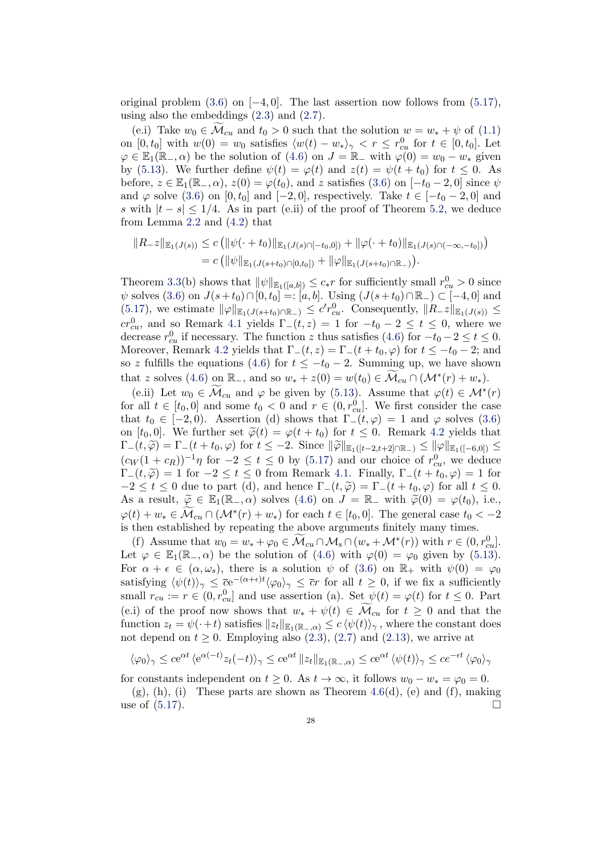original problem  $(3.6)$  on  $[-4, 0]$ . The last assertion now follows from  $(5.17)$ , using also the embeddings [\(2.3\)](#page-4-1) and [\(2.7\)](#page-5-0).

(e.i) Take  $w_0 \in \mathcal{M}_{cu}$  and  $t_0 > 0$  such that the solution  $w = w_* + \psi$  of [\(1.1\)](#page-1-0) on  $[0, t_0]$  with  $w(0) = w_0$  satisfies  $\langle w(t) - w_* \rangle_{\gamma} < r \leq r_{cu}^0$  for  $t \in [0, t_0]$ . Let  $\varphi \in \mathbb{E}_1(\mathbb{R}_-, \alpha)$  be the solution of  $(4.6)$  on  $J = \mathbb{R}_-$  with  $\varphi(0) = w_0 - w_*$  given by [\(5.13\)](#page-25-2). We further define  $\psi(t) = \varphi(t)$  and  $z(t) = \psi(t + t_0)$  for  $t \leq 0$ . As before,  $z \in \mathbb{E}_1(\mathbb{R}_-, \alpha)$ ,  $z(0) = \varphi(t_0)$ , and z satisfies [\(3.6\)](#page-8-0) on  $[-t_0 - 2, 0]$  since  $\psi$ and  $\varphi$  solve [\(3.6\)](#page-8-0) on [0, t<sub>0</sub>] and [−2, 0], respectively. Take  $t \in [-t_0 - 2, 0]$  and s with  $|t - s| \leq 1/4$ . As in part (e.ii) of the proof of Theorem [5.2,](#page-25-0) we deduce from Lemma [2.2](#page-7-4) and [\(4.2\)](#page-15-6) that

$$
||R_z||_{\mathbb{E}_1(J(s))} \leq c (||\psi(\cdot + t_0)||_{\mathbb{E}_1(J(s) \cap [-t_0,0])} + ||\varphi(\cdot + t_0)||_{\mathbb{E}_1(J(s) \cap (-\infty,-t_0])})
$$
  
=  $c (||\psi||_{\mathbb{E}_1(J(s+t_0) \cap [0,t_0])} + ||\varphi||_{\mathbb{E}_1(J(s+t_0) \cap \mathbb{R}_-)}).$ 

Theorem [3.3\(](#page-9-1)b) shows that  $\|\psi\|_{\mathbb{E}_1([a,b])} \leq c_* r$  for sufficiently small  $r_{cu}^0 > 0$  since  $\psi$  solves [\(3.6\)](#page-8-0) on  $J(s+t_0) \cap [0, t_0] =: [a, b]$ . Using  $(J(s+t_0) \cap \mathbb{R}_-) \subset [-4, 0]$  and [\(5.17\)](#page-26-0), we estimate  $\|\varphi\|_{\mathbb{E}_1(J(s+t_0)\cap\mathbb{R}_-)} \leq c'r_{cu}^0$ . Consequently,  $\|R_z\|_{\mathbb{E}_1(J(s))} \leq$  $cr_{cu}^0$ , and so Remark [4.1](#page-15-2) yields  $\Gamma_-(t,z) = 1$  for  $-t_0 - 2 \le t \le 0$ , where we decrease  $r_{cu}^0$  if necessary. The function z thus satisfies [\(4.6\)](#page-16-1) for  $-t_0 - 2 \le t \le 0$ . Moreover, Remark [4.2](#page-15-4) yields that  $\Gamma_-(t, z) = \Gamma_-(t + t_0, \varphi)$  for  $t \le -t_0 - 2$ ; and so z fulfills the equations [\(4.6\)](#page-16-1) for  $t \leq -t_0 - 2$ . Summing up, we have shown that z solves [\(4.6\)](#page-16-1) on  $\mathbb{R}_-$ , and so  $w_* + z(0) = w(t_0) \in \widetilde{\mathcal{M}}_{cu} \cap (\mathcal{M}^*(r) + w_*)$ .

(e.ii) Let  $w_0 \in \widetilde{\mathcal{M}}_{cu}$  and  $\varphi$  be given by [\(5.13\)](#page-25-2). Assume that  $\varphi(t) \in \mathcal{M}^*(r)$ for all  $t \in [t_0, 0]$  and some  $t_0 < 0$  and  $r \in (0, r_{cu}^0]$ . We first consider the case that  $t_0 \in [-2, 0)$ . Assertion (d) shows that  $\Gamma_-(t, \varphi) = 1$  and  $\varphi$  solves [\(3.6\)](#page-8-0) on [t<sub>0</sub>, 0]. We further set  $\tilde{\varphi}(t) = \varphi(t+t_0)$  for  $t \leq 0$ . Remark [4.2](#page-15-4) yields that  $\Gamma_-(t, \widetilde{\varphi}) = \Gamma_-(t + t_0, \varphi)$  for  $t \leq -2$ . Since  $\|\widetilde{\varphi}\|_{\mathbb{E}_1([t-2,t+2]\cap \mathbb{R}_-)} \leq \|\varphi\|_{\mathbb{E}_1([-6,0])} \leq$  $(c_W(1+c_R))^{-1}\eta$  for  $-2 \le t \le 0$  by [\(5.17\)](#page-26-0) and our choice of  $r_{cu}^0$ , we deduce  $\Gamma_-(t, \widetilde{\varphi}) = 1$  for  $-2 \le t \le 0$  from Remark [4.1.](#page-15-2) Finally,  $\Gamma_-(t + t_0, \varphi) = 1$  for  $-2 \le t \le 0$  due to part (d), and hence  $\Gamma_-(t, \tilde{\varphi}) = \Gamma_-(t + t_0, \varphi)$  for all  $t \le 0$ . As a result,  $\widetilde{\varphi} \in \mathbb{E}_1(\mathbb{R}_-, \alpha)$  solves  $(4.6)$  on  $J = \mathbb{R}_-$  with  $\widetilde{\varphi}(0) = \varphi(t_0)$ , i.e.,  $\varphi(t) + w_* \in \widetilde{\mathcal{M}}_{cu} \cap (\mathcal{M}^*(r) + w_*)$  for each  $t \in [t_0, 0]$ . The general case  $t_0 < -2$ is then established by repeating the above arguments finitely many times.

(f) Assume that  $w_0 = w_* + \varphi_0 \in \widetilde{\mathcal{M}}_{cu} \cap \mathcal{M}_{s} \cap (w_* + \mathcal{M}^*(r))$  with  $r \in (0, r_{cu}^0]$ . Let  $\varphi \in \mathbb{E}_1(\mathbb{R}_-, \alpha)$  be the solution of [\(4.6\)](#page-16-1) with  $\varphi(0) = \varphi_0$  given by [\(5.13\)](#page-25-2). For  $\alpha + \epsilon \in (\alpha, \omega_s)$ , there is a solution  $\psi$  of [\(3.6\)](#page-8-0) on  $\mathbb{R}_+$  with  $\psi(0) = \varphi_0$ satisfying  $\langle \psi(t) \rangle_{\gamma} \leq \overline{c}e^{-(\alpha+\epsilon)t} \langle \varphi_0 \rangle_{\gamma} \leq \overline{c}r$  for all  $t \geq 0$ , if we fix a sufficiently small  $r_{cu} := r \in (0, r_{cu}^0]$  and use assertion (a). Set  $\psi(t) = \varphi(t)$  for  $t \leq 0$ . Part (e.i) of the proof now shows that  $w_* + \psi(t) \in \mathcal{M}_{cu}$  for  $t \geq 0$  and that the function  $z_t = \psi(\cdot + t)$  satisfies  $||z_t||_{\mathbb{E}_1(\mathbb{R}_-, \alpha)} \leq c \langle \psi(t) \rangle_\gamma$ , where the constant does not depend on  $t \geq 0$ . Employing also  $(2.3)$ ,  $(2.7)$  and  $(2.13)$ , we arrive at

$$
\langle \varphi_0 \rangle_{\gamma} \le c e^{\alpha t} \langle e^{\alpha(-t)} z_t(-t) \rangle_{\gamma} \le c e^{\alpha t} ||z_t||_{\mathbb{E}_1(\mathbb{R}_-, \alpha)} \le c e^{\alpha t} \langle \psi(t) \rangle_{\gamma} \le c e^{-\epsilon t} \langle \varphi_0 \rangle_{\gamma}
$$

for constants independent on  $t \geq 0$ . As  $t \to \infty$ , it follows  $w_0 - w_* = \varphi_0 = 0$ .

 $(g)$ ,  $(h)$ ,  $(i)$  These parts are shown as Theorem [4.6\(](#page-17-0)d),  $(e)$  and  $(f)$ , making use of  $(5.17)$ .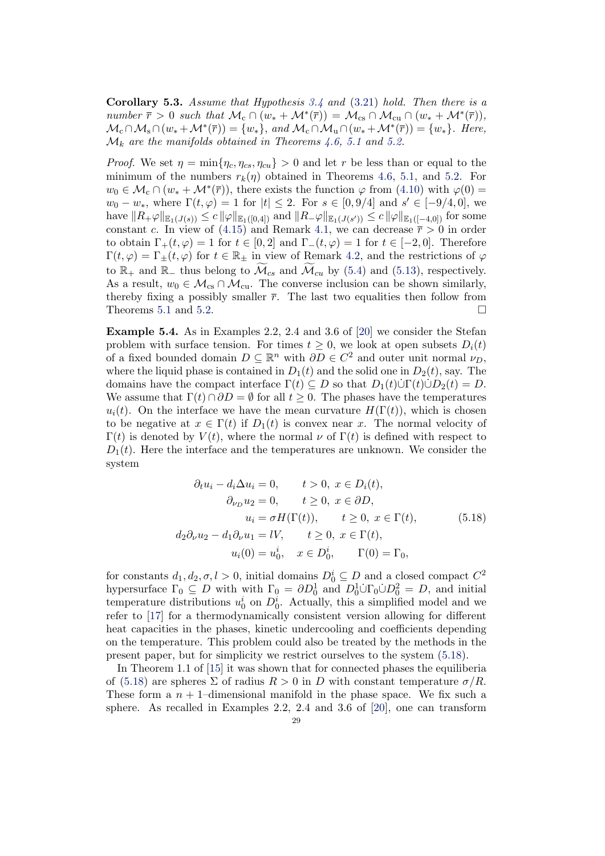<span id="page-28-1"></span>**Corollary 5.3.** Assume that Hypothesis  $3.4$  and  $(3.21)$  hold. Then there is a number  $\bar{r} > 0$  such that  $\mathcal{M}_c \cap (w_* + \mathcal{M}^*(\bar{r})) = \mathcal{M}_{cs} \cap \mathcal{M}_{cu} \cap (w_* + \mathcal{M}^*(\bar{r})),$  $\mathcal{M}_c \cap \mathcal{M}_s \cap (w_* + \mathcal{M}^*(\overline{r})) = \{w_*\}, \text{ and } \mathcal{M}_c \cap \mathcal{M}_u \cap (w_* + \mathcal{M}^*(\overline{r})) = \{w_*\}.$  Here,  $\mathcal{M}_k$  are the manifolds obtained in Theorems [4.6,](#page-17-0) [5.1](#page-20-0) and [5.2.](#page-25-0)

*Proof.* We set  $\eta = \min\{\eta_c, \eta_{cs}, \eta_{cu}\} > 0$  and let r be less than or equal to the minimum of the numbers  $r_k(\eta)$  obtained in Theorems [4.6,](#page-17-0) [5.1,](#page-20-0) and [5.2.](#page-25-0) For  $w_0 \in \mathcal{M}_c \cap (w_* + \mathcal{M}^*(\overline{r}))$ , there exists the function  $\varphi$  from [\(4.10\)](#page-18-0) with  $\varphi(0)$  =  $w_0 - w_*$ , where  $\Gamma(t, \varphi) = 1$  for  $|t| \leq 2$ . For  $s \in [0, 9/4]$  and  $s' \in [-9/4, 0]$ , we  $\mathrm{have}\ \|R_+\varphi\|_{\mathbb{E}_1(J(s))}\leq c\,\|\varphi\|_{\mathbb{E}_1([0,4])} \text{ and } \|R_-\varphi\|_{\mathbb{E}_1(J(s'))}\leq c\,\|\varphi\|_{\mathbb{E}_1([-4,0])} \text{ for some }$ constant c. In view of [\(4.15\)](#page-19-0) and Remark [4.1,](#page-15-2) we can decrease  $\bar{r} > 0$  in order to obtain  $\Gamma_+(t,\varphi) = 1$  for  $t \in [0,2]$  and  $\Gamma_-(t,\varphi) = 1$  for  $t \in [-2,0]$ . Therefore  $\Gamma(t, \varphi) = \Gamma_{\pm}(t, \varphi)$  for  $t \in \mathbb{R}_{\pm}$  in view of Remark [4.2,](#page-15-4) and the restrictions of  $\varphi$ to  $\mathbb{R}_+$  and  $\mathbb{R}_-$  thus belong to  $\mathcal{M}_{cs}$  and  $\mathcal{M}_{cu}$  by [\(5.4\)](#page-21-1) and [\(5.13\)](#page-25-2), respectively. As a result,  $w_0 \in \mathcal{M}_{cs} \cap \mathcal{M}_{cu}$ . The converse inclusion can be shown similarly, thereby fixing a possibly smaller  $\bar{r}$ . The last two equalities then follow from Theorems [5.1](#page-20-0) and [5.2.](#page-25-0)  $\Box$ 

<span id="page-28-0"></span>Example 5.4. As in Examples 2.2, 2.4 and 3.6 of [\[20\]](#page-40-1) we consider the Stefan problem with surface tension. For times  $t \geq 0$ , we look at open subsets  $D_i(t)$ of a fixed bounded domain  $D \subseteq \mathbb{R}^n$  with  $\partial D \in C^2$  and outer unit normal  $\nu_D$ , where the liquid phase is contained in  $D_1(t)$  and the solid one in  $D_2(t)$ , say. The domains have the compact interface  $\Gamma(t) \subseteq D$  so that  $D_1(t)\dot{\cup}\Gamma(t)\dot{\cup}D_2(t) = D$ . We assume that  $\Gamma(t) \cap \partial D = \emptyset$  for all  $t \geq 0$ . The phases have the temperatures  $u_i(t)$ . On the interface we have the mean curvature  $H(\Gamma(t))$ , which is chosen to be negative at  $x \in \Gamma(t)$  if  $D_1(t)$  is convex near x. The normal velocity of  $\Gamma(t)$  is denoted by  $V(t)$ , where the normal  $\nu$  of  $\Gamma(t)$  is defined with respect to  $D_1(t)$ . Here the interface and the temperatures are unknown. We consider the system

<span id="page-28-2"></span>
$$
\partial_t u_i - d_i \Delta u_i = 0, \qquad t > 0, \ x \in D_i(t),
$$
  
\n
$$
\partial_{\nu_D} u_2 = 0, \qquad t \ge 0, \ x \in \partial D,
$$
  
\n
$$
u_i = \sigma H(\Gamma(t)), \qquad t \ge 0, \ x \in \Gamma(t),
$$
  
\n
$$
d_2 \partial_{\nu} u_2 - d_1 \partial_{\nu} u_1 = lV, \qquad t \ge 0, \ x \in \Gamma(t),
$$
  
\n
$$
u_i(0) = u_0^i, \quad x \in D_0^i, \qquad \Gamma(0) = \Gamma_0,
$$
\n(5.18)

for constants  $d_1, d_2, \sigma, l > 0$ , initial domains  $D_0^i \subseteq D$  and a closed compact  $C^2$ hypersurface  $\Gamma_0 \subseteq D$  with with  $\Gamma_0 = \partial D_0^1$  and  $D_0^1 \dot{\cup} \Gamma_0 \dot{\cup} D_0^2 = D$ , and initial temperature distributions  $u_0^i$  on  $D_0^i$ . Actually, this a simplified model and we refer to [\[17\]](#page-40-0) for a thermodynamically consistent version allowing for different heat capacities in the phases, kinetic undercooling and coefficients depending on the temperature. This problem could also be treated by the methods in the present paper, but for simplicity we restrict ourselves to the system [\(5.18\)](#page-28-2).

In Theorem 1.1 of [\[15\]](#page-40-12) it was shown that for connected phases the equiliberia of [\(5.18\)](#page-28-2) are spheres  $\Sigma$  of radius  $R > 0$  in D with constant temperature  $\sigma/R$ . These form a  $n + 1$ -dimensional manifold in the phase space. We fix such a sphere. As recalled in Examples 2.2, 2.4 and 3.6 of [\[20\]](#page-40-1), one can transform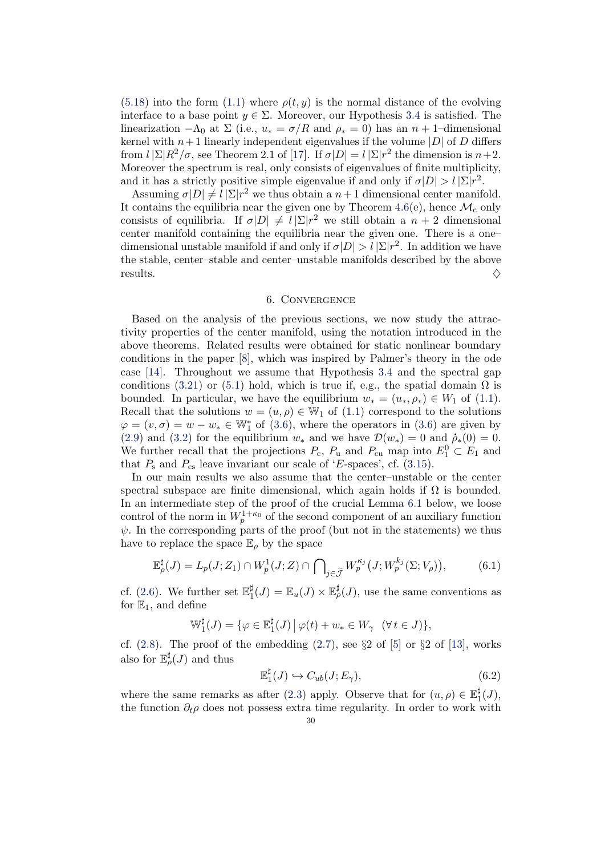[\(5.18\)](#page-28-2) into the form [\(1.1\)](#page-1-0) where  $\rho(t, y)$  is the normal distance of the evolving interface to a base point  $y \in \Sigma$ . Moreover, our Hypothesis [3.4](#page-9-0) is satisfied. The linearization  $-\Lambda_0$  at  $\Sigma$  (i.e.,  $u_* = \sigma/R$  and  $\rho_* = 0$ ) has an  $n + 1$ –dimensional kernel with  $n+1$  linearly independent eigenvalues if the volume  $|D|$  of D differs from  $l \sum R^2/\sigma$ , see Theorem 2.1 of [\[17\]](#page-40-0). If  $\sigma|D| = l \sum |r^2|$  the dimension is  $n+2$ . Moreover the spectrum is real, only consists of eigenvalues of finite multiplicity, and it has a strictly positive simple eigenvalue if and only if  $\sigma|D| > l |\Sigma| r^2$ .

Assuming  $\sigma|D| \neq l |\Sigma| r^2$  we thus obtain a  $n+1$  dimensional center manifold. It contains the equilibria near the given one by Theorem [4.6\(](#page-17-0)e), hence  $\mathcal{M}_c$  only consists of equilibria. If  $\sigma|D| \neq l |\Sigma| r^2$  we still obtain a  $n+2$  dimensional center manifold containing the equilibria near the given one. There is a one– dimensional unstable manifold if and only if  $\sigma|D| > l |\Sigma| r^2$ . In addition we have the stable, center–stable and center–unstable manifolds described by the above results.  $\diamondsuit$ 

#### 6. Convergence

<span id="page-29-0"></span>Based on the analysis of the previous sections, we now study the attractivity properties of the center manifold, using the notation introduced in the above theorems. Related results were obtained for static nonlinear boundary conditions in the paper [\[8\]](#page-39-4), which was inspired by Palmer's theory in the ode case [\[14\]](#page-40-17). Throughout we assume that Hypothesis [3.4](#page-9-0) and the spectral gap conditions [\(3.21\)](#page-13-0) or [\(5.1\)](#page-20-2) hold, which is true if, e.g., the spatial domain  $\Omega$  is bounded. In particular, we have the equilibrium  $w_* = (u_*, \rho_*) \in W_1$  of [\(1.1\)](#page-1-0). Recall that the solutions  $w = (u, \rho) \in \mathbb{W}_1$  of  $(1.1)$  correspond to the solutions  $\varphi = (v, \sigma) = w - w_* \in \mathbb{W}_1^*$  of [\(3.6\)](#page-8-0), where the operators in (3.6) are given by [\(2.9\)](#page-5-1) and [\(3.2\)](#page-7-3) for the equilibrium  $w_*$  and we have  $\mathcal{D}(w_*) = 0$  and  $\dot{\rho}_*(0) = 0$ . We further recall that the projections  $P_c$ ,  $P_u$  and  $P_{cu}$  map into  $E_1^0 \subset E_1$  and that  $P_s$  and  $P_{cs}$  leave invariant our scale of 'E-spaces', cf. [\(3.15\)](#page-12-4).

In our main results we also assume that the center–unstable or the center spectral subspace are finite dimensional, which again holds if  $\Omega$  is bounded. In an intermediate step of the proof of the crucial Lemma [6.1](#page-30-0) below, we loose control of the norm in  $W_p^{1+\kappa_0}$  of the second component of an auxiliary function  $\psi$ . In the corresponding parts of the proof (but not in the statements) we thus have to replace the space  $\mathbb{E}_{\rho}$  by the space

$$
\mathbb{E}_{\rho}^{\sharp}(J) = L_p(J; Z_1) \cap W_p^1(J; Z) \cap \bigcap_{j \in \widetilde{\mathcal{J}}} W_p^{\kappa_j}(J; W_p^{k_j}(\Sigma; V_{\rho})), \tag{6.1}
$$

cf. [\(2.6\)](#page-4-4). We further set  $\mathbb{E}^{\sharp}_{1}$  $\frac{\sharp}{1}(J) = \mathbb{E}_u(J) \times \mathbb{E}_{\rho}^{\sharp}(J)$ , use the same conventions as for  $\mathbb{E}_1$ , and define

$$
\mathbb{W}_1^{\sharp}(J) = \{ \varphi \in \mathbb{E}_1^{\sharp}(J) \, \big| \, \varphi(t) + w_* \in W_{\gamma} \quad (\forall \, t \in J) \},
$$

cf.  $(2.8)$ . The proof of the embedding  $(2.7)$ , see §2 of [\[5\]](#page-39-5) or §2 of [\[13\]](#page-40-15), works also for  $\mathbb{E}_{\rho}^{\sharp}(J)$  and thus

<span id="page-29-1"></span>
$$
\mathbb{E}_1^{\sharp}(J) \hookrightarrow C_{ub}(J; E_{\gamma}), \tag{6.2}
$$

where the same remarks as after [\(2.3\)](#page-4-1) apply. Observe that for  $(u, \rho) \in \mathbb{E}_1^{\sharp}$  $\frac{1}{1}(J),$ the function  $\partial_t \rho$  does not possess extra time regularity. In order to work with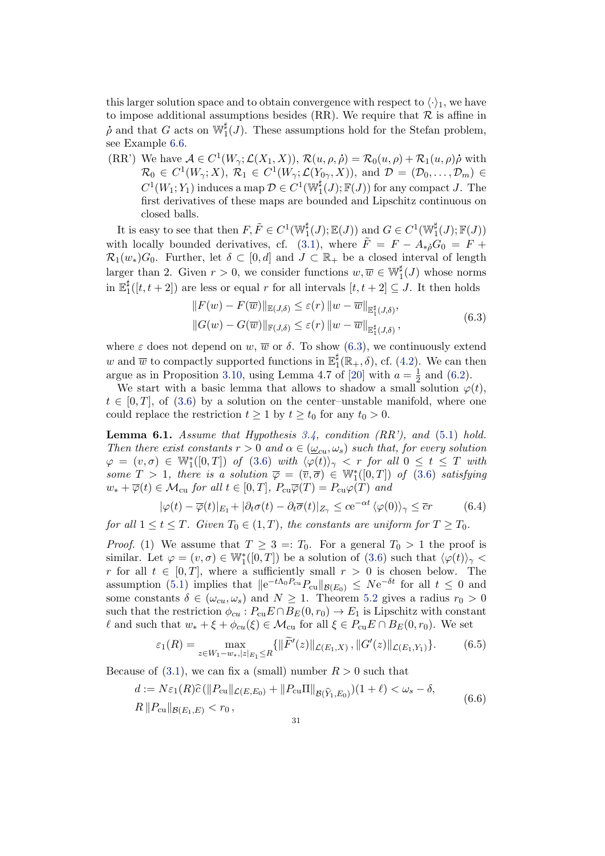this larger solution space and to obtain convergence with respect to  $\langle \cdot \rangle_1$ , we have to impose additional assumptions besides (RR). We require that  $R$  is affine in  $\dot{\rho}$  and that G acts on  $\mathbb{W}_1^{\sharp}(J)$ . These assumptions hold for the Stefan problem, see Example [6.6.](#page-39-3)

(RR') We have  $A \in C^1(W_\gamma; \mathcal{L}(X_1, X)), \mathcal{R}(u, \rho, \rho) = \mathcal{R}_0(u, \rho) + \mathcal{R}_1(u, \rho)\rho$  with  $\mathcal{R}_0 \in C^1(W_\gamma; X), \ \mathcal{R}_1 \in C^1(W_\gamma; \mathcal{L}(Y_{0\gamma}, X)), \text{ and } \mathcal{D} = (\mathcal{D}_0, \dots, \mathcal{D}_m) \in$  $C^1(W_1; Y_1)$  induces a map  $\mathcal{D} \in C^1(\mathbb{W}_1^{\sharp}(J); \mathbb{F}(J))$  for any compact J. The first derivatives of these maps are bounded and Lipschitz continuous on closed balls.

It is easy to see that then  $F, \tilde{F} \in C^1(\mathbb{W}_1^\sharp(J); \mathbb{E}(J))$  and  $G \in C^1(\mathbb{W}_1^\sharp(J); \mathbb{F}(J))$ with locally bounded derivatives, cf. [\(3.1\)](#page-7-6), where  $\tilde{F} = F - A_{\dot{\ast}0} G_0 = F +$  $\mathcal{R}_1(w_*)G_0$ . Further, let  $\delta \subset [0, d]$  and  $J \subset \mathbb{R}_+$  be a closed interval of length larger than 2. Given  $r > 0$ , we consider functions  $w, \overline{w} \in \mathbb{W}^{\sharp}_{1}(J)$  whose norms in  $\mathbb{E}_1^\sharp$  $_{1}^{\sharp}([t,t+2])$  are less or equal r for all intervals  $[t,t+2] \subseteq J$ . It then holds

$$
||F(w) - F(\overline{w})||_{\mathbb{E}(J,\delta)} \leq \varepsilon(r) ||w - \overline{w}||_{\mathbb{E}_1^{\sharp}(J,\delta)},
$$
  

$$
||G(w) - G(\overline{w})||_{\mathbb{F}(J,\delta)} \leq \varepsilon(r) ||w - \overline{w}||_{\mathbb{E}_1^{\sharp}(J,\delta)},
$$
\n
$$
(6.3)
$$

<span id="page-30-1"></span>where  $\varepsilon$  does not depend on w,  $\overline{w}$  or  $\delta$ . To show [\(6.3\)](#page-30-1), we continuously extend w and  $\overline{w}$  to compactly supported functions in  $\mathbb{E}_1^{\sharp}$  $j_1^{\sharp}(\mathbb{R}_+, \delta)$ , cf. [\(4.2\)](#page-15-6). We can then argue as in Proposition [3.10,](#page-14-2) using Lemma 4.7 of [\[20\]](#page-40-1) with  $a = \frac{1}{2}$  $\frac{1}{2}$  and [\(6.2\)](#page-29-1).

We start with a basic lemma that allows to shadow a small solution  $\varphi(t)$ ,  $t \in [0, T]$ , of [\(3.6\)](#page-8-0) by a solution on the center–unstable manifold, where one could replace the restriction  $t \geq 1$  by  $t \geq t_0$  for any  $t_0 > 0$ .

<span id="page-30-0"></span>**Lemma 6.1.** Assume that Hypothesis  $3.4$ , condition (RR'), and [\(5.1\)](#page-20-2) hold. Then there exist constants  $r > 0$  and  $\alpha \in (\underline{\omega}_{cu}, \omega_s)$  such that, for every solution  $\varphi\;=\;(v,\sigma)\;\in\;\mathbb{W}^*_1([0,T])$  of  $(3.6)$  with  $\langle\varphi(\widetilde{t})\rangle_{\gamma}\;<\;r$  for all  $0\;\leq\;t\;\leq\;T$  with some  $T > 1$ , there is a solution  $\overline{\varphi} = (\overline{v}, \overline{\sigma}) \in \mathbb{W}_1^*([0, T])$  of [\(3.6\)](#page-8-0) satisfying  $w_* + \overline{\varphi}(t) \in \mathcal{M}_{\text{cu}}$  for all  $t \in [0, T]$ ,  $P_{\text{cu}} \overline{\varphi}(T) = P_{\text{cu}} \varphi(T)$  and

<span id="page-30-4"></span>
$$
|\varphi(t) - \overline{\varphi}(t)|_{E_1} + |\partial_t \sigma(t) - \partial_t \overline{\sigma}(t)|_{Z_\gamma} \le c e^{-\alpha t} \langle \varphi(0) \rangle_\gamma \le \overline{c}r \tag{6.4}
$$

for all  $1 \le t \le T$ . Given  $T_0 \in (1, T)$ , the constants are uniform for  $T \ge T_0$ .

*Proof.* (1) We assume that  $T \geq 3 = T_0$ . For a general  $T_0 > 1$  the proof is similar. Let  $\varphi = (v, \sigma) \in \mathbb{W}_1^*([0, T])$  be a solution of  $(3.6)$  such that  $\langle \varphi(t) \rangle_{\gamma}$ r for all  $t \in [0, T]$ , where a sufficiently small  $r > 0$  is chosen below. The assumption [\(5.1\)](#page-20-2) implies that  $||e^{-t\Lambda_0P_{cu}}P_{cu}||_{\mathcal{B}(E_0)} \leq Ne^{-\delta t}$  for all  $t \leq 0$  and some constants  $\delta \in (\omega_{cu}, \omega_s)$  and  $N \ge 1$ . Theorem [5.2](#page-25-0) gives a radius  $r_0 > 0$ such that the restriction  $\phi_{cu}$ :  $P_{cu}E \cap B_E(0, r_0) \to E_1$  is Lipschitz with constant  $\ell$  and such that  $w_* + \xi + \phi_{cu}(\xi) \in \mathcal{M}_{cu}$  for all  $\xi \in P_{cu}E \cap B_E(0, r_0)$ . We set

<span id="page-30-2"></span>
$$
\varepsilon_1(R) = \max_{z \in W_1 - w_*, |z|_{E_1} \le R} \{ \|\widetilde{F}'(z)\|_{\mathcal{L}(E_1, X)}, \|G'(z)\|_{\mathcal{L}(E_1, Y_1)} \}.
$$
(6.5)

<span id="page-30-3"></span>Because of  $(3.1)$ , we can fix a (small) number  $R > 0$  such that

$$
d := N\varepsilon_1(R)\widehat{c}(\|P_{\text{cu}}\|_{\mathcal{L}(E,E_0)} + \|P_{\text{cu}}\Pi\|_{\mathcal{B}(\widehat{Y}_1,E_0)})(1+\ell) < \omega_s - \delta,
$$
\n
$$
R\|P_{\text{cu}}\|_{\mathcal{B}(E_1,E)} < r_0 \,, \tag{6.6}
$$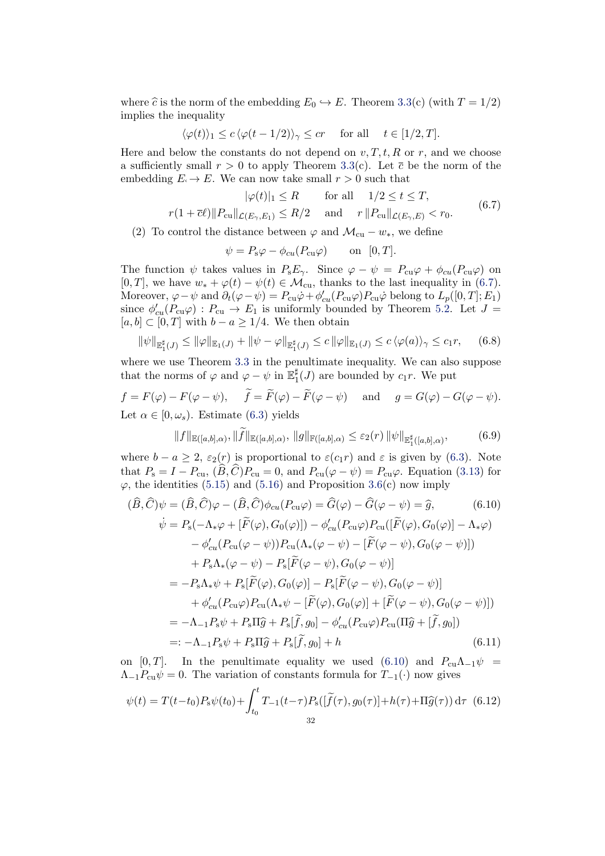where  $\hat{c}$  is the norm of the embedding  $E_0 \hookrightarrow E$ . Theorem [3.3\(](#page-9-1)c) (with  $T = 1/2$ ) implies the inequality

$$
\langle \varphi(t) \rangle_1 \le c \, \langle \varphi(t-1/2) \rangle_\gamma \le cr \quad \text{ for all }\quad t \in [1/2,T].
$$

Here and below the constants do not depend on  $v, T, t, R$  or r, and we choose a sufficiently small  $r > 0$  to apply Theorem [3.3\(](#page-9-1)c). Let  $\bar{c}$  be the norm of the embedding  $E \to E$ . We can now take small  $r > 0$  such that

$$
|\varphi(t)|_1 \le R \quad \text{for all} \quad 1/2 \le t \le T,
$$
  

$$
r(1 + \overline{c}\ell) \|P_{\text{cu}}\|_{\mathcal{L}(E_\gamma, E_1)} \le R/2 \quad \text{and} \quad r \|P_{\text{cu}}\|_{\mathcal{L}(E_\gamma, E)} < r_0.
$$
 (6.7)

<span id="page-31-0"></span>(2) To control the distance between  $\varphi$  and  $\mathcal{M}_{cu} - w_*$ , we define

$$
\psi = P_{s}\varphi - \phi_{cu}(P_{cu}\varphi) \quad \text{on} \quad [0, T].
$$

The function  $\psi$  takes values in  $P_{s}E_{\gamma}$ . Since  $\varphi - \psi = P_{cu}\varphi + \phi_{cu}(P_{cu}\varphi)$  on [0, T], we have  $w_* + \varphi(t) - \psi(t) \in \mathcal{M}_{\text{cu}}$ , thanks to the last inequality in [\(6.7\)](#page-31-0). Moreover,  $\varphi - \psi$  and  $\partial_t(\varphi - \psi) = P_{cu}\dot{\varphi} + \phi'_{cu}(P_{cu}\varphi)P_{cu}\dot{\varphi}$  belong to  $L_p([0, T]; E_1)$ since  $\phi'_{cu}(P_{cu}\varphi) : P_{cu} \to E_1$  is uniformly bounded by Theorem [5.2.](#page-25-0) Let  $J =$  $[a, b] \subset [0, T]$  with  $b - a \geq 1/4$ . We then obtain

$$
\|\psi\|_{\mathbb{E}_1^{\sharp}(J)} \le \|\varphi\|_{\mathbb{E}_1(J)} + \|\psi - \varphi\|_{\mathbb{E}_1^{\sharp}(J)} \le c \|\varphi\|_{\mathbb{E}_1(J)} \le c \langle \varphi(a) \rangle_{\gamma} \le c_1 r, \quad (6.8)
$$

where we use Theorem [3.3](#page-9-1) in the penultimate inequality. We can also suppose that the norms of  $\varphi$  and  $\varphi - \psi$  in  $\mathbb{E}_1^{\sharp}$  $C_1^{\mu}(J)$  are bounded by  $c_1r$ . We put

$$
f = F(\varphi) - F(\varphi - \psi), \quad \tilde{f} = F(\varphi) - F(\varphi - \psi) \quad \text{and} \quad g = G(\varphi) - G(\varphi - \psi).
$$
  
Let  $\alpha \in [0, \omega_s)$ . Estimate (6.3) yields

<span id="page-31-2"></span><span id="page-31-1"></span>
$$
||f||_{\mathbb{E}([a,b],\alpha)}, ||f||_{\mathbb{E}([a,b],\alpha)}, ||g||_{\mathbb{F}([a,b],\alpha)} \leq \varepsilon_2(r) ||\psi||_{\mathbb{E}^{\sharp}_{1}([a,b],\alpha)},
$$
(6.9)

where  $b - a \geq 2$ ,  $\varepsilon_2(r)$  is proportional to  $\varepsilon(c_1r)$  and  $\varepsilon$  is given by [\(6.3\)](#page-30-1). Note that  $P_s = I - P_{cu}$ ,  $(\widehat{B}, \widehat{C})P_{cu} = 0$ , and  $P_{cu}(\varphi - \psi) = P_{cu}\varphi$ . Equation [\(3.13\)](#page-11-4) for  $\varphi$ , the identities [\(5.15\)](#page-26-1) and [\(5.16\)](#page-26-2) and Proposition [3.6\(](#page-11-3)c) now imply

$$
(\hat{B}, \hat{C})\psi = (\hat{B}, \hat{C})\varphi - (\hat{B}, \hat{C})\phi_{cu}(P_{cu}\varphi) = \hat{G}(\varphi) - \hat{G}(\varphi - \psi) = \hat{g}, \qquad (6.10)
$$
  

$$
\dot{\psi} = P_s(-\Lambda_*\varphi + [\tilde{F}(\varphi), G_0(\varphi)]) - \phi'_{cu}(P_{cu}\varphi)P_{cu}([\tilde{F}(\varphi), G_0(\varphi)] - \Lambda_*\varphi)
$$

$$
- \phi'_{cu}(P_{cu}(\varphi - \psi))P_{cu}(\Lambda_*(\varphi - \psi) - [\tilde{F}(\varphi - \psi), G_0(\varphi - \psi)])
$$

$$
+ P_s\Lambda_*(\varphi - \psi) - P_s[\tilde{F}(\varphi - \psi), G_0(\varphi - \psi)]
$$

$$
= -P_s\Lambda_*\psi + P_s[\tilde{F}(\varphi), G_0(\varphi)] - P_s[\tilde{F}(\varphi - \psi), G_0(\varphi - \psi)]
$$

$$
+ \phi'_{cu}(P_{cu}\varphi)P_{cu}(\Lambda_*\psi - [\tilde{F}(\varphi), G_0(\varphi)] + [\tilde{F}(\varphi - \psi), G_0(\varphi - \psi)])
$$

$$
= -\Lambda_{-1}P_s\psi + P_s\Pi\hat{g} + P_s[\tilde{f}, g_0] - \phi'_{cu}(P_{cu}\varphi)P_{cu}(\Pi\hat{g} + [\tilde{f}, g_0])
$$

$$
=: -\Lambda_{-1}P_s\psi + P_s\Pi\hat{g} + P_s[\tilde{f}, g_0] + h \qquad (6.11)
$$

on [0, T]. In the penultimate equality we used [\(6.10\)](#page-31-1) and  $P_{cu}\Lambda_{-1}\psi$  $\Lambda_{-1}P_{cu}\psi = 0$ . The variation of constants formula for  $T_{-1}(\cdot)$  now gives

$$
\psi(t) = T(t-t_0) P_s \psi(t_0) + \int_{t_0}^t T_{-1}(t-\tau) P_s([\tilde{f}(\tau), g_0(\tau)] + h(\tau) + \Pi \hat{g}(\tau)) d\tau
$$
(6.12)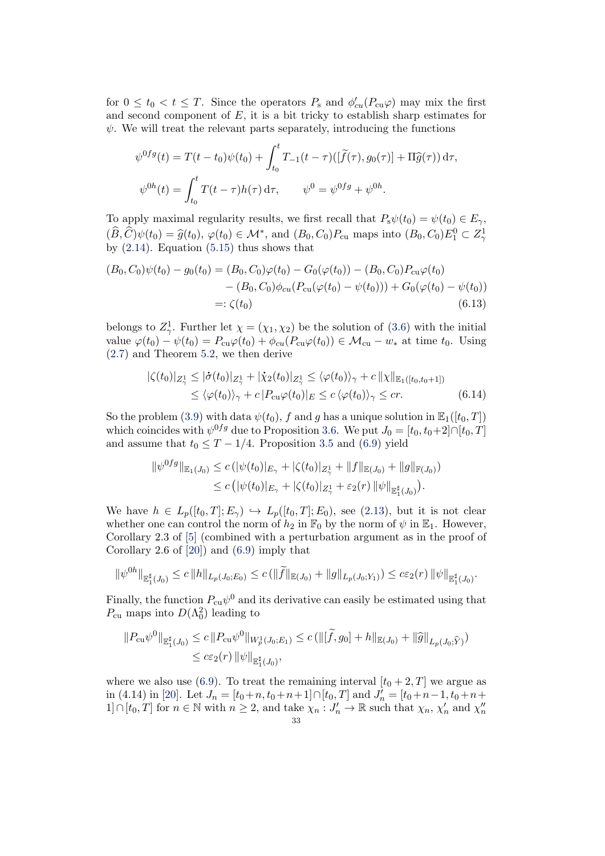for  $0 \le t_0 < t \le T$ . Since the operators  $P_s$  and  $\phi'_{cu}(P_{cu}\varphi)$  may mix the first and second component of  $E$ , it is a bit tricky to establish sharp estimates for  $\psi$ . We will treat the relevant parts separately, introducing the functions

$$
\psi^{0fg}(t) = T(t - t_0)\psi(t_0) + \int_{t_0}^t T_{-1}(t - \tau)([\tilde{f}(\tau), g_0(\tau)] + \Pi \hat{g}(\tau)) d\tau,
$$
  

$$
\psi^{0h}(t) = \int_{t_0}^t T(t - \tau)h(\tau) d\tau, \qquad \psi^0 = \psi^{0fg} + \psi^{0h}.
$$

To apply maximal regularity results, we first recall that  $P_s\psi(t_0) = \psi(t_0) \in E_\gamma$ ,  $(\widehat{B},\widehat{C})\psi(t_0)=\widehat{g}(t_0),\,\varphi(t_0)\in\mathcal{M}^*,$  and  $(B_0,C_0)P_{\text{cu}}$  maps into  $(B_0,C_0)E_1^0\subset Z^1_\gamma$ by  $(2.14)$ . Equation  $(5.15)$  thus shows that

$$
(B_0, C_0)\psi(t_0) - g_0(t_0) = (B_0, C_0)\varphi(t_0) - G_0(\varphi(t_0)) - (B_0, C_0)P_{cu}\varphi(t_0) - (B_0, C_0)\phi_{cu}(P_{cu}(\varphi(t_0) - \psi(t_0))) + G_0(\varphi(t_0) - \psi(t_0)) =: \zeta(t_0)
$$
\n(6.13)

belongs to  $Z^1_\gamma$ . Further let  $\chi = (\chi_1, \chi_2)$  be the solution of [\(3.6\)](#page-8-0) with the initial value  $\varphi(t_0) - \psi(t_0) = P_{cu}\varphi(t_0) + \phi_{cu}(P_{cu}\varphi(t_0)) \in \mathcal{M}_{cu} - w_*$  at time  $t_0$ . Using [\(2.7\)](#page-5-0) and Theorem [5.2,](#page-25-0) we then derive

<span id="page-32-1"></span><span id="page-32-0"></span>
$$
\begin{split} |\zeta(t_0)|_{Z^1_\gamma} &\leq |\dot{\sigma}(t_0)|_{Z^1_\gamma} + |\dot{\chi}_2(t_0)|_{Z^1_\gamma} \leq \langle \varphi(t_0) \rangle_\gamma + c \| \chi \|_{\mathbb{E}_1([t_0, t_0 + 1])} \\ &\leq \langle \varphi(t_0) \rangle_\gamma + c \| P_{\text{cu}} \varphi(t_0) \|_E \leq c \langle \varphi(t_0) \rangle_\gamma \leq cr. \end{split} \tag{6.14}
$$

So the problem [\(3.9\)](#page-10-1) with data  $\psi(t_0)$ , f and g has a unique solution in  $\mathbb{E}_1([t_0, T])$ which coincides with  $\psi^{0fg}$  due to Proposition [3.6.](#page-11-3) We put  $J_0 = [t_0, t_0+2] \cap [t_0, T]$ and assume that  $t_0 \leq T - 1/4$ . Proposition [3.5](#page-10-0) and [\(6.9\)](#page-31-2) yield

$$
\|\psi^{0fg}\|_{\mathbb{E}_1(J_0)} \le c \left( |\psi(t_0)|_{E_\gamma} + |\zeta(t_0)|_{Z_\gamma^1} + \|f\|_{\mathbb{E}(J_0)} + \|g\|_{\mathbb{F}(J_0)} \right) \le c \left( |\psi(t_0)|_{E_\gamma} + |\zeta(t_0)|_{Z_\gamma^1} + \varepsilon_2(r) \left| \|\psi\|_{\mathbb{E}_1^{\sharp}(J_0)} \right) \right).
$$

We have  $h \in L_p([t_0, T]; E_\gamma) \hookrightarrow L_p([t_0, T]; E_0)$ , see [\(2.13\)](#page-6-1), but it is not clear whether one can control the norm of  $h_2$  in  $\mathbb{F}_0$  by the norm of  $\psi$  in  $\mathbb{E}_1$ . However, Corollary 2.3 of [\[5\]](#page-39-5) (combined with a perturbation argument as in the proof of Corollary 2.6 of [\[20\]](#page-40-1)) and [\(6.9\)](#page-31-2) imply that

$$
\|\psi^{0h}\|_{\mathbb{E}_1^{\sharp}(J_0)} \leq c \|h\|_{L_p(J_0;E_0)} \leq c \left( \|\widetilde{f}\|_{\mathbb{E}(J_0)} + \|g\|_{L_p(J_0;Y_1)} \right) \leq c\varepsilon_2(r) \|\psi\|_{\mathbb{E}_1^{\sharp}(J_0)}.
$$

Finally, the function  $P_{cu}\psi^0$  and its derivative can easily be estimated using that  $P_{\text{cu}}$  maps into  $D(\Lambda_0^2)$  leading to

$$
||P_{\text{cu}}\psi^0||_{\mathbb{E}_1^{\sharp}(J_0)} \leq c ||P_{\text{cu}}\psi^0||_{W_p^1(J_0;E_1)} \leq c (||[\widetilde{f}, g_0] + h||_{\mathbb{E}(J_0)} + ||\widehat{g}||_{L_p(J_0; \widehat{Y})})
$$
  

$$
\leq c\varepsilon_2(r) ||\psi||_{\mathbb{E}_1^{\sharp}(J_0)},
$$

where we also use [\(6.9\)](#page-31-2). To treat the remaining interval  $[t_0 + 2, T]$  we argue as in (4.14) in [\[20\]](#page-40-1). Let  $J_n = [t_0 + n, t_0 + n + 1] \cap [t_0, T]$  and  $J'_n = [t_0 + n - 1, t_0 + n +$ 1]∩[ $t_0, T$ ] for  $n \in \mathbb{N}$  with  $n \geq 2$ , and take  $\chi_n : J'_n \to \mathbb{R}$  such that  $\chi_n, \chi'_n$  and  $\chi''_n$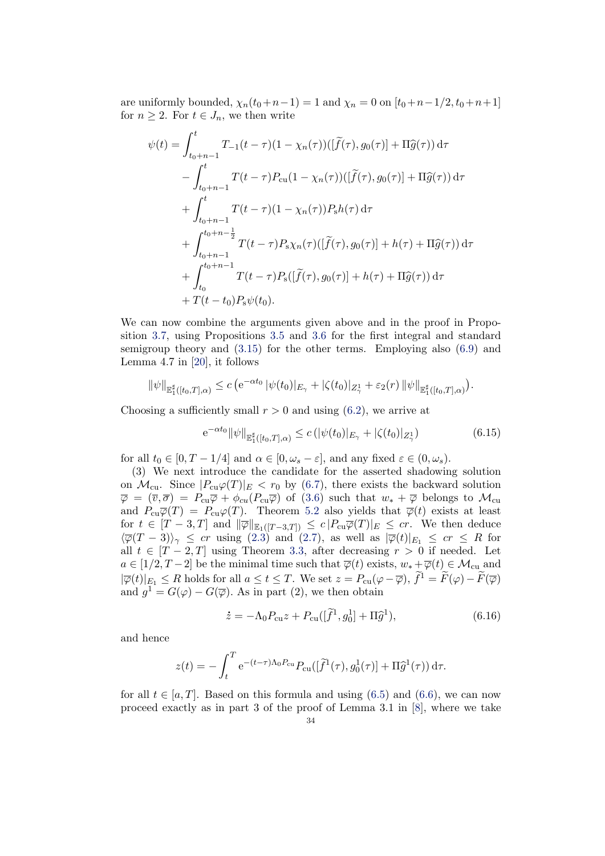are uniformly bounded,  $\chi_n(t_0+n-1) = 1$  and  $\chi_n = 0$  on  $[t_0+n-1/2, t_0+n+1]$ for  $n \geq 2$ . For  $t \in J_n$ , we then write

$$
\psi(t) = \int_{t_0+n-1}^{t} T_{-1}(t-\tau)(1-\chi_n(\tau))([\tilde{f}(\tau), g_0(\tau)] + \Pi \hat{g}(\tau)) d\tau \n- \int_{t_0+n-1}^{t} T(t-\tau) P_{\text{cu}}(1-\chi_n(\tau))([\tilde{f}(\tau), g_0(\tau)] + \Pi \hat{g}(\tau)) d\tau \n+ \int_{t_0+n-1}^{t} T(t-\tau)(1-\chi_n(\tau)) P_{\text{s}} h(\tau) d\tau \n+ \int_{t_0+n-1}^{t_0+n-\frac{1}{2}} T(t-\tau) P_{\text{s}} \chi_n(\tau) ([\tilde{f}(\tau), g_0(\tau)] + h(\tau) + \Pi \hat{g}(\tau)) d\tau \n+ \int_{t_0}^{t_0+n-1} T(t-\tau) P_{\text{s}}([\tilde{f}(\tau), g_0(\tau)] + h(\tau) + \Pi \hat{g}(\tau)) d\tau \n+ T(t-t_0) P_{\text{s}} \psi(t_0).
$$

We can now combine the arguments given above and in the proof in Proposition [3.7,](#page-12-0) using Propositions [3.5](#page-10-0) and [3.6](#page-11-3) for the first integral and standard semigroup theory and  $(3.15)$  for the other terms. Employing also  $(6.9)$  and Lemma 4.7 in [\[20\]](#page-40-1), it follows

$$
\|\psi\|_{\mathbb{E}_1^{\sharp}([t_0,T],\alpha)} \leq c \left( e^{-\alpha t_0} \, |\psi(t_0)|_{E_{\gamma}} + |\zeta(t_0)|_{Z_{\gamma}^1} + \varepsilon_2(r) \, |\psi| \right)_{\mathbb{E}_1^{\sharp}([t_0,T],\alpha)}.
$$

Choosing a sufficiently small  $r > 0$  and using  $(6.2)$ , we arrive at

<span id="page-33-0"></span>
$$
e^{-\alpha t_0} \|\psi\|_{\mathbb{E}_1^{\sharp}([t_0, T], \alpha)} \le c \left( |\psi(t_0)|_{E_\gamma} + |\zeta(t_0)|_{Z_\gamma^1} \right) \tag{6.15}
$$

for all  $t_0 \in [0, T - 1/4]$  and  $\alpha \in [0, \omega_s - \varepsilon]$ , and any fixed  $\varepsilon \in (0, \omega_s)$ .

(3) We next introduce the candidate for the asserted shadowing solution on  $\mathcal{M}_{\text{cu}}$ . Since  $|P_{\text{cu}}\varphi(T)|_E < r_0$  by [\(6.7\)](#page-31-0), there exists the backward solution  $\overline{\varphi} = (\overline{v}, \overline{\sigma}) = P_{\text{cu}}\overline{\varphi} + \phi_{cu}(P_{\text{cu}}\overline{\varphi})$  of [\(3.6\)](#page-8-0) such that  $w_* + \overline{\varphi}$  belongs to  $\mathcal{M}_{\text{cu}}$ and  $P_{cu}\overline{\varphi}(T) = P_{cu}\varphi(T)$ . Theorem [5.2](#page-25-0) also yields that  $\overline{\varphi}(t)$  exists at least for  $t \in [T-3,T]$  and  $\|\overline{\varphi}\|_{\mathbb{E}_1([T-3,T])} \leq c |P_{cu}\overline{\varphi}(T)|_E \leq cr$ . We then deduce  $\langle \overline{\varphi}(T-3)\rangle_{\gamma} \leq cr$  using [\(2.3\)](#page-4-1) and [\(2.7\)](#page-5-0), as well as  $|\overline{\varphi}(t)|_{E_1} \leq cr \leq R$  for all  $t \in [T-2, T]$  using Theorem [3.3,](#page-9-1) after decreasing  $r > 0$  if needed. Let  $a \in [1/2, T-2]$  be the minimal time such that  $\overline{\varphi}(t)$  exists,  $w_* + \overline{\varphi}(t) \in \mathcal{M}_{\text{cu}}$  and  $|\overline{\varphi}(t)|_{E_1} \leq R$  holds for all  $a \leq t \leq T$ . We set  $z = P_{\text{cu}}(\varphi - \overline{\varphi})$ ,  $\widetilde{f}^1 = \widetilde{F}(\varphi) - \widetilde{F}(\overline{\varphi})$ and  $g^1 = G(\varphi) - G(\overline{\varphi})$ . As in part (2), we then obtain

<span id="page-33-1"></span>
$$
\dot{z} = -\Lambda_0 P_{\text{cu}} z + P_{\text{cu}} ([\tilde{f}^1, g_0^1] + \Pi \hat{g}^1), \tag{6.16}
$$

and hence

$$
z(t) = -\int_t^T e^{-(t-\tau)\Lambda_0 P_{\text{cu}}} P_{\text{cu}}([\widetilde{f}^1(\tau), g_0^1(\tau)] + \Pi \widehat{g}^1(\tau)) d\tau.
$$

for all  $t \in [a, T]$ . Based on this formula and using [\(6.5\)](#page-30-2) and [\(6.6\)](#page-30-3), we can now proceed exactly as in part 3 of the proof of Lemma 3.1 in [\[8\]](#page-39-4), where we take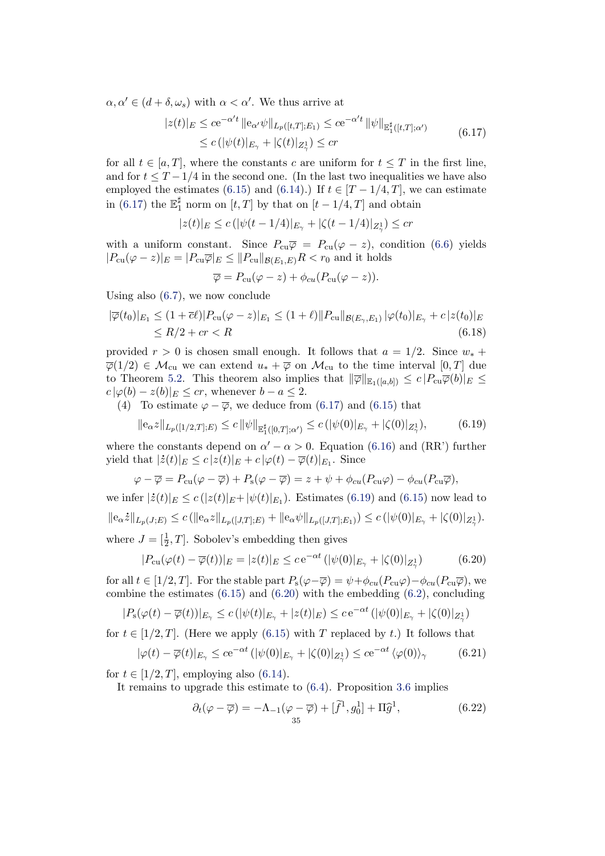<span id="page-34-0"></span> $\alpha, \alpha' \in (d + \delta, \omega_s)$  with  $\alpha < \alpha'$ . We thus arrive at

$$
|z(t)|_E \le c e^{-\alpha' t} \|e_{\alpha'} \psi\|_{L_p([t,T];E_1)} \le c e^{-\alpha' t} \|\psi\|_{\mathbb{E}_1^{\sharp}([t,T];\alpha')}
$$
  

$$
\le c \left( |\psi(t)|_{E_\gamma} + |\zeta(t)|_{Z_\gamma^1} \right) \le c r
$$
 $(6.17)$ 

for all  $t \in [a, T]$ , where the constants c are uniform for  $t \leq T$  in the first line, and for  $t \leq T - 1/4$  in the second one. (In the last two inequalities we have also employed the estimates [\(6.15\)](#page-33-0) and [\(6.14\)](#page-32-0).) If  $t \in [T-1/4, T]$ , we can estimate in [\(6.17\)](#page-34-0) the  $\mathbb{E}_1^{\sharp}$  $\frac{1}{1}$  norm on  $[t, T]$  by that on  $[t - 1/4, T]$  and obtain

$$
|z(t)|_E \le c\left(|\psi(t - 1/4)|_{E_\gamma} + |\zeta(t - 1/4)|_{Z_\gamma^1}\right) \le cr
$$

with a uniform constant. Since  $P_{cu}\overline{\varphi} = P_{cu}(\varphi - z)$ , condition [\(6.6\)](#page-30-3) yields  $|P_{\text{cu}}(\varphi - z)|_E = |P_{\text{cu}}\overline{\varphi}|_E \leq ||P_{\text{cu}}||_{\mathcal{B}(E_1,E)}R < r_0$  and it holds

<span id="page-34-5"></span>
$$
\overline{\varphi} = P_{\text{cu}}(\varphi - z) + \phi_{cu}(P_{\text{cu}}(\varphi - z)).
$$

Using also [\(6.7\)](#page-31-0), we now conclude

$$
|\overline{\varphi}(t_0)|_{E_1} \le (1 + \overline{c}\ell)|P_{\text{cu}}(\varphi - z)|_{E_1} \le (1 + \ell)||P_{\text{cu}}||_{\mathcal{B}(E_\gamma, E_1)} |\varphi(t_0)|_{E_\gamma} + c|z(t_0)|_E
$$
  
\n
$$
\le R/2 + cr < R \tag{6.18}
$$

provided  $r > 0$  is chosen small enough. It follows that  $a = 1/2$ . Since  $w_*$  +  $\overline{\varphi}(1/2) \in \mathcal{M}_{\text{cu}}$  we can extend  $u_* + \overline{\varphi}$  on  $\mathcal{M}_{\text{cu}}$  to the time interval  $[0, T]$  due to Theorem [5.2.](#page-25-0) This theorem also implies that  $\|\overline{\varphi}\|_{\mathbb{E}_1([a,b])} \leq c |P_{cu}\overline{\varphi}(b)|_E \leq$  $c \, |\varphi(b) - z(b)|_E \leq cr$ , whenever  $b - a \leq 2$ .

(4) To estimate  $\varphi - \overline{\varphi}$ , we deduce from [\(6.17\)](#page-34-0) and [\(6.15\)](#page-33-0) that

<span id="page-34-1"></span>
$$
\|\mathbf{e}_{\alpha}z\|_{L_p([1/2,T];E)} \le c \|\psi\|_{\mathbb{E}_1^{\sharp}([0,T];\alpha')} \le c \,(|\psi(0)|_{E_\gamma} + |\zeta(0)|_{Z_\gamma^1}),\tag{6.19}
$$

where the constants depend on  $\alpha' - \alpha > 0$ . Equation [\(6.16\)](#page-33-1) and (RR') further yield that  $|\dot{z}(t)|_E \leq c |z(t)|_E + c |\varphi(t) - \overline{\varphi}(t)|_{E_1}$ . Since

$$
\varphi - \overline{\varphi} = P_{\text{cu}}(\varphi - \overline{\varphi}) + P_{\text{s}}(\varphi - \overline{\varphi}) = z + \psi + \phi_{\text{cu}}(P_{\text{cu}}\varphi) - \phi_{\text{cu}}(P_{\text{cu}}\overline{\varphi}),
$$

we infer  $|\dot{z}(t)|_E \le c(|z(t)|_E + |\psi(t)|_{E_1})$ . Estimates [\(6.19\)](#page-34-1) and [\(6.15\)](#page-33-0) now lead to  $||e_{\alpha}\dot{z}||_{L_p(J;E)} \leq c (||e_{\alpha}z||_{L_p([J,T];E)} + ||e_{\alpha}\psi||_{L_p([J,T];E_1)}) \leq c (|\psi(0)|_{E_{\gamma}} + |\zeta(0)|_{Z_{\gamma}^1}).$ where  $J = [\frac{1}{2}, T]$ . Sobolev's embedding then gives

<span id="page-34-2"></span>
$$
|P_{\text{cu}}(\varphi(t) - \overline{\varphi}(t))|_E = |z(t)|_E \le c e^{-\alpha t} \left( |\psi(0)|_{E_\gamma} + |\zeta(0)|_{Z_\gamma^1} \right) \tag{6.20}
$$

for all  $t \in [1/2, T]$ . For the stable part  $P_s(\varphi - \overline{\varphi}) = \psi + \phi_{cu}(P_{cu}\varphi) - \phi_{cu}(P_{cu}\overline{\varphi})$ , we combine the estimates  $(6.15)$  and  $(6.20)$  with the embedding  $(6.2)$ , concluding

$$
|P_{\rm s}(\varphi(t)-\overline{\varphi}(t))|_{E_{\gamma}} \leq c\left(|\psi(t)|_{E_{\gamma}}+|z(t)|_{E}\right) \leq c\,\mathrm{e}^{-\alpha t}\left(|\psi(0)|_{E_{\gamma}}+|\zeta(0)|_{Z_{\gamma}^{1}}\right)
$$

for  $t \in [1/2, T]$ . (Here we apply [\(6.15\)](#page-33-0) with T replaced by t.) It follows that

<span id="page-34-4"></span>
$$
|\varphi(t) - \overline{\varphi}(t)|_{E_{\gamma}} \le c e^{-\alpha t} \left( |\psi(0)|_{E_{\gamma}} + |\zeta(0)|_{Z_{\gamma}^1} \right) \le c e^{-\alpha t} \left\langle \varphi(0) \right\rangle_{\gamma} \tag{6.21}
$$

for  $t \in [1/2, T]$ , employing also [\(6.14\)](#page-32-0).

It remains to upgrade this estimate to [\(6.4\)](#page-30-4). Proposition [3.6](#page-11-3) implies

<span id="page-34-3"></span>
$$
\partial_t(\varphi - \overline{\varphi}) = -\Lambda_{-1}(\varphi - \overline{\varphi}) + [\tilde{f}^1, g_0^1] + \Pi \hat{g}^1,\tag{6.22}
$$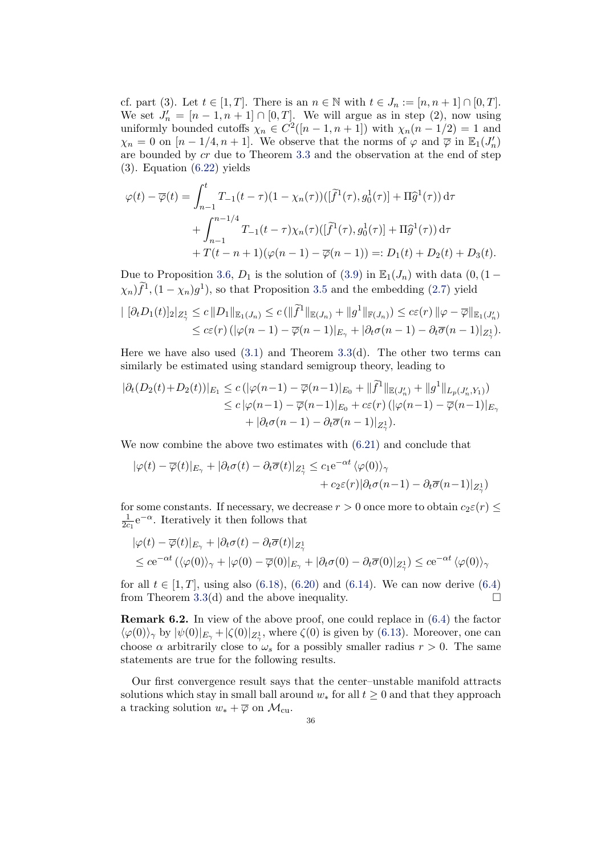cf. part (3). Let  $t \in [1, T]$ . There is an  $n \in \mathbb{N}$  with  $t \in J_n := [n, n + 1] \cap [0, T]$ . We set  $J'_n = [n-1, n+1] \cap [0, T]$ . We will argue as in step (2), now using uniformly bounded cutoffs  $\chi_n \in C^2([n-1,n+1])$  with  $\chi_n(n-1/2) = 1$  and  $\chi_n = 0$  on  $[n-1/4, n+1]$ . We observe that the norms of  $\varphi$  and  $\overline{\varphi}$  in  $\mathbb{E}_1(J'_n)$ are bounded by cr due to Theorem [3.3](#page-9-1) and the observation at the end of step (3). Equation [\(6.22\)](#page-34-3) yields

$$
\varphi(t) - \overline{\varphi}(t) = \int_{n-1}^{t} T_{-1}(t-\tau)(1-\chi_n(\tau))([\tilde{f}^1(\tau), g_0^1(\tau)] + \Pi \hat{g}^1(\tau)) d\tau + \int_{n-1}^{n-1/4} T_{-1}(t-\tau)\chi_n(\tau)([\tilde{f}^1(\tau), g_0^1(\tau)] + \Pi \hat{g}^1(\tau)) d\tau + T(t-n+1)(\varphi(n-1) - \overline{\varphi}(n-1)) =: D_1(t) + D_2(t) + D_3(t).
$$

Due to Proposition [3.6,](#page-11-3)  $D_1$  is the solution of [\(3.9\)](#page-10-1) in  $\mathbb{E}_1(J_n)$  with data (0,(1 −  $(\chi_n) \tilde{f}^1$ ,  $(1 - \chi_n) g^1$ , so that Proposition [3.5](#page-10-0) and the embedding [\(2.7\)](#page-5-0) yield

$$
\begin{aligned} \left| \ [\partial_t D_1(t)]_2 \right|_{Z^1_\gamma} &\leq c \, \|D_1\|_{\mathbb{E}_1(J_n)} \leq c \, (\|\widetilde{f}^1\|_{\mathbb{E}(J_n)} + \|g^1\|_{\mathbb{F}(J_n)}) \leq c\varepsilon(r) \, \|\varphi - \overline{\varphi}\|_{\mathbb{E}_1(J_n')} \\ &\leq c\varepsilon(r) \, (\|\varphi(n-1) - \overline{\varphi}(n-1)\|_{E_\gamma} + |\partial_t \sigma(n-1) - \partial_t \overline{\sigma}(n-1)|_{Z^1_\gamma}). \end{aligned}
$$

Here we have also used  $(3.1)$  and Theorem  $3.3(d)$  $3.3(d)$ . The other two terms can similarly be estimated using standard semigroup theory, leading to

$$
\begin{aligned} |\partial_t (D_2(t) + D_2(t))|_{E_1} &\le c \left( |\varphi(n-1) - \overline{\varphi}(n-1)|_{E_0} + \|\widetilde{f}^1\|_{\mathbb{E}(J'_n)} + \|g^1\|_{L_p(J'_n, Y_1)} \right) \\ &\le c \left( |\varphi(n-1) - \overline{\varphi}(n-1)|_{E_0} + c\varepsilon(r) \left( |\varphi(n-1) - \overline{\varphi}(n-1)|_{E_0} \right) + |\partial_t \sigma(n-1) - \partial_t \overline{\sigma}(n-1)|_{Z_1^1} \right). \end{aligned}
$$

We now combine the above two estimates with [\(6.21\)](#page-34-4) and conclude that

$$
|\varphi(t) - \overline{\varphi}(t)|_{E_{\gamma}} + |\partial_t \sigma(t) - \partial_t \overline{\sigma}(t)|_{Z_{\gamma}^1} \leq c_1 e^{-\alpha t} \langle \varphi(0) \rangle_{\gamma} + c_2 \varepsilon(r) |\partial_t \sigma(n-1) - \partial_t \overline{\sigma}(n-1)|_{Z_{\gamma}^1})
$$

for some constants. If necessary, we decrease  $r > 0$  once more to obtain  $c_2 \varepsilon(r) \leq$ 1  $\frac{1}{2c_1}e^{-\alpha}$ . Iteratively it then follows that

$$
\begin{aligned} |\varphi(t) - \overline{\varphi}(t)|_{E_{\gamma}} + |\partial_t \sigma(t) - \partial_t \overline{\sigma}(t)|_{Z_{\gamma}^1} \\ \leq c e^{-\alpha t} \left( \langle \varphi(0) \rangle_{\gamma} + |\varphi(0) - \overline{\varphi}(0)|_{E_{\gamma}} + |\partial_t \sigma(0) - \partial_t \overline{\sigma}(0)|_{Z_{\gamma}^1} \right) \leq c e^{-\alpha t} \left( \varphi(0) \right)_{\gamma} \end{aligned}
$$

for all  $t \in [1, T]$ , using also [\(6.18\)](#page-34-5), [\(6.20\)](#page-34-2) and [\(6.14\)](#page-32-0). We can now derive [\(6.4\)](#page-30-4) from Theorem [3.3\(](#page-9-1)d) and the above inequality.  $\square$ 

**Remark 6.2.** In view of the above proof, one could replace in  $(6.4)$  the factor  $\langle \varphi(0) \rangle_{\gamma}$  by  $|\psi(0)|_{E_{\gamma}} + |\zeta(0)|_{Z_{\gamma}^1}$ , where  $\zeta(0)$  is given by [\(6.13\)](#page-32-1). Moreover, one can choose  $\alpha$  arbitrarily close to  $\omega_s$  for a possibly smaller radius  $r > 0$ . The same statements are true for the following results.

Our first convergence result says that the center–unstable manifold attracts solutions which stay in small ball around  $w_*$  for all  $t \geq 0$  and that they approach a tracking solution  $w_* + \overline{\varphi}$  on  $\mathcal{M}_{\text{cu}}$ .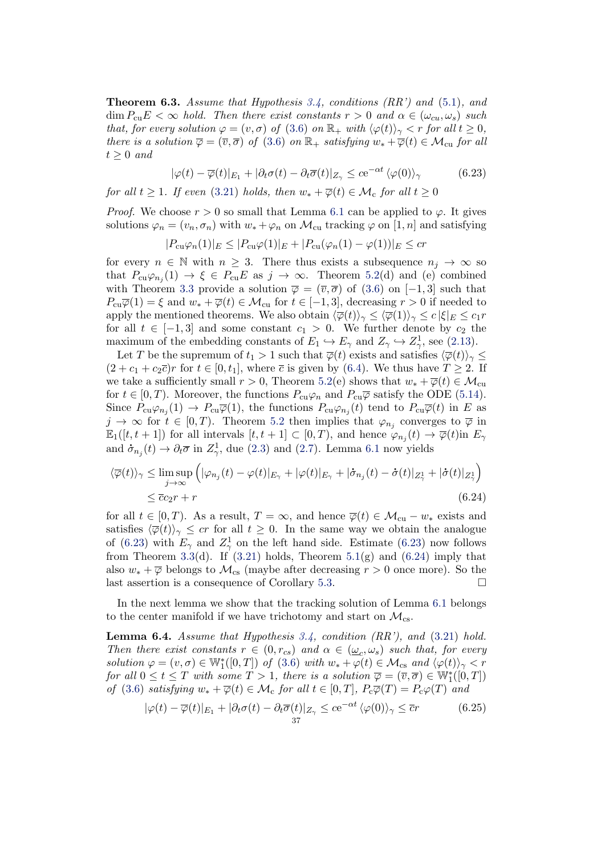<span id="page-36-0"></span>**Theorem 6.3.** Assume that Hypothesis [3.4,](#page-9-0) conditions  $(RR')$  and  $(5.1)$ , and  $\dim P_{\text{cu}}E < \infty$  hold. Then there exist constants  $r > 0$  and  $\alpha \in (\omega_{cu}, \omega_s)$  such that, for every solution  $\varphi = (v, \sigma)$  of  $(3.6)$  on  $\mathbb{R}_+$  with  $\langle \varphi(t) \rangle_{\gamma} < r$  for all  $t \geq 0$ , there is a solution  $\overline{\varphi} = (\overline{v}, \overline{\sigma})$  of [\(3.6\)](#page-8-0) on  $\mathbb{R}_+$  satisfying  $w_* + \overline{\varphi}(t) \in \mathcal{M}_{cu}$  for all  $t \geq 0$  and

<span id="page-36-1"></span>
$$
|\varphi(t) - \overline{\varphi}(t)|_{E_1} + |\partial_t \sigma(t) - \partial_t \overline{\sigma}(t)|_{Z_\gamma} \le c e^{-\alpha t} \langle \varphi(0) \rangle_\gamma \tag{6.23}
$$

for all  $t \geq 1$ . If even [\(3.21\)](#page-13-0) holds, then  $w_* + \overline{\varphi}(t) \in \mathcal{M}_c$  for all  $t \geq 0$ 

*Proof.* We choose  $r > 0$  so small that Lemma [6.1](#page-30-0) can be applied to  $\varphi$ . It gives solutions  $\varphi_n = (v_n, \sigma_n)$  with  $w_* + \varphi_n$  on  $\mathcal{M}_{\text{cu}}$  tracking  $\varphi$  on  $[1, n]$  and satisfying

$$
|P_{\text{cu}}\varphi_n(1)|_E \leq |P_{\text{cu}}\varphi(1)|_E + |P_{\text{cu}}(\varphi_n(1) - \varphi(1))|_E \leq cr
$$

for every  $n \in \mathbb{N}$  with  $n \geq 3$ . There thus exists a subsequence  $n_i \to \infty$  so that  $P_{cu}\varphi_{n_j}(1) \to \xi \in P_{cu}E$  as  $j \to \infty$ . Theorem [5.2\(](#page-25-0)d) and (e) combined with Theorem [3.3](#page-9-1) provide a solution  $\overline{\varphi} = (\overline{v}, \overline{\sigma})$  of [\(3.6\)](#page-8-0) on [-1,3] such that  $P_{cu}\overline{\varphi}(1) = \xi$  and  $w_* + \overline{\varphi}(t) \in \mathcal{M}_{cu}$  for  $t \in [-1, 3]$ , decreasing  $r > 0$  if needed to apply the mentioned theorems. We also obtain  $\langle \overline{\varphi}(t) \rangle_{\gamma} \leq \langle \overline{\varphi}(1) \rangle_{\gamma} \leq c |\xi|_{E} \leq c_1 r$ for all  $t \in [-1,3]$  and some constant  $c_1 > 0$ . We further denote by  $c_2$  the maximum of the embedding constants of  $E_1 \hookrightarrow E_\gamma$  and  $Z_\gamma \hookrightarrow Z_\gamma^1$ , see [\(2.13\)](#page-6-1).

Let T be the supremum of  $t_1 > 1$  such that  $\overline{\varphi}(t)$  exists and satisfies  $\langle \overline{\varphi}(t) \rangle_{\gamma} \leq$  $(2 + c_1 + c_2\overline{c})r$  for  $t \in [0, t_1]$ , where  $\overline{c}$  is given by [\(6.4\)](#page-30-4). We thus have  $T \geq 2$ . If we take a sufficiently small  $r > 0$ , Theorem [5.2\(](#page-25-0)e) shows that  $w_* + \overline{\varphi}(t) \in \mathcal{M}_{\text{cu}}$ for  $t \in [0, T)$ . Moreover, the functions  $P_{cu}\varphi_n$  and  $P_{cu}\overline{\varphi}$  satisfy the ODE [\(5.14\)](#page-26-3). Since  $P_{cu}\varphi_{n_j}(1) \to P_{cu}\overline{\varphi}(1)$ , the functions  $P_{cu}\varphi_{n_j}(t)$  tend to  $P_{cu}\overline{\varphi}(t)$  in E as  $j \to \infty$  for  $t \in [0, T)$ . Theorem [5.2](#page-25-0) then implies that  $\varphi_{n_j}$  converges to  $\overline{\varphi}$  in  $\mathbb{E}_1([t,t+1])$  for all intervals  $[t,t+1] \subset [0,T)$ , and hence  $\varphi_{n_j}(t) \to \overline{\varphi}(t)$  in  $E_\gamma$ and  $\dot{\sigma}_{n_j}(t) \to \partial_t \overline{\sigma}$  in  $Z^1_{\gamma}$ , due [\(2.3\)](#page-4-1) and [\(2.7\)](#page-5-0). Lemma [6.1](#page-30-0) now yields

<span id="page-36-2"></span>
$$
\langle \overline{\varphi}(t) \rangle_{\gamma} \leq \limsup_{j \to \infty} \left( |\varphi_{n_j}(t) - \varphi(t)|_{E_{\gamma}} + |\varphi(t)|_{E_{\gamma}} + |\dot{\sigma}_{n_j}(t) - \dot{\sigma}(t)|_{Z_{\gamma}^1} + |\dot{\sigma}(t)|_{Z_{\gamma}^1} \right) \leq \overline{c}c_2r + r
$$
\n(6.24)

for all  $t \in [0, T)$ . As a result,  $T = \infty$ , and hence  $\overline{\varphi}(t) \in \mathcal{M}_{cu} - w_*$  exists and satisfies  $\langle \overline{\varphi}(t)\rangle_{\gamma} \leq c r$  for all  $t \geq 0$ . In the same way we obtain the analogue of [\(6.23\)](#page-36-1) with  $E_{\gamma}$  and  $Z_{\gamma}^1$  on the left hand side. Estimate (6.23) now follows from Theorem [3.3\(](#page-9-1)d). If  $(3.21)$  holds, Theorem [5.1\(](#page-20-0)g) and  $(6.24)$  imply that also  $w_* + \overline{\varphi}$  belongs to  $\mathcal{M}_{cs}$  (maybe after decreasing  $r > 0$  once more). So the last assertion is a consequence of Corollary [5.3.](#page-28-1)

In the next lemma we show that the tracking solution of Lemma [6.1](#page-30-0) belongs to the center manifold if we have trichotomy and start on  $\mathcal{M}_{cs}$ .

<span id="page-36-3"></span>**Lemma 6.4.** Assume that Hypothesis [3.4,](#page-9-0) condition  $(RR')$ , and  $(3.21)$  hold. Then there exist constants  $r \in (0, r_{cs})$  and  $\alpha \in (\underline{\omega}_c, \omega_s)$  such that, for every solution  $\varphi = (v, \sigma) \in \mathbb{W}_1^*([0, T])$  of [\(3.6\)](#page-8-0) with  $w_* + \varphi(t) \in \mathcal{M}_{cs}$  and  $\langle \varphi(t) \rangle_{\gamma} < r$ for all  $0 \le t \le T$  with some  $T > 1$ , there is a solution  $\overline{\varphi} = (\overline{v}, \overline{\sigma}) \in \mathbb{W}_1^*([0, T])$ of [\(3.6\)](#page-8-0) satisfying  $w_* + \overline{\varphi}(t) \in \mathcal{M}_c$  for all  $t \in [0, T]$ ,  $P_c\overline{\varphi}(T) = P_c\varphi(T)$  and

$$
|\varphi(t) - \overline{\varphi}(t)|_{E_1} + |\partial_t \sigma(t) - \partial_t \overline{\sigma}(t)|_{Z_\gamma} \le c e^{-\alpha t} \langle \varphi(0) \rangle_\gamma \le \overline{c}r
$$
 (6.25)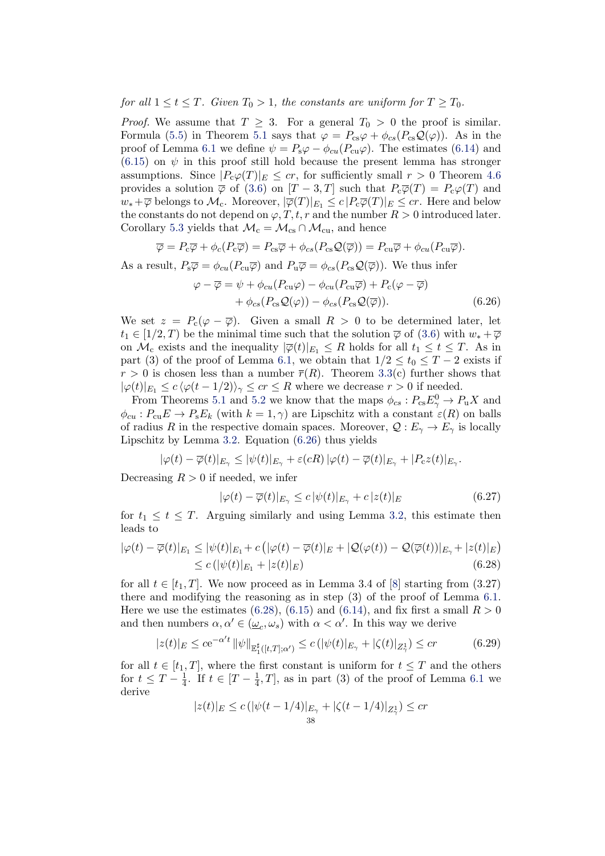for all  $1 \le t \le T$ . Given  $T_0 > 1$ , the constants are uniform for  $T \ge T_0$ .

*Proof.* We assume that  $T \geq 3$ . For a general  $T_0 > 0$  the proof is similar. Formula [\(5.5\)](#page-21-2) in Theorem [5.1](#page-20-0) says that  $\varphi = P_{cs}\varphi + \phi_{cs}(P_{cs}\mathcal{Q}(\varphi))$ . As in the proof of Lemma [6.1](#page-30-0) we define  $\psi = P_s \varphi - \phi_{cu}(P_{cu}\varphi)$ . The estimates [\(6.14\)](#page-32-0) and  $(6.15)$  on  $\psi$  in this proof still hold because the present lemma has stronger assumptions. Since  $|P_c\varphi(T)|_E \leq cr$ , for sufficiently small  $r > 0$  Theorem [4.6](#page-17-0) provides a solution  $\overline{\varphi}$  of [\(3.6\)](#page-8-0) on  $[T-3,T]$  such that  $P_{\rm c}\overline{\varphi}(T)=P_{\rm c}\varphi(T)$  and  $w_*+\overline{\varphi}$  belongs to  $\mathcal{M}_c$ . Moreover,  $|\overline{\varphi}(T)|_{E_1} \leq c |P_c\overline{\varphi}(T)|_E \leq cr$ . Here and below the constants do not depend on  $\varphi$ , T, t, r and the number  $R > 0$  introduced later. Corollary [5.3](#page-28-1) yields that  $\mathcal{M}_c = \mathcal{M}_{cs} \cap \mathcal{M}_{cu}$ , and hence

$$
\overline{\varphi} = P_{\rm c}\overline{\varphi} + \phi_{\rm c}(P_{\rm c}\overline{\varphi}) = P_{\rm cs}\overline{\varphi} + \phi_{\rm cs}(P_{\rm cs}\mathcal{Q}(\overline{\varphi})) = P_{\rm cu}\overline{\varphi} + \phi_{\rm cu}(P_{\rm cu}\overline{\varphi}).
$$

As a result,  $P_s\overline{\varphi} = \phi_{cu}(P_{cu}\overline{\varphi})$  and  $P_u\overline{\varphi} = \phi_{cs}(P_{cs}\mathcal{Q}(\overline{\varphi}))$ . We thus infer

<span id="page-37-0"></span>
$$
\varphi - \overline{\varphi} = \psi + \phi_{cu}(P_{cu}\varphi) - \phi_{cu}(P_{cu}\overline{\varphi}) + P_c(\varphi - \overline{\varphi}) + \phi_{cs}(P_{cs}\mathcal{Q}(\varphi)) - \phi_{cs}(P_{cs}\mathcal{Q}(\overline{\varphi})).
$$
\n(6.26)

We set  $z = P_c(\varphi - \overline{\varphi})$ . Given a small  $R > 0$  to be determined later, let  $t_1 \in [1/2, T)$  be the minimal time such that the solution  $\overline{\varphi}$  of  $(3.6)$  with  $w_* + \overline{\varphi}$ on  $\mathcal{M}_c$  exists and the inequality  $|\overline{\varphi}(t)|_{E_1} \leq R$  holds for all  $t_1 \leq t \leq T$ . As in part (3) of the proof of Lemma [6.1,](#page-30-0) we obtain that  $1/2 \le t_0 \le T - 2$  exists if  $r > 0$  is chosen less than a number  $\overline{r}(R)$ . Theorem [3.3\(](#page-9-1)c) further shows that  $|\varphi(t)|_{E_1} \leq c \langle \varphi(t-1/2) \rangle_{\gamma} \leq cr \leq R$  where we decrease  $r > 0$  if needed.

From Theorems [5.1](#page-20-0) and [5.2](#page-25-0) we know that the maps  $\phi_{cs} : P_{cs} E_\gamma^0 \to P_u X$  and  $\phi_{cu} : P_{cu}E \to P_{s}E_{k}$  (with  $k = 1, \gamma$ ) are Lipschitz with a constant  $\varepsilon(R)$  on balls of radius R in the respective domain spaces. Moreover,  $\mathcal{Q}: E_{\gamma} \to E_{\gamma}$  is locally Lipschitz by Lemma [3.2.](#page-9-2) Equation [\(6.26\)](#page-37-0) thus yields

$$
|\varphi(t)-\overline{\varphi}(t)|_{E_{\gamma}} \leq |\psi(t)|_{E_{\gamma}} + \varepsilon(cR)|\varphi(t)-\overline{\varphi}(t)|_{E_{\gamma}} + |P_{c}z(t)|_{E_{\gamma}}.
$$

Decreasing  $R > 0$  if needed, we infer

<span id="page-37-3"></span><span id="page-37-1"></span>
$$
|\varphi(t) - \overline{\varphi}(t)|_{E_{\gamma}} \le c |\psi(t)|_{E_{\gamma}} + c |z(t)|_{E}
$$
\n(6.27)

for  $t_1 \leq t \leq T$ . Arguing similarly and using Lemma [3.2,](#page-9-2) this estimate then leads to

$$
|\varphi(t) - \overline{\varphi}(t)|_{E_1} \leq |\psi(t)|_{E_1} + c\left( |\varphi(t) - \overline{\varphi}(t)|_E + |\mathcal{Q}(\varphi(t)) - \mathcal{Q}(\overline{\varphi}(t))|_{E_\gamma} + |z(t)|_E \right) \leq c\left( |\psi(t)|_{E_1} + |z(t)|_E \right)
$$
\n(6.28)

for all  $t \in [t_1, T]$ . We now proceed as in Lemma 3.4 of [\[8\]](#page-39-4) starting from (3.27) there and modifying the reasoning as in step (3) of the proof of Lemma [6.1.](#page-30-0) Here we use the estimates [\(6.28\)](#page-37-1), [\(6.15\)](#page-33-0) and [\(6.14\)](#page-32-0), and fix first a small  $R > 0$ and then numbers  $\alpha, \alpha' \in (\underline{\omega}_c, \omega_s)$  with  $\alpha < \alpha'$ . In this way we derive

<span id="page-37-2"></span>
$$
|z(t)|_E \le c e^{-\alpha' t} \|\psi\|_{\mathbb{E}_1^{\sharp}([t,T];\alpha')} \le c \left( |\psi(t)|_{E_\gamma} + |\zeta(t)|_{Z_\gamma^1} \right) \le c r \tag{6.29}
$$

for all  $t \in [t_1, T]$ , where the first constant is uniform for  $t \leq T$  and the others for  $t \leq T - \frac{1}{4}$  $\frac{1}{4}$ . If  $t \in [T - \frac{1}{4}]$  $\frac{1}{4}$ , T, as in part (3) of the proof of Lemma [6.1](#page-30-0) we derive

$$
|z(t)|_E \le c\left(|\psi(t - 1/4)|_{E_\gamma} + |\zeta(t - 1/4)|_{Z_\gamma^1}\right) \le cr
$$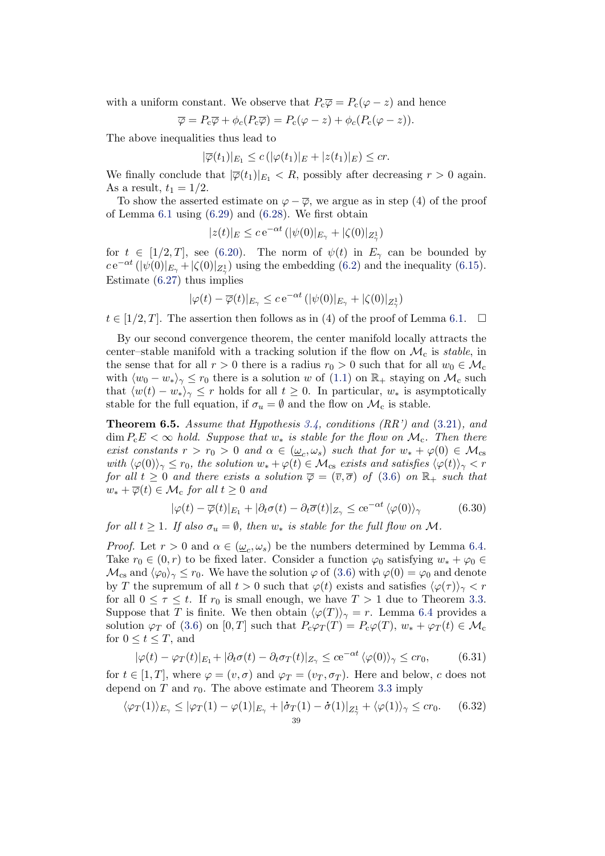with a uniform constant. We observe that  $P_{\rm c}\overline{\varphi} = P_{\rm c}(\varphi - z)$  and hence

$$
\overline{\varphi} = P_{\rm c}\overline{\varphi} + \phi_{\rm c}(P_{\rm c}\overline{\varphi}) = P_{\rm c}(\varphi - z) + \phi_{\rm c}(P_{\rm c}(\varphi - z)).
$$

The above inequalities thus lead to

$$
|\overline{\varphi}(t_1)|_{E_1} \le c\left(|\varphi(t_1)|_E + |z(t_1)|_E\right) \le cr.
$$

We finally conclude that  $|\overline{\varphi}(t_1)|_{E_1} < R$ , possibly after decreasing  $r > 0$  again. As a result,  $t_1 = 1/2$ .

To show the asserted estimate on  $\varphi - \overline{\varphi}$ , we argue as in step (4) of the proof of Lemma [6.1](#page-30-0) using [\(6.29\)](#page-37-2) and [\(6.28\)](#page-37-1). We first obtain

$$
|z(t)|_E \le c e^{-\alpha t} \left( |\psi(0)|_{E_\gamma} + |\zeta(0)|_{Z_\gamma^1} \right)
$$

for  $t \in [1/2, T]$ , see [\(6.20\)](#page-34-2). The norm of  $\psi(t)$  in  $E_{\gamma}$  can be bounded by  $ce^{-\alpha t} (|\psi(0)|_{E_{\gamma}} + |\zeta(0)|_{Z_{\gamma}})$  using the embedding [\(6.2\)](#page-29-1) and the inequality [\(6.15\)](#page-33-0). Estimate [\(6.27\)](#page-37-3) thus implies

$$
|\varphi(t)-\overline{\varphi}(t)|_{E_{\gamma}}\leq c\,\mathrm{e}^{-\alpha t}\,(|\psi(0)|_{E_{\gamma}}+|\zeta(0)|_{Z^1_{\gamma}})
$$

 $t \in [1/2, T]$ . The assertion then follows as in (4) of the proof of Lemma [6.1.](#page-30-0)

By our second convergence theorem, the center manifold locally attracts the center–stable manifold with a tracking solution if the flow on  $\mathcal{M}_c$  is stable, in the sense that for all  $r > 0$  there is a radius  $r_0 > 0$  such that for all  $w_0 \in \mathcal{M}_c$ with  $\langle w_0 - w_* \rangle_{\gamma} \leq r_0$  there is a solution w of [\(1.1\)](#page-1-0) on  $\mathbb{R}_+$  staying on  $\mathcal{M}_c$  such that  $\langle w(t) - w_* \rangle_{\gamma} \leq r$  holds for all  $t \geq 0$ . In particular,  $w_*$  is asymptotically stable for the full equation, if  $\sigma_u = \emptyset$  and the flow on  $\mathcal{M}_c$  is stable.

<span id="page-38-0"></span>**Theorem 6.5.** Assume that Hypothesis [3.4,](#page-9-0) conditions  $(RR')$  and  $(3.21)$ , and  $\dim P_{\rm c}E < \infty$  hold. Suppose that  $w_*$  is stable for the flow on  $\mathcal{M}_{\rm c}$ . Then there exist constants  $r > r_0 > 0$  and  $\alpha \in (\underline{\omega}_c, \omega_s)$  such that for  $w_* + \varphi(0) \in \mathcal{M}_{cs}$ with  $\langle \varphi(0)\rangle_{\gamma} \leq r_0$ , the solution  $w_* + \varphi(t) \in \mathcal{M}_{\text{cs}}$  exists and satisfies  $\langle \varphi(t)\rangle_{\gamma} < r$ for all  $t \geq 0$  and there exists a solution  $\overline{\varphi} = (\overline{v}, \overline{\sigma})$  of  $(3.6)$  on  $\mathbb{R}_+$  such that  $w_* + \overline{\varphi}(t) \in \mathcal{M}_c$  for all  $t \geq 0$  and

$$
|\varphi(t) - \overline{\varphi}(t)|_{E_1} + |\partial_t \sigma(t) - \partial_t \overline{\sigma}(t)|_{Z_\gamma} \le c e^{-\alpha t} \langle \varphi(0) \rangle_\gamma \tag{6.30}
$$

for all  $t \geq 1$ . If also  $\sigma_u = \emptyset$ , then  $w_*$  is stable for the full flow on M.

*Proof.* Let  $r > 0$  and  $\alpha \in (\underline{\omega}_c, \omega_s)$  be the numbers determined by Lemma [6.4.](#page-36-3) Take  $r_0 \in (0, r)$  to be fixed later. Consider a function  $\varphi_0$  satisfying  $w_* + \varphi_0 \in$  $\mathcal{M}_{cs}$  and  $\langle \varphi_0 \rangle_{\gamma} \leq r_0$ . We have the solution  $\varphi$  of [\(3.6\)](#page-8-0) with  $\varphi(0) = \varphi_0$  and denote by T the supremum of all  $t > 0$  such that  $\varphi(t)$  exists and satisfies  $\langle \varphi(\tau) \rangle_{\gamma} < r$ for all  $0 \leq \tau \leq t$ . If  $r_0$  is small enough, we have  $T > 1$  due to Theorem [3.3.](#page-9-1) Suppose that T is finite. We then obtain  $\langle \varphi(T) \rangle_{\gamma} = r$ . Lemma [6.4](#page-36-3) provides a solution  $\varphi_T$  of [\(3.6\)](#page-8-0) on [0, T] such that  $P_c\varphi_T(T) = P_c\varphi(T)$ ,  $w_* + \varphi_T(t) \in \mathcal{M}_c$ for  $0 \le t \le T$ , and

<span id="page-38-2"></span>
$$
|\varphi(t) - \varphi_T(t)|_{E_1} + |\partial_t \sigma(t) - \partial_t \sigma_T(t)|_{Z_\gamma} \le c e^{-\alpha t} \langle \varphi(0) \rangle_\gamma \le c r_0,
$$
(6.31)

for  $t \in [1, T]$ , where  $\varphi = (v, \sigma)$  and  $\varphi_T = (v_T, \sigma_T)$ . Here and below, c does not depend on  $T$  and  $r_0$ . The above estimate and Theorem [3.3](#page-9-1) imply

<span id="page-38-1"></span>
$$
\langle \varphi_T(1) \rangle_{E_\gamma} \leq |\varphi_T(1) - \varphi(1)|_{E_\gamma} + |\dot{\sigma}_T(1) - \dot{\sigma}(1)|_{Z_\gamma^1} + \langle \varphi(1) \rangle_{\gamma} \leq c r_0. \tag{6.32}
$$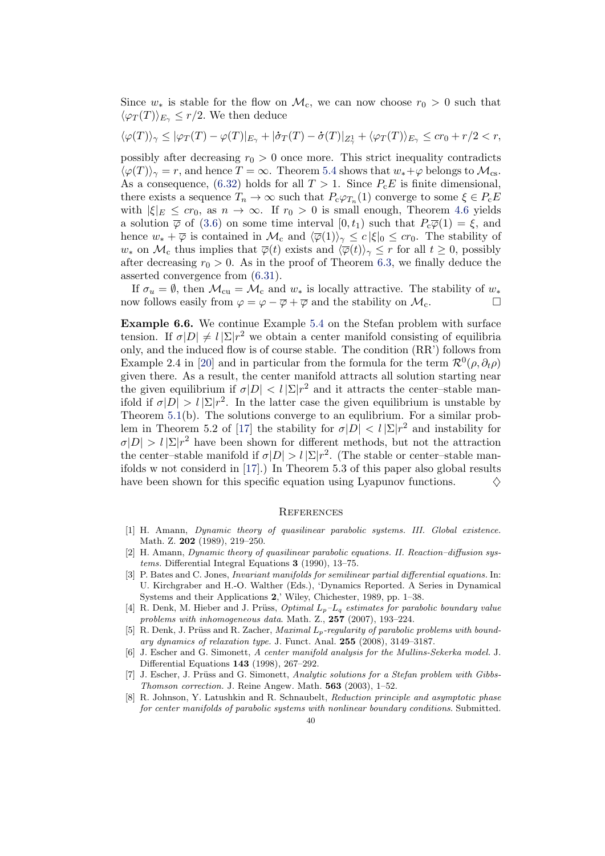Since  $w_*$  is stable for the flow on  $\mathcal{M}_c$ , we can now choose  $r_0 > 0$  such that  $\langle \varphi_T(T) \rangle_{E_\gamma} \leq r/2$ . We then deduce

$$
\langle \varphi(T) \rangle_{\gamma} \leq |\varphi_T(T) - \varphi(T)|_{E_{\gamma}} + |\dot{\sigma}_T(T) - \dot{\sigma}(T)|_{Z_{\gamma}^1} + \langle \varphi_T(T) \rangle_{E_{\gamma}} \leq cr_0 + r/2 < r,
$$

possibly after decreasing  $r_0 > 0$  once more. This strict inequality contradicts  $\langle \varphi(T) \rangle_{\gamma} = r$ , and hence  $T = \infty$ . Theorem [5.4](#page-21-1) shows that  $w_* + \varphi$  belongs to  $\mathcal{M}_{cs}$ . As a consequence, [\(6.32\)](#page-38-1) holds for all  $T > 1$ . Since  $P_{c}E$  is finite dimensional, there exists a sequence  $T_n \to \infty$  such that  $P_c \varphi_{T_n}(1)$  converge to some  $\xi \in P_c E$ with  $|\xi|_E \leq cr_0$ , as  $n \to \infty$ . If  $r_0 > 0$  is small enough, Theorem [4.6](#page-17-0) yields a solution  $\overline{\varphi}$  of [\(3.6\)](#page-8-0) on some time interval  $[0, t_1)$  such that  $P_c\overline{\varphi}(1) = \xi$ , and hence  $w_* + \overline{\varphi}$  is contained in  $\mathcal{M}_c$  and  $\langle \overline{\varphi}(1) \rangle_{\gamma} \leq c |\xi|_0 \leq c r_0$ . The stability of  $w_*$  on  $\mathcal{M}_c$  thus implies that  $\overline{\varphi}(t)$  exists and  $\langle \overline{\varphi}(t)\rangle_{\gamma} \leq r$  for all  $t \geq 0$ , possibly after decreasing  $r_0 > 0$ . As in the proof of Theorem [6.3,](#page-36-0) we finally deduce the asserted convergence from [\(6.31\)](#page-38-2).

If  $\sigma_u = \emptyset$ , then  $\mathcal{M}_{cu} = \mathcal{M}_c$  and  $w_*$  is locally attractive. The stability of  $w_*$ now follows easily from  $\varphi = \varphi - \overline{\varphi} + \overline{\varphi}$  and the stability on  $\mathcal{M}_c$ .

<span id="page-39-3"></span>Example 6.6. We continue Example [5.4](#page-28-0) on the Stefan problem with surface tension. If  $\sigma|D| \neq l |\Sigma| r^2$  we obtain a center manifold consisting of equilibria only, and the induced flow is of course stable. The condition (RR') follows from Example 2.4 in [\[20\]](#page-40-1) and in particular from the formula for the term  $\mathcal{R}^0(\rho, \partial_t \rho)$ given there. As a result, the center manifold attracts all solution starting near the given equilibrium if  $\sigma|D| < l |\Sigma| r^2$  and it attracts the center-stable manifold if  $\sigma|D| > l |\Sigma| r^2$ . In the latter case the given equilibrium is unstable by Theorem [5.1\(](#page-20-0)b). The solutions converge to an equlibrium. For a similar prob-lem in Theorem 5.2 of [\[17\]](#page-40-0) the stability for  $\sigma|D| < l |\Sigma| r^2$  and instability for  $\sigma|D| > l |\Sigma| r^2$  have been shown for different methods, but not the attraction the center-stable manifold if  $\sigma|D| > l |\Sigma| r^2$ . (The stable or center-stable manifolds w not considerd in [\[17\]](#page-40-0).) In Theorem 5.3 of this paper also global results have been shown for this specific equation using Lyapunov functions.  $\Diamond$ 

#### **REFERENCES**

- <span id="page-39-6"></span>[1] H. Amann, Dynamic theory of quasilinear parabolic systems. III. Global existence. Math. Z. 202 (1989), 219–250.
- <span id="page-39-7"></span>[2] H. Amann, Dynamic theory of quasilinear parabolic equations. II. Reaction–diffusion systems. Differential Integral Equations 3 (1990), 13–75.
- <span id="page-39-1"></span>[3] P. Bates and C. Jones, Invariant manifolds for semilinear partial differential equations. In: U. Kirchgraber and H.-O. Walther (Eds.), 'Dynamics Reported. A Series in Dynamical Systems and their Applications 2,' Wiley, Chichester, 1989, pp. 1–38.
- <span id="page-39-8"></span>[4] R. Denk, M. Hieber and J. Prüss, *Optimal*  $L_p - L_q$  estimates for parabolic boundary value problems with inhomogeneous data. Math. Z., 257 (2007), 193–224.
- <span id="page-39-5"></span>[5] R. Denk, J. Prüss and R. Zacher, *Maximal L<sub>p</sub>-regularity of parabolic problems with bound*ary dynamics of relaxation type. J. Funct. Anal. 255 (2008), 3149–3187.
- <span id="page-39-2"></span>[6] J. Escher and G. Simonett, A center manifold analysis for the Mullins-Sekerka model. J. Differential Equations 143 (1998), 267–292.
- <span id="page-39-0"></span>[7] J. Escher, J. Prüss and G. Simonett, Analytic solutions for a Stefan problem with Gibbs-Thomson correction. J. Reine Angew. Math. 563 (2003), 1–52.
- <span id="page-39-4"></span>[8] R. Johnson, Y. Latushkin and R. Schnaubelt, Reduction principle and asymptotic phase for center manifolds of parabolic systems with nonlinear boundary conditions. Submitted.